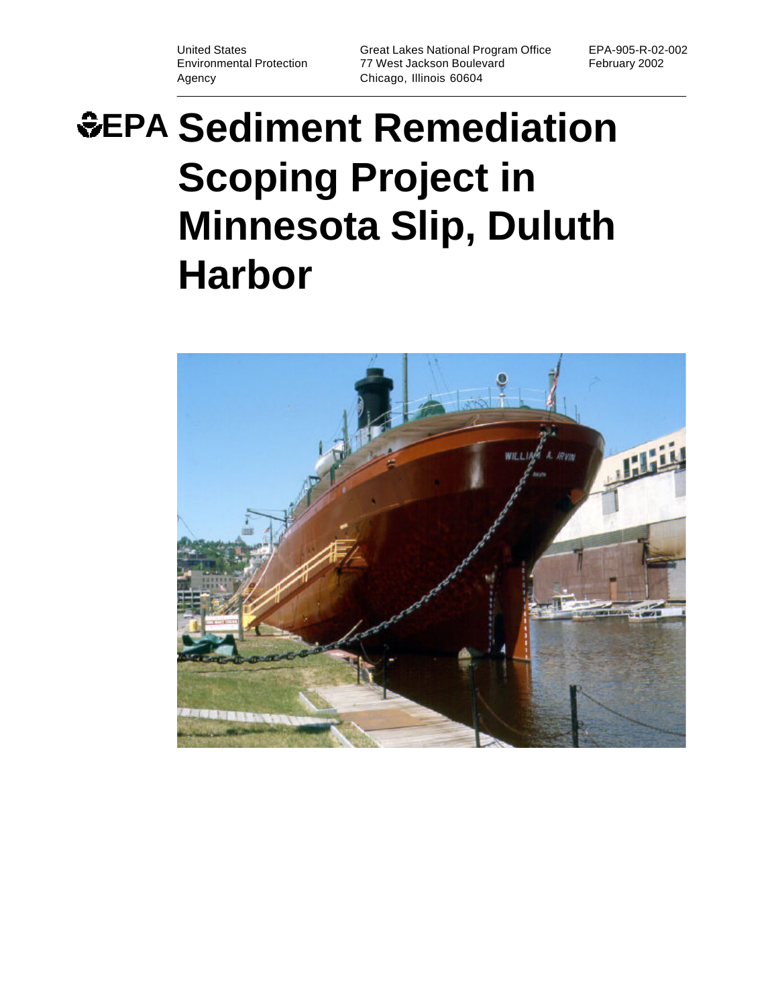Agency Chicago, Illinois 60604

United States Great Lakes National Program Office EPA-905-R-02-002 77 West Jackson Boulevard February 2002

# **EPA Sediment Remediation Scoping Project in Minnesota Slip, Duluth Harbor**

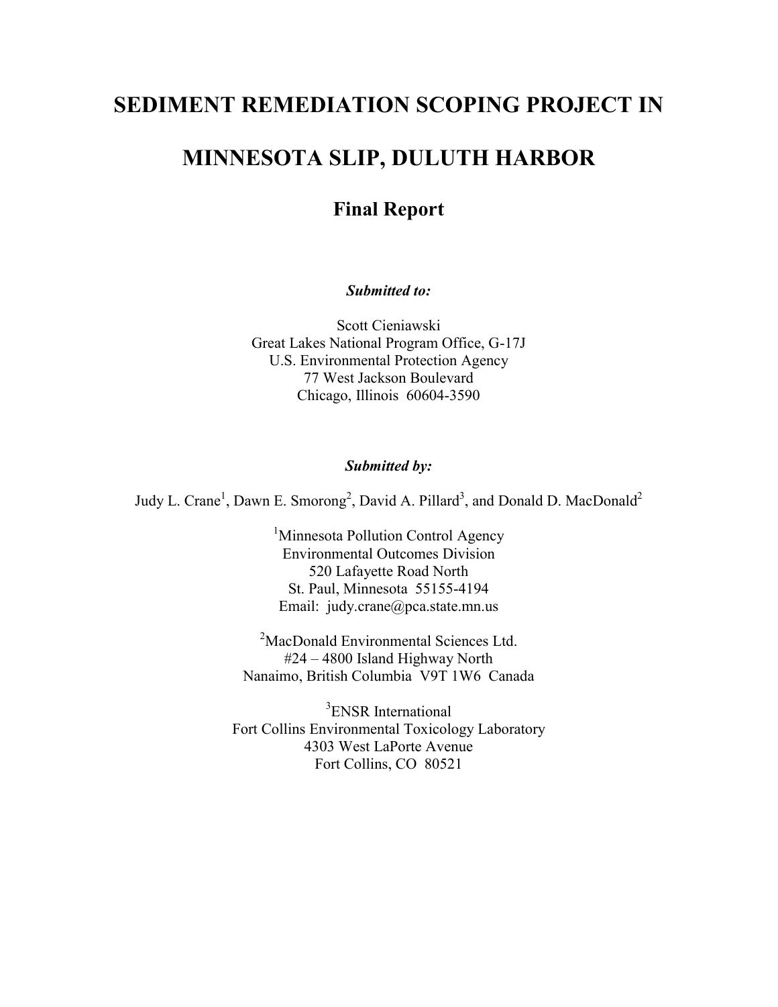# **SEDIMENT REMEDIATION SCOPING PROJECT IN**

# **MINNESOTA SLIP, DULUTH HARBOR**

# **Final Report**

*Submitted to:*

Scott Cieniawski Great Lakes National Program Office, G-17J U.S. Environmental Protection Agency 77 West Jackson Boulevard Chicago, Illinois 60604-3590

#### *Submitted by:*

Judy L. Crane<sup>1</sup>, Dawn E. Smorong<sup>2</sup>, David A. Pillard<sup>3</sup>, and Donald D. MacDonald<sup>2</sup>

<sup>1</sup>Minnesota Pollution Control Agency Environmental Outcomes Division 520 Lafayette Road North St. Paul, Minnesota 55155-4194 Email: judy.crane@pca.state.mn.us

<sup>2</sup>MacDonald Environmental Sciences Ltd. #24 – 4800 Island Highway North Nanaimo, British Columbia V9T 1W6 Canada

<sup>3</sup>ENSR International Fort Collins Environmental Toxicology Laboratory 4303 West LaPorte Avenue Fort Collins, CO 80521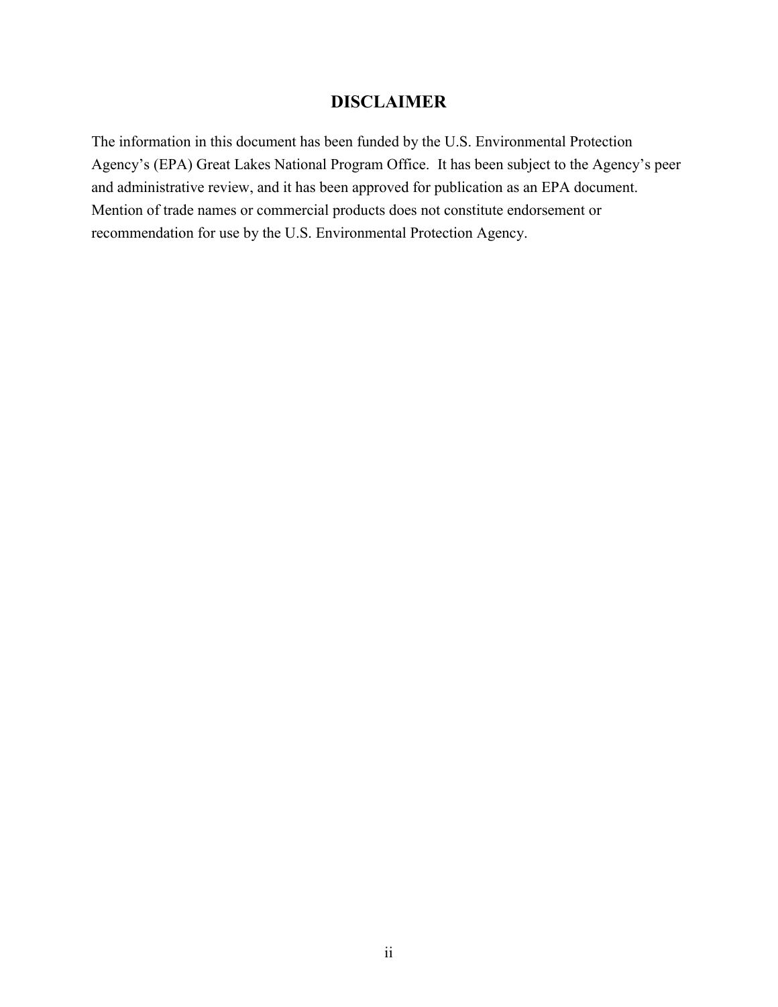# **DISCLAIMER**

The information in this document has been funded by the U.S. Environmental Protection Agency's (EPA) Great Lakes National Program Office. It has been subject to the Agency's peer and administrative review, and it has been approved for publication as an EPA document. Mention of trade names or commercial products does not constitute endorsement or recommendation for use by the U.S. Environmental Protection Agency.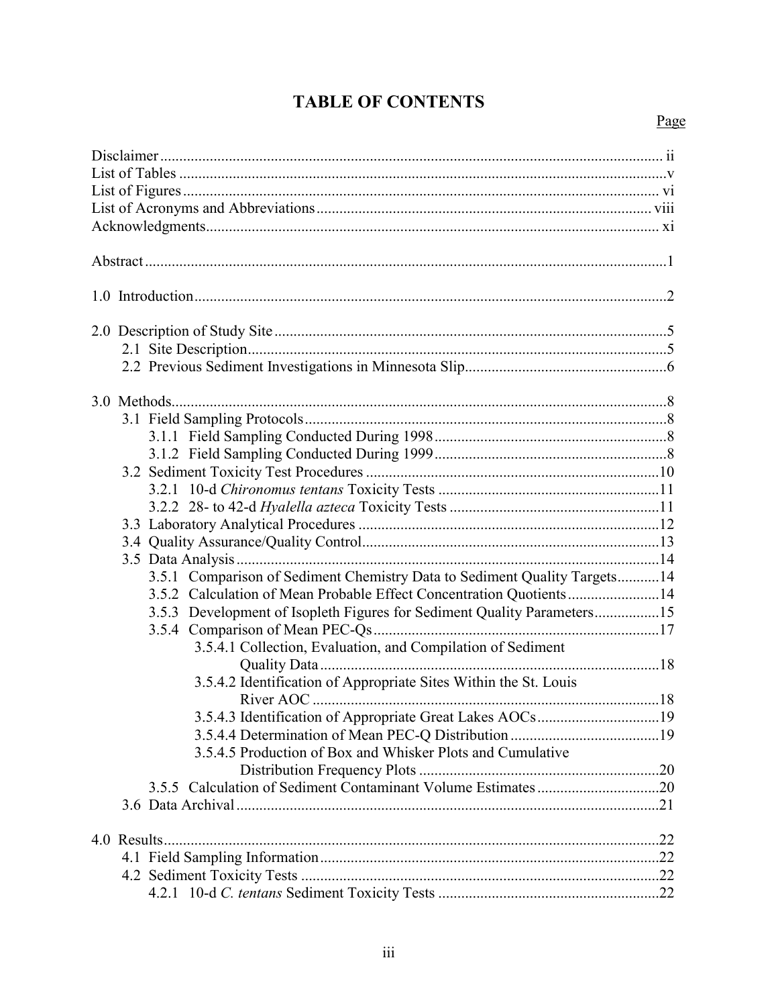# **TABLE OF CONTENTS**

# Page

| 3.5.1 Comparison of Sediment Chemistry Data to Sediment Quality Targets14 |  |
|---------------------------------------------------------------------------|--|
| 3.5.2 Calculation of Mean Probable Effect Concentration Quotients14       |  |
| 3.5.3 Development of Isopleth Figures for Sediment Quality Parameters15   |  |
|                                                                           |  |
| 3.5.4.1 Collection, Evaluation, and Compilation of Sediment               |  |
| 3.5.4.2 Identification of Appropriate Sites Within the St. Louis          |  |
|                                                                           |  |
| 3.5.4.3 Identification of Appropriate Great Lakes AOCs19                  |  |
|                                                                           |  |
| 3.5.4.5 Production of Box and Whisker Plots and Cumulative                |  |
|                                                                           |  |
|                                                                           |  |
|                                                                           |  |
|                                                                           |  |
|                                                                           |  |
|                                                                           |  |
|                                                                           |  |
|                                                                           |  |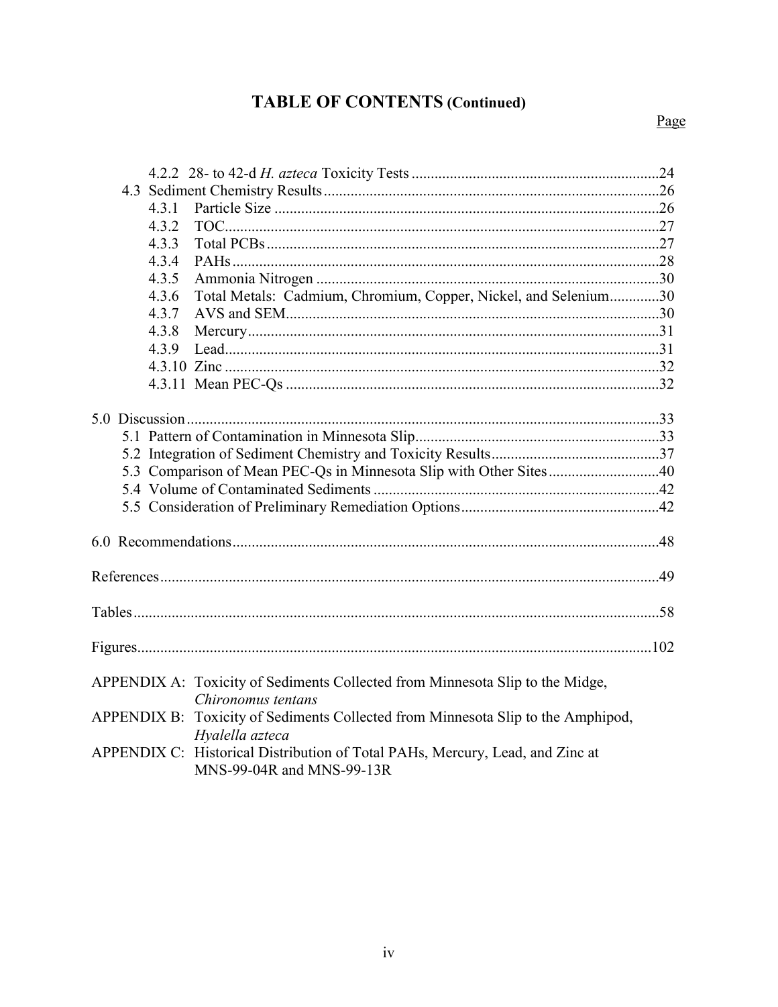# **TABLE OF CONTENTS (Continued)**

| 4.3.1                                                                            |  |
|----------------------------------------------------------------------------------|--|
| 4.3.2                                                                            |  |
| 4.3.3                                                                            |  |
| 4.3.4                                                                            |  |
| 4.3.5                                                                            |  |
| Total Metals: Cadmium, Chromium, Copper, Nickel, and Selenium30<br>4.3.6         |  |
| 4.3.7                                                                            |  |
| 4.3.8                                                                            |  |
| 4.3.9                                                                            |  |
|                                                                                  |  |
|                                                                                  |  |
|                                                                                  |  |
|                                                                                  |  |
|                                                                                  |  |
|                                                                                  |  |
| 5.3 Comparison of Mean PEC-Qs in Minnesota Slip with Other Sites40               |  |
|                                                                                  |  |
|                                                                                  |  |
|                                                                                  |  |
|                                                                                  |  |
|                                                                                  |  |
|                                                                                  |  |
|                                                                                  |  |
|                                                                                  |  |
|                                                                                  |  |
|                                                                                  |  |
| APPENDIX A: Toxicity of Sediments Collected from Minnesota Slip to the Midge,    |  |
| Chironomus tentans                                                               |  |
| APPENDIX B: Toxicity of Sediments Collected from Minnesota Slip to the Amphipod, |  |
| Hyalella azteca                                                                  |  |
| APPENDIX C: Historical Distribution of Total PAHs, Mercury, Lead, and Zinc at    |  |
| MNS-99-04R and MNS-99-13R                                                        |  |

Page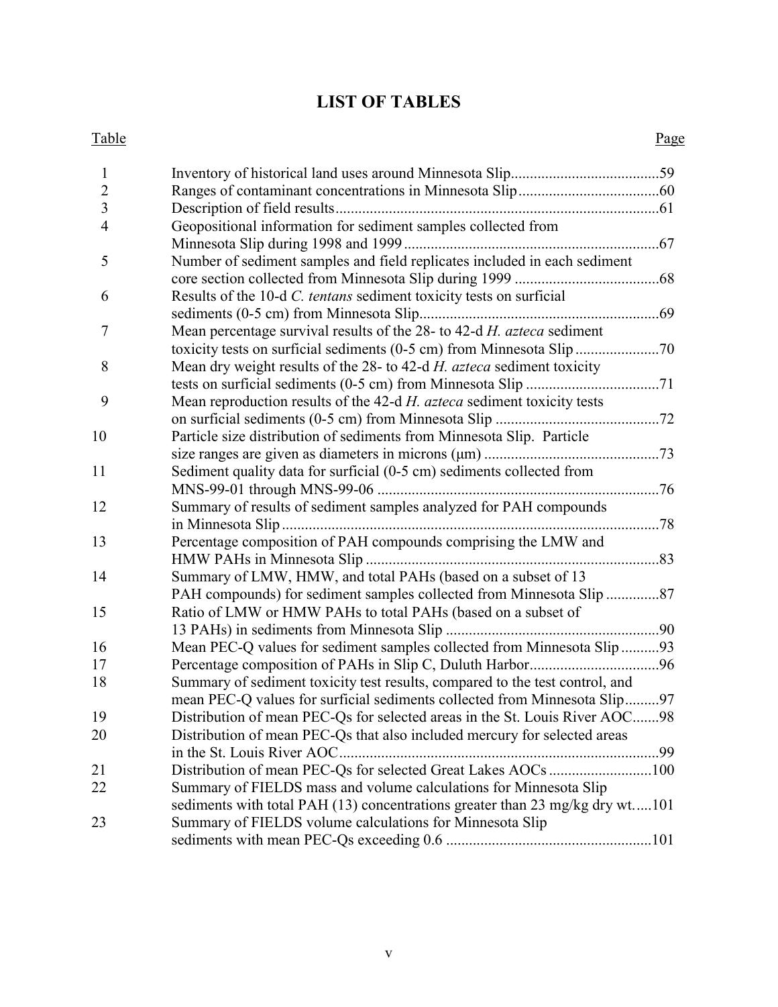# **LIST OF TABLES**

#### Table Page

| $\mathbf{1}$   |                                                                              |  |
|----------------|------------------------------------------------------------------------------|--|
| $\sqrt{2}$     |                                                                              |  |
| $\overline{3}$ |                                                                              |  |
| $\overline{4}$ | Geopositional information for sediment samples collected from                |  |
|                |                                                                              |  |
| 5              | Number of sediment samples and field replicates included in each sediment    |  |
|                |                                                                              |  |
| 6              | Results of the 10-d C. tentans sediment toxicity tests on surficial          |  |
|                |                                                                              |  |
| $\overline{7}$ | Mean percentage survival results of the 28- to 42-d H. azteca sediment       |  |
|                |                                                                              |  |
| 8              | Mean dry weight results of the 28- to 42-d H. azteca sediment toxicity       |  |
|                |                                                                              |  |
| 9              | Mean reproduction results of the 42-d H. azteca sediment toxicity tests      |  |
|                |                                                                              |  |
| 10             | Particle size distribution of sediments from Minnesota Slip. Particle        |  |
|                |                                                                              |  |
| 11             | Sediment quality data for surficial (0-5 cm) sediments collected from        |  |
|                |                                                                              |  |
| 12             | Summary of results of sediment samples analyzed for PAH compounds            |  |
|                |                                                                              |  |
| 13             | Percentage composition of PAH compounds comprising the LMW and               |  |
|                |                                                                              |  |
| 14             | Summary of LMW, HMW, and total PAHs (based on a subset of 13                 |  |
|                |                                                                              |  |
| 15             | Ratio of LMW or HMW PAHs to total PAHs (based on a subset of                 |  |
|                |                                                                              |  |
| 16             | Mean PEC-Q values for sediment samples collected from Minnesota Slip93       |  |
| 17             |                                                                              |  |
| 18             | Summary of sediment toxicity test results, compared to the test control, and |  |
|                | mean PEC-Q values for surficial sediments collected from Minnesota Slip97    |  |
| 19             | Distribution of mean PEC-Qs for selected areas in the St. Louis River AOC98  |  |
| 20             | Distribution of mean PEC-Qs that also included mercury for selected areas    |  |
|                |                                                                              |  |
| 21             | Distribution of mean PEC-Qs for selected Great Lakes AOCs 100                |  |
| 22             | Summary of FIELDS mass and volume calculations for Minnesota Slip            |  |
|                | sediments with total PAH (13) concentrations greater than 23 mg/kg dry wt101 |  |
| 23             | Summary of FIELDS volume calculations for Minnesota Slip                     |  |
|                |                                                                              |  |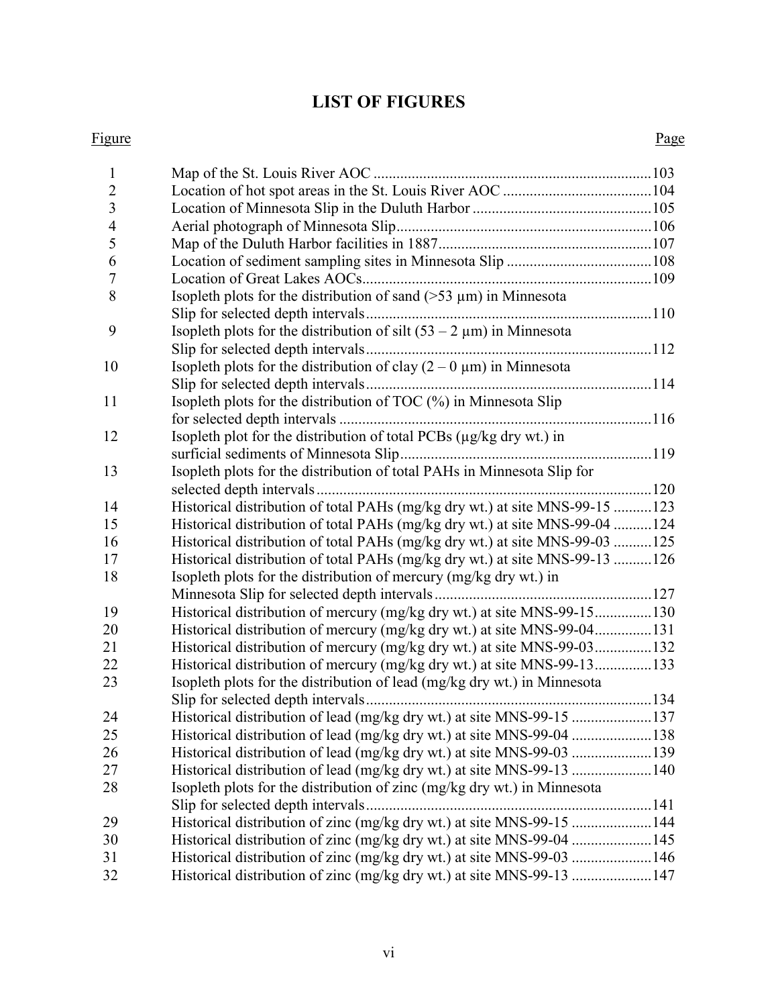# **LIST OF FIGURES**

#### Figure Page

| 1              |                                                                              |  |
|----------------|------------------------------------------------------------------------------|--|
| $\overline{2}$ |                                                                              |  |
| $\overline{3}$ |                                                                              |  |
| $\overline{4}$ |                                                                              |  |
| 5              |                                                                              |  |
| 6              |                                                                              |  |
| $\overline{7}$ |                                                                              |  |
| 8              | Isopleth plots for the distribution of sand $($ >53 $\mu$ m $)$ in Minnesota |  |
|                |                                                                              |  |
| 9              | Isopleth plots for the distribution of silt $(53 – 2 \mu m)$ in Minnesota    |  |
|                |                                                                              |  |
| 10             | Isopleth plots for the distribution of clay $(2 - 0 \mu m)$ in Minnesota     |  |
|                |                                                                              |  |
| 11             | Isopleth plots for the distribution of TOC (%) in Minnesota Slip             |  |
|                |                                                                              |  |
| 12             | Isopleth plot for the distribution of total PCBs (µg/kg dry wt.) in          |  |
|                |                                                                              |  |
| 13             | Isopleth plots for the distribution of total PAHs in Minnesota Slip for      |  |
|                |                                                                              |  |
| 14             | Historical distribution of total PAHs (mg/kg dry wt.) at site MNS-99-15 123  |  |
| 15             | Historical distribution of total PAHs (mg/kg dry wt.) at site MNS-99-04 124  |  |
| 16             | Historical distribution of total PAHs (mg/kg dry wt.) at site MNS-99-03 125  |  |
| 17             | Historical distribution of total PAHs (mg/kg dry wt.) at site MNS-99-13 126  |  |
| 18             | Isopleth plots for the distribution of mercury (mg/kg dry wt.) in            |  |
|                |                                                                              |  |
| 19             | Historical distribution of mercury (mg/kg dry wt.) at site MNS-99-15130      |  |
| 20             | Historical distribution of mercury (mg/kg dry wt.) at site MNS-99-04131      |  |
| 21             | Historical distribution of mercury (mg/kg dry wt.) at site MNS-99-03132      |  |
| 22             | Historical distribution of mercury (mg/kg dry wt.) at site MNS-99-13133      |  |
| 23             | Isopleth plots for the distribution of lead (mg/kg dry wt.) in Minnesota     |  |
|                | Slip for selected depth intervals                                            |  |
| 24             | Historical distribution of lead (mg/kg dry wt.) at site MNS-99-15 137        |  |
| 25             | Historical distribution of lead (mg/kg dry wt.) at site MNS-99-04 138        |  |
| 26             |                                                                              |  |
| 27             | Historical distribution of lead (mg/kg dry wt.) at site MNS-99-13 140        |  |
| 28             | Isopleth plots for the distribution of zinc (mg/kg dry wt.) in Minnesota     |  |
|                | Slip for selected depth intervals                                            |  |
| 29             | Historical distribution of zinc (mg/kg dry wt.) at site MNS-99-15 144        |  |
| 30             | Historical distribution of zinc (mg/kg dry wt.) at site MNS-99-04 145        |  |
| 31             | Historical distribution of zinc (mg/kg dry wt.) at site MNS-99-03 146        |  |
| 32             | Historical distribution of zinc (mg/kg dry wt.) at site MNS-99-13 147        |  |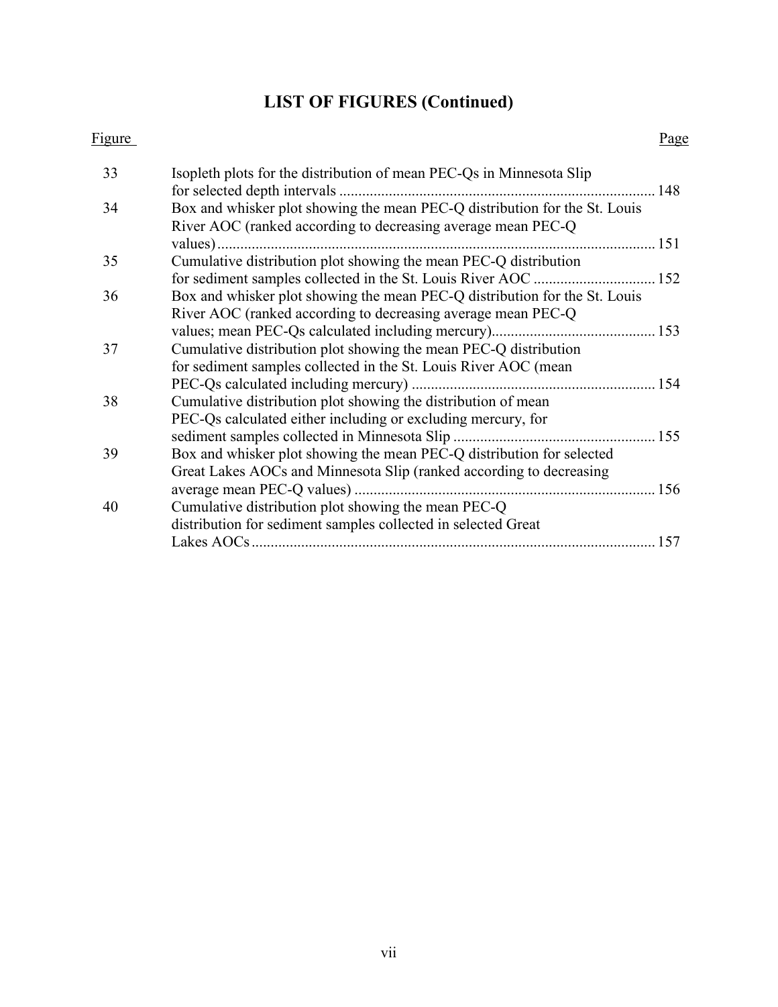# **LIST OF FIGURES (Continued)**

#### Figure Page

| 33 | Isopleth plots for the distribution of mean PEC-Qs in Minnesota Slip<br>for selected depth intervals.                                       | 148 |
|----|---------------------------------------------------------------------------------------------------------------------------------------------|-----|
| 34 | Box and whisker plot showing the mean PEC-Q distribution for the St. Louis<br>River AOC (ranked according to decreasing average mean PEC-Q) |     |
|    | values)                                                                                                                                     | 151 |
| 35 | Cumulative distribution plot showing the mean PEC-Q distribution                                                                            |     |
|    | for sediment samples collected in the St. Louis River AOC.                                                                                  | 152 |
| 36 | Box and whisker plot showing the mean PEC-Q distribution for the St. Louis                                                                  |     |
|    | River AOC (ranked according to decreasing average mean PEC-Q                                                                                |     |
|    |                                                                                                                                             | 153 |
| 37 | Cumulative distribution plot showing the mean PEC-Q distribution                                                                            |     |
|    | for sediment samples collected in the St. Louis River AOC (mean                                                                             |     |
|    | PEC-Qs calculated including mercury)                                                                                                        | 154 |
| 38 | Cumulative distribution plot showing the distribution of mean                                                                               |     |
|    | PEC-Qs calculated either including or excluding mercury, for                                                                                |     |
|    | sediment samples collected in Minnesota Slip                                                                                                | 155 |
| 39 | Box and whisker plot showing the mean PEC-Q distribution for selected                                                                       |     |
|    | Great Lakes AOCs and Minnesota Slip (ranked according to decreasing                                                                         |     |
|    | average mean PEC-Q values)                                                                                                                  | 156 |
| 40 | Cumulative distribution plot showing the mean PEC-Q                                                                                         |     |
|    | distribution for sediment samples collected in selected Great                                                                               |     |
|    | Lakes AOCs.                                                                                                                                 | 157 |
|    |                                                                                                                                             |     |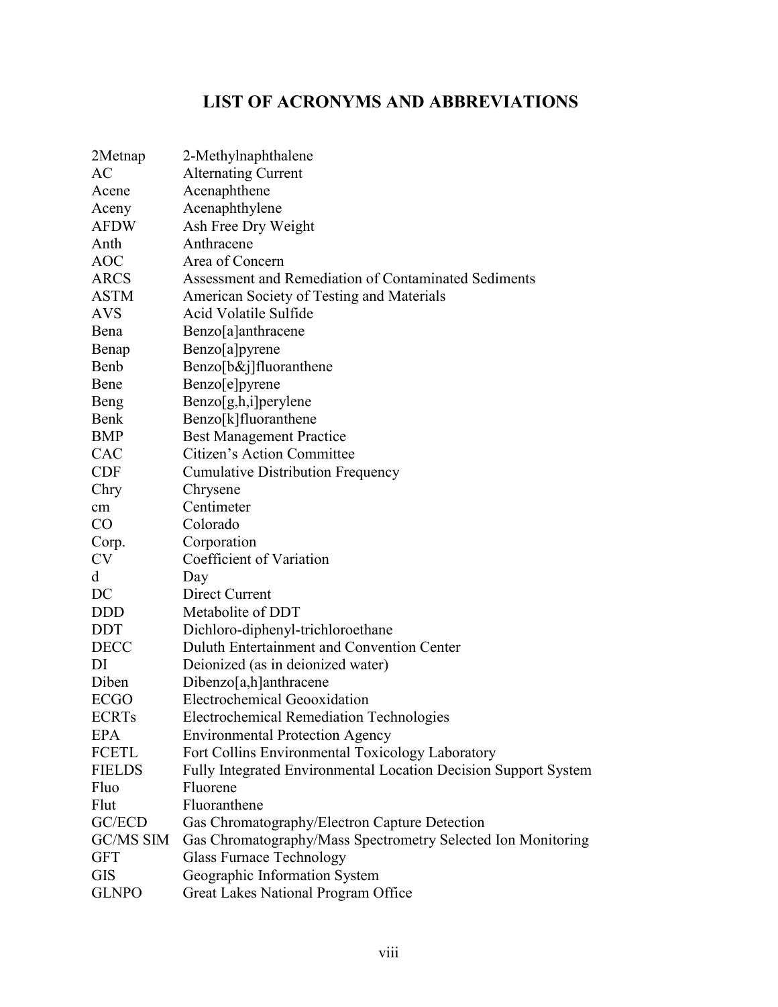# **LIST OF ACRONYMS AND ABBREVIATIONS**

| 2Metnap       | 2-Methylnaphthalene                                             |
|---------------|-----------------------------------------------------------------|
| <b>AC</b>     | <b>Alternating Current</b>                                      |
| Acene         | Acenaphthene                                                    |
| Aceny         | Acenaphthylene                                                  |
| <b>AFDW</b>   | Ash Free Dry Weight                                             |
| Anth          | Anthracene                                                      |
| <b>AOC</b>    | Area of Concern                                                 |
| <b>ARCS</b>   | Assessment and Remediation of Contaminated Sediments            |
| <b>ASTM</b>   | American Society of Testing and Materials                       |
| <b>AVS</b>    | Acid Volatile Sulfide                                           |
| Bena          | Benzo[a]anthracene                                              |
| Benap         | Benzo[a]pyrene                                                  |
| Benb          | $Benzo[b&]j] fluoranthene$                                      |
| Bene          | Benzo[e]pyrene                                                  |
| Beng          | Benzo[g,h,i]perylene                                            |
| Benk          | Benzo[k]fluoranthene                                            |
| <b>BMP</b>    | <b>Best Management Practice</b>                                 |
| <b>CAC</b>    | Citizen's Action Committee                                      |
| <b>CDF</b>    | <b>Cumulative Distribution Frequency</b>                        |
| Chry          | Chrysene                                                        |
| cm            | Centimeter                                                      |
| CO            | Colorado                                                        |
| Corp.         | Corporation                                                     |
| <b>CV</b>     | Coefficient of Variation                                        |
| d             | Day                                                             |
| DC            | Direct Current                                                  |
| <b>DDD</b>    | Metabolite of DDT                                               |
| <b>DDT</b>    | Dichloro-diphenyl-trichloroethane                               |
| <b>DECC</b>   | Duluth Entertainment and Convention Center                      |
| DI            | Deionized (as in deionized water)                               |
| Diben         | Dibenzo[a,h]anthracene                                          |
| <b>ECGO</b>   | Electrochemical Geooxidation                                    |
| <b>ECRTs</b>  | <b>Electrochemical Remediation Technologies</b>                 |
| <b>EPA</b>    | <b>Environmental Protection Agency</b>                          |
| <b>FCETL</b>  | Fort Collins Environmental Toxicology Laboratory                |
| <b>FIELDS</b> | Fully Integrated Environmental Location Decision Support System |
| Fluo          | Fluorene                                                        |
| Flut          | Fluoranthene                                                    |
| GC/ECD        | Gas Chromatography/Electron Capture Detection                   |
| GC/MS SIM     | Gas Chromatography/Mass Spectrometry Selected Ion Monitoring    |
| <b>GFT</b>    | <b>Glass Furnace Technology</b>                                 |
| <b>GIS</b>    | Geographic Information System                                   |
| <b>GLNPO</b>  | Great Lakes National Program Office                             |
|               |                                                                 |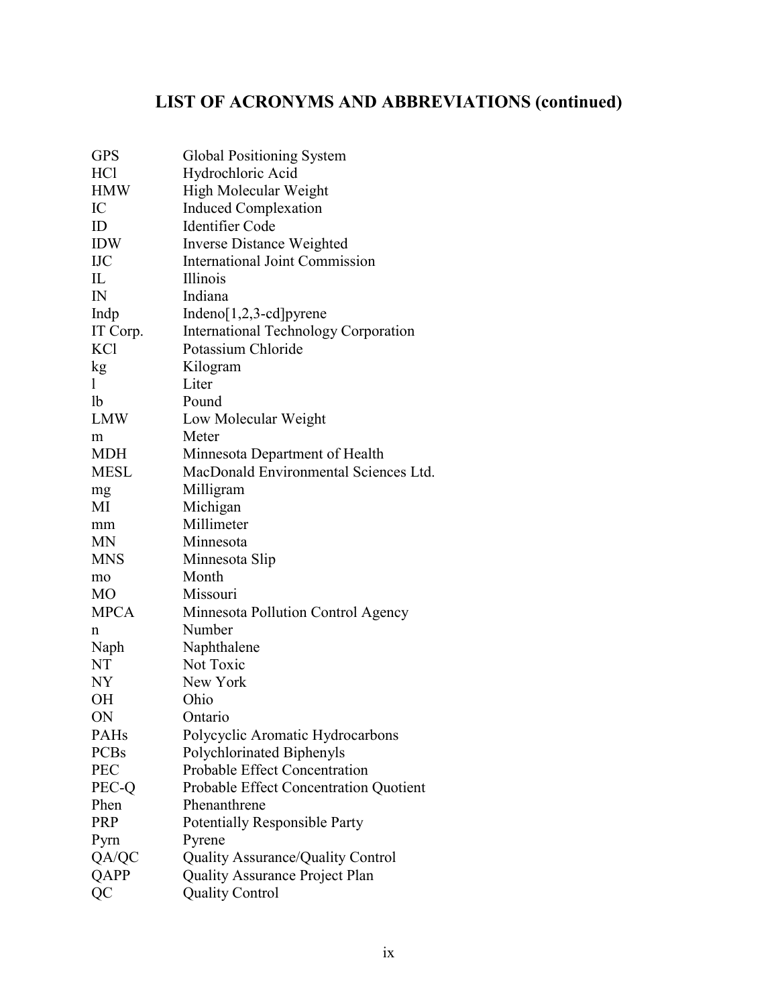# **LIST OF ACRONYMS AND ABBREVIATIONS (continued)**

| <b>GPS</b>     | Global Positioning System                   |
|----------------|---------------------------------------------|
| <b>HCl</b>     | Hydrochloric Acid                           |
| <b>HMW</b>     | High Molecular Weight                       |
| IC             | <b>Induced Complexation</b>                 |
| ID             | <b>Identifier Code</b>                      |
| <b>IDW</b>     | Inverse Distance Weighted                   |
| <b>IJC</b>     | <b>International Joint Commission</b>       |
| IL             | Illinois                                    |
| $\mathbb{N}$   | Indiana                                     |
| Indp           | $Indeno[1,2,3-cd]pyrene$                    |
| IT Corp.       | <b>International Technology Corporation</b> |
| <b>KCl</b>     | Potassium Chloride                          |
| kg             | Kilogram                                    |
| 1              | Liter                                       |
| 1 <sub>b</sub> | Pound                                       |
| <b>LMW</b>     | Low Molecular Weight                        |
| m              | Meter                                       |
| <b>MDH</b>     | Minnesota Department of Health              |
| <b>MESL</b>    | MacDonald Environmental Sciences Ltd.       |
| mg             | Milligram                                   |
| MI             | Michigan                                    |
| mm             | Millimeter                                  |
| <b>MN</b>      | Minnesota                                   |
| <b>MNS</b>     | Minnesota Slip                              |
| mo             | Month                                       |
| MO             | Missouri                                    |
| <b>MPCA</b>    | Minnesota Pollution Control Agency          |
| n              | Number                                      |
| Naph           | Naphthalene                                 |
| NT             | Not Toxic                                   |
| NY             | New York                                    |
| OН             | Ohio                                        |
| ON             | Ontario                                     |
| PAHs           | Polycyclic Aromatic Hydrocarbons            |
| <b>PCBs</b>    | Polychlorinated Biphenyls                   |
| <b>PEC</b>     | <b>Probable Effect Concentration</b>        |
| PEC-Q          | Probable Effect Concentration Quotient      |
| Phen           | Phenanthrene                                |
| <b>PRP</b>     | <b>Potentially Responsible Party</b>        |
| Pyrn           | Pyrene                                      |
| QA/QC          | <b>Quality Assurance/Quality Control</b>    |
| <b>QAPP</b>    | <b>Quality Assurance Project Plan</b>       |
| QC             | <b>Quality Control</b>                      |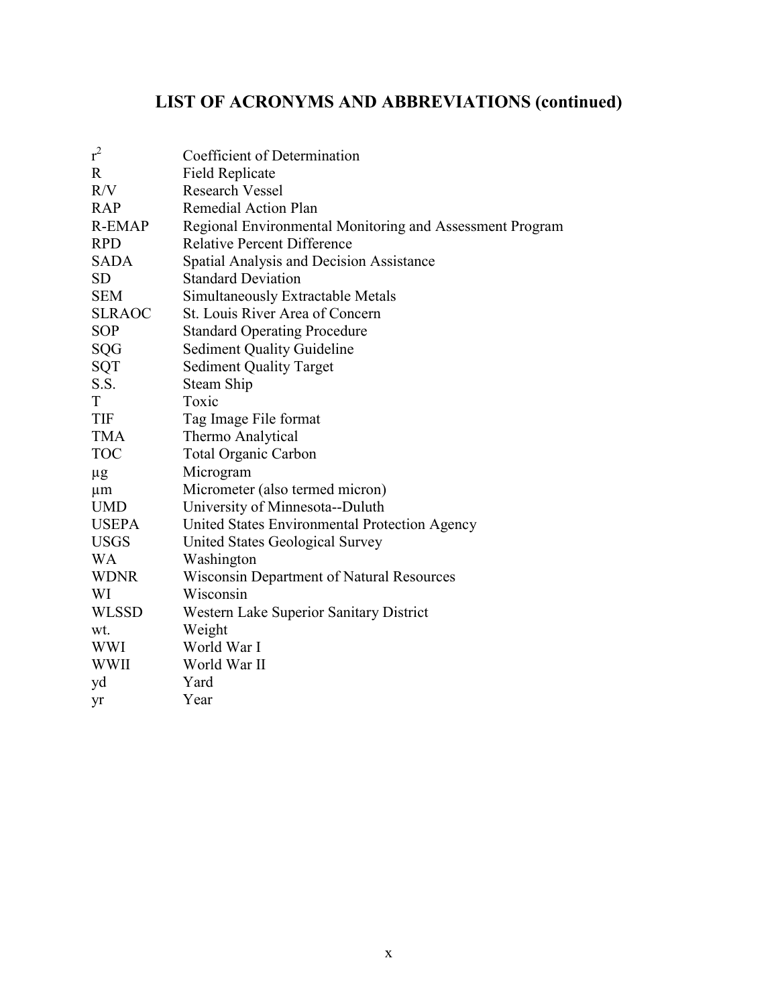# **LIST OF ACRONYMS AND ABBREVIATIONS (continued)**

| $r^2$         | Coefficient of Determination                             |
|---------------|----------------------------------------------------------|
| $\mathbf R$   | <b>Field Replicate</b>                                   |
| R/V           | <b>Research Vessel</b>                                   |
| <b>RAP</b>    | Remedial Action Plan                                     |
| <b>R-EMAP</b> | Regional Environmental Monitoring and Assessment Program |
| <b>RPD</b>    | <b>Relative Percent Difference</b>                       |
| SADA          | Spatial Analysis and Decision Assistance                 |
| <b>SD</b>     | <b>Standard Deviation</b>                                |
| <b>SEM</b>    | Simultaneously Extractable Metals                        |
| <b>SLRAOC</b> | St. Louis River Area of Concern                          |
| <b>SOP</b>    | <b>Standard Operating Procedure</b>                      |
| SQG           | <b>Sediment Quality Guideline</b>                        |
| SQT           | <b>Sediment Quality Target</b>                           |
| S.S.          | <b>Steam Ship</b>                                        |
| <sup>T</sup>  | Toxic                                                    |
| <b>TIF</b>    | Tag Image File format                                    |
| <b>TMA</b>    | Thermo Analytical                                        |
| <b>TOC</b>    | <b>Total Organic Carbon</b>                              |
| μg            | Microgram                                                |
| $\mu$ m       | Micrometer (also termed micron)                          |
| <b>UMD</b>    | University of Minnesota--Duluth                          |
| <b>USEPA</b>  | United States Environmental Protection Agency            |
| <b>USGS</b>   | United States Geological Survey                          |
| <b>WA</b>     | Washington                                               |
| <b>WDNR</b>   | Wisconsin Department of Natural Resources                |
| WI            | Wisconsin                                                |
| <b>WLSSD</b>  | Western Lake Superior Sanitary District                  |
| wt.           | Weight                                                   |
| <b>WWI</b>    | World War I                                              |
| WWII          | World War II                                             |
| yd            | Yard                                                     |
| yr            | Year                                                     |
|               |                                                          |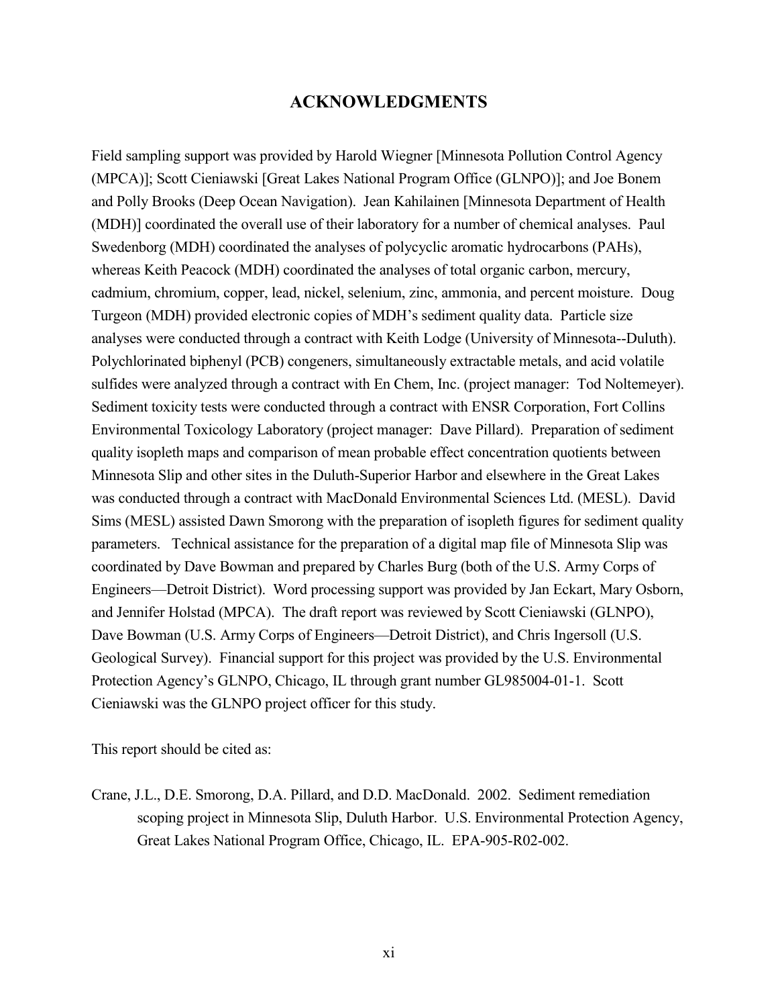# **ACKNOWLEDGMENTS**

Field sampling support was provided by Harold Wiegner [Minnesota Pollution Control Agency (MPCA)]; Scott Cieniawski [Great Lakes National Program Office (GLNPO)]; and Joe Bonem and Polly Brooks (Deep Ocean Navigation). Jean Kahilainen [Minnesota Department of Health (MDH)] coordinated the overall use of their laboratory for a number of chemical analyses. Paul Swedenborg (MDH) coordinated the analyses of polycyclic aromatic hydrocarbons (PAHs), whereas Keith Peacock (MDH) coordinated the analyses of total organic carbon, mercury, cadmium, chromium, copper, lead, nickel, selenium, zinc, ammonia, and percent moisture. Doug Turgeon (MDH) provided electronic copies of MDH's sediment quality data. Particle size analyses were conducted through a contract with Keith Lodge (University of Minnesota--Duluth). Polychlorinated biphenyl (PCB) congeners, simultaneously extractable metals, and acid volatile sulfides were analyzed through a contract with En Chem, Inc. (project manager: Tod Noltemeyer). Sediment toxicity tests were conducted through a contract with ENSR Corporation, Fort Collins Environmental Toxicology Laboratory (project manager: Dave Pillard). Preparation of sediment quality isopleth maps and comparison of mean probable effect concentration quotients between Minnesota Slip and other sites in the Duluth-Superior Harbor and elsewhere in the Great Lakes was conducted through a contract with MacDonald Environmental Sciences Ltd. (MESL). David Sims (MESL) assisted Dawn Smorong with the preparation of isopleth figures for sediment quality parameters. Technical assistance for the preparation of a digital map file of Minnesota Slip was coordinated by Dave Bowman and prepared by Charles Burg (both of the U.S. Army Corps of Engineers—Detroit District). Word processing support was provided by Jan Eckart, Mary Osborn, and Jennifer Holstad (MPCA). The draft report was reviewed by Scott Cieniawski (GLNPO), Dave Bowman (U.S. Army Corps of Engineers—Detroit District), and Chris Ingersoll (U.S. Geological Survey). Financial support for this project was provided by the U.S. Environmental Protection Agency's GLNPO, Chicago, IL through grant number GL985004-01-1. Scott Cieniawski was the GLNPO project officer for this study.

This report should be cited as:

Crane, J.L., D.E. Smorong, D.A. Pillard, and D.D. MacDonald. 2002. Sediment remediation scoping project in Minnesota Slip, Duluth Harbor. U.S. Environmental Protection Agency, Great Lakes National Program Office, Chicago, IL. EPA-905-R02-002.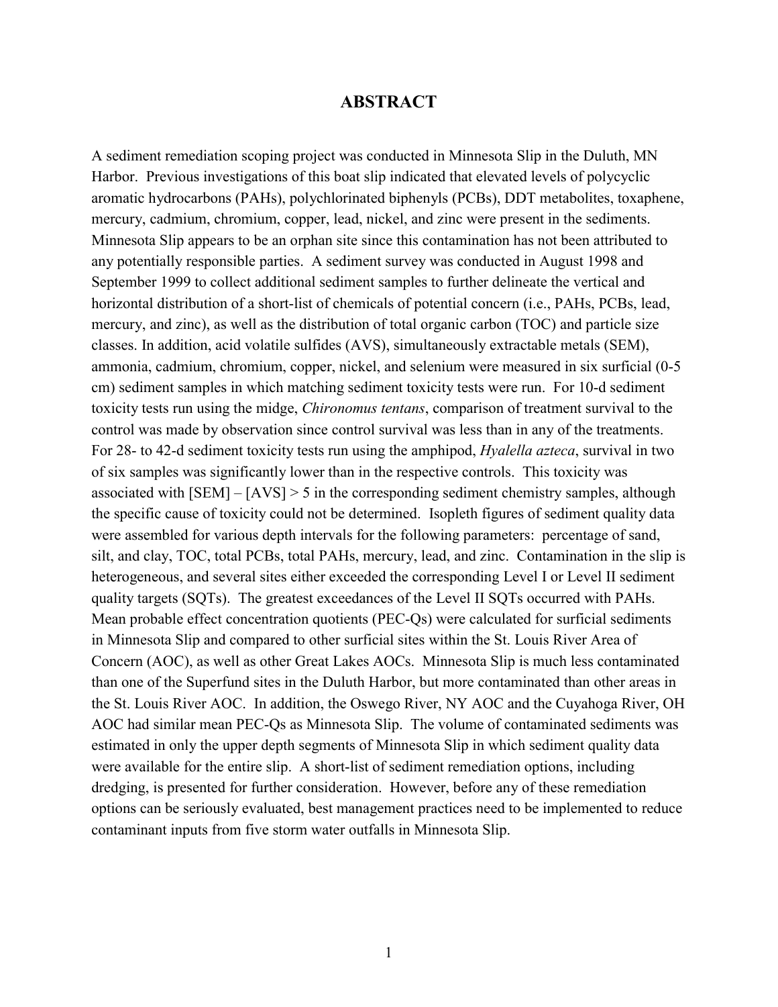#### **ABSTRACT**

A sediment remediation scoping project was conducted in Minnesota Slip in the Duluth, MN Harbor. Previous investigations of this boat slip indicated that elevated levels of polycyclic aromatic hydrocarbons (PAHs), polychlorinated biphenyls (PCBs), DDT metabolites, toxaphene, mercury, cadmium, chromium, copper, lead, nickel, and zinc were present in the sediments. Minnesota Slip appears to be an orphan site since this contamination has not been attributed to any potentially responsible parties. A sediment survey was conducted in August 1998 and September 1999 to collect additional sediment samples to further delineate the vertical and horizontal distribution of a short-list of chemicals of potential concern (i.e., PAHs, PCBs, lead, mercury, and zinc), as well as the distribution of total organic carbon (TOC) and particle size classes. In addition, acid volatile sulfides (AVS), simultaneously extractable metals (SEM), ammonia, cadmium, chromium, copper, nickel, and selenium were measured in six surficial (0-5 cm) sediment samples in which matching sediment toxicity tests were run. For 10-d sediment toxicity tests run using the midge, *Chironomus tentans*, comparison of treatment survival to the control was made by observation since control survival was less than in any of the treatments. For 28- to 42-d sediment toxicity tests run using the amphipod, *Hyalella azteca*, survival in two of six samples was significantly lower than in the respective controls. This toxicity was associated with [SEM] – [AVS] > 5 in the corresponding sediment chemistry samples, although the specific cause of toxicity could not be determined. Isopleth figures of sediment quality data were assembled for various depth intervals for the following parameters: percentage of sand, silt, and clay, TOC, total PCBs, total PAHs, mercury, lead, and zinc. Contamination in the slip is heterogeneous, and several sites either exceeded the corresponding Level I or Level II sediment quality targets (SQTs). The greatest exceedances of the Level II SQTs occurred with PAHs. Mean probable effect concentration quotients (PEC-Qs) were calculated for surficial sediments in Minnesota Slip and compared to other surficial sites within the St. Louis River Area of Concern (AOC), as well as other Great Lakes AOCs. Minnesota Slip is much less contaminated than one of the Superfund sites in the Duluth Harbor, but more contaminated than other areas in the St. Louis River AOC. In addition, the Oswego River, NY AOC and the Cuyahoga River, OH AOC had similar mean PEC-Qs as Minnesota Slip. The volume of contaminated sediments was estimated in only the upper depth segments of Minnesota Slip in which sediment quality data were available for the entire slip. A short-list of sediment remediation options, including dredging, is presented for further consideration. However, before any of these remediation options can be seriously evaluated, best management practices need to be implemented to reduce contaminant inputs from five storm water outfalls in Minnesota Slip.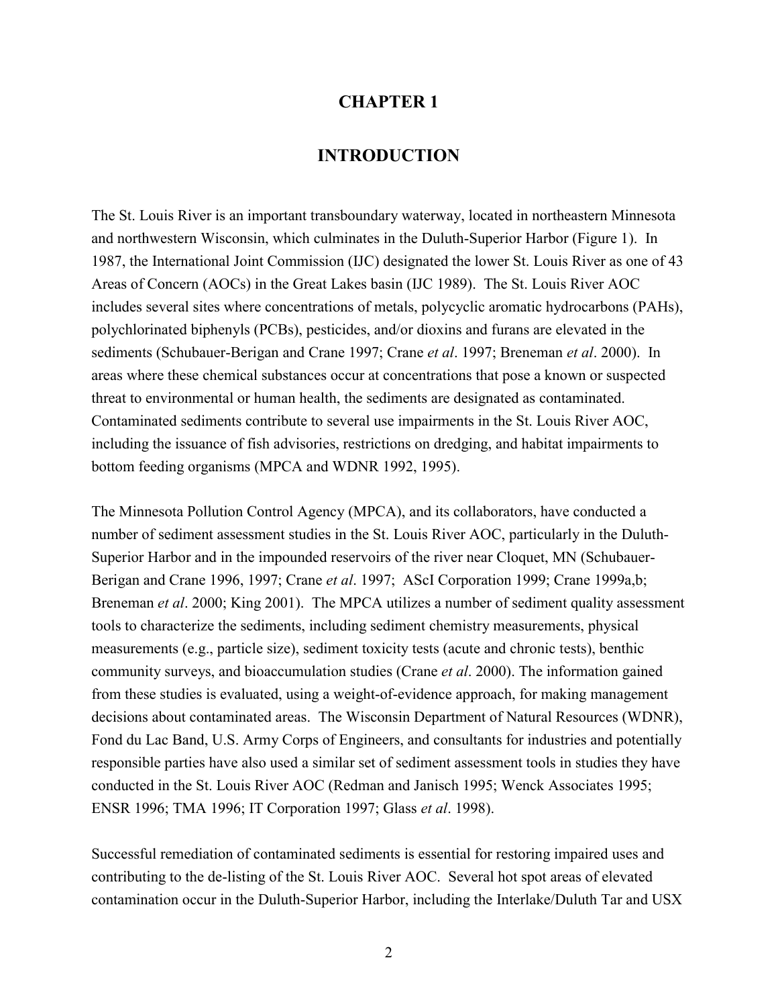### **CHAPTER 1**

# **INTRODUCTION**

The St. Louis River is an important transboundary waterway, located in northeastern Minnesota and northwestern Wisconsin, which culminates in the Duluth-Superior Harbor (Figure 1). In 1987, the International Joint Commission (IJC) designated the lower St. Louis River as one of 43 Areas of Concern (AOCs) in the Great Lakes basin (IJC 1989). The St. Louis River AOC includes several sites where concentrations of metals, polycyclic aromatic hydrocarbons (PAHs), polychlorinated biphenyls (PCBs), pesticides, and/or dioxins and furans are elevated in the sediments (Schubauer-Berigan and Crane 1997; Crane *et al*. 1997; Breneman *et al*. 2000). In areas where these chemical substances occur at concentrations that pose a known or suspected threat to environmental or human health, the sediments are designated as contaminated. Contaminated sediments contribute to several use impairments in the St. Louis River AOC, including the issuance of fish advisories, restrictions on dredging, and habitat impairments to bottom feeding organisms (MPCA and WDNR 1992, 1995).

The Minnesota Pollution Control Agency (MPCA), and its collaborators, have conducted a number of sediment assessment studies in the St. Louis River AOC, particularly in the Duluth-Superior Harbor and in the impounded reservoirs of the river near Cloquet, MN (Schubauer-Berigan and Crane 1996, 1997; Crane *et al*. 1997; AScI Corporation 1999; Crane 1999a,b; Breneman *et al*. 2000; King 2001). The MPCA utilizes a number of sediment quality assessment tools to characterize the sediments, including sediment chemistry measurements, physical measurements (e.g., particle size), sediment toxicity tests (acute and chronic tests), benthic community surveys, and bioaccumulation studies (Crane *et al*. 2000). The information gained from these studies is evaluated, using a weight-of-evidence approach, for making management decisions about contaminated areas. The Wisconsin Department of Natural Resources (WDNR), Fond du Lac Band, U.S. Army Corps of Engineers, and consultants for industries and potentially responsible parties have also used a similar set of sediment assessment tools in studies they have conducted in the St. Louis River AOC (Redman and Janisch 1995; Wenck Associates 1995; ENSR 1996; TMA 1996; IT Corporation 1997; Glass *et al*. 1998).

Successful remediation of contaminated sediments is essential for restoring impaired uses and contributing to the de-listing of the St. Louis River AOC. Several hot spot areas of elevated contamination occur in the Duluth-Superior Harbor, including the Interlake/Duluth Tar and USX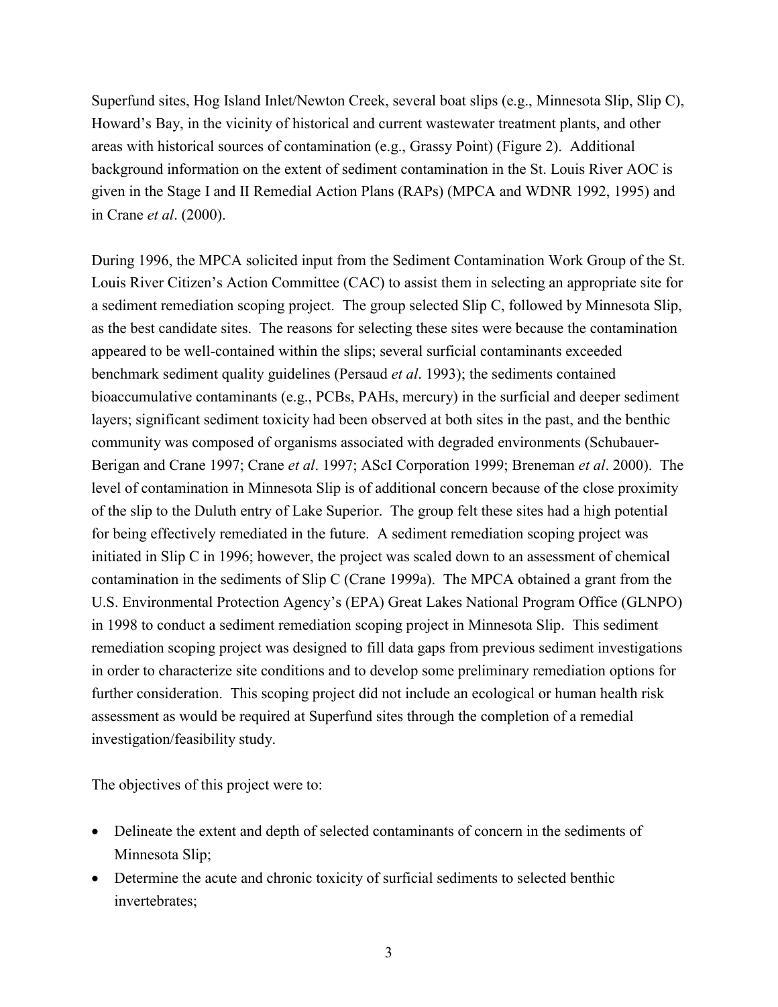Superfund sites, Hog Island Inlet/Newton Creek, several boat slips (e.g., Minnesota Slip, Slip C), Howard's Bay, in the vicinity of historical and current wastewater treatment plants, and other areas with historical sources of contamination (e.g., Grassy Point) (Figure 2). Additional background information on the extent of sediment contamination in the St. Louis River AOC is given in the Stage I and II Remedial Action Plans (RAPs) (MPCA and WDNR 1992, 1995) and in Crane *et al*. (2000).

During 1996, the MPCA solicited input from the Sediment Contamination Work Group of the St. Louis River Citizen's Action Committee (CAC) to assist them in selecting an appropriate site for a sediment remediation scoping project. The group selected Slip C, followed by Minnesota Slip, as the best candidate sites. The reasons for selecting these sites were because the contamination appeared to be well-contained within the slips; several surficial contaminants exceeded benchmark sediment quality guidelines (Persaud *et al*. 1993); the sediments contained bioaccumulative contaminants (e.g., PCBs, PAHs, mercury) in the surficial and deeper sediment layers; significant sediment toxicity had been observed at both sites in the past, and the benthic community was composed of organisms associated with degraded environments (Schubauer-Berigan and Crane 1997; Crane *et al*. 1997; AScI Corporation 1999; Breneman *et al*. 2000). The level of contamination in Minnesota Slip is of additional concern because of the close proximity of the slip to the Duluth entry of Lake Superior. The group felt these sites had a high potential for being effectively remediated in the future. A sediment remediation scoping project was initiated in Slip C in 1996; however, the project was scaled down to an assessment of chemical contamination in the sediments of Slip C (Crane 1999a). The MPCA obtained a grant from the U.S. Environmental Protection Agency's (EPA) Great Lakes National Program Office (GLNPO) in 1998 to conduct a sediment remediation scoping project in Minnesota Slip. This sediment remediation scoping project was designed to fill data gaps from previous sediment investigations in order to characterize site conditions and to develop some preliminary remediation options for further consideration. This scoping project did not include an ecological or human health risk assessment as would be required at Superfund sites through the completion of a remedial investigation/feasibility study.

The objectives of this project were to:

- Delineate the extent and depth of selected contaminants of concern in the sediments of Minnesota Slip;
- Determine the acute and chronic toxicity of surficial sediments to selected benthic invertebrates;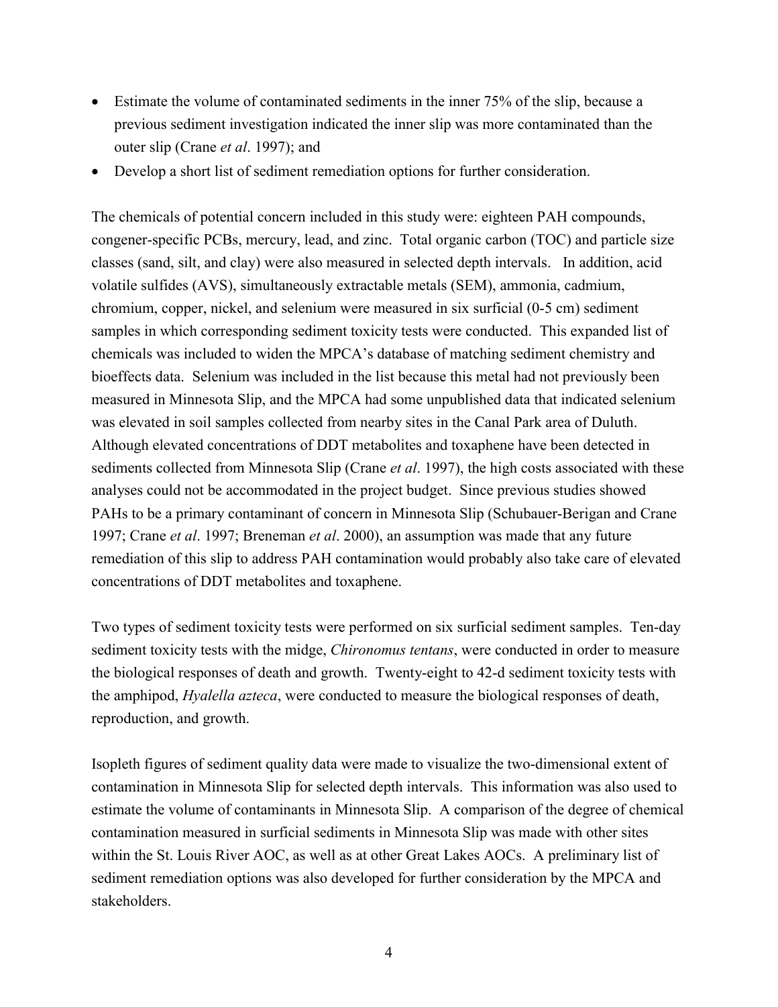- Estimate the volume of contaminated sediments in the inner 75% of the slip, because a previous sediment investigation indicated the inner slip was more contaminated than the outer slip (Crane *et al*. 1997); and
- Develop a short list of sediment remediation options for further consideration.

The chemicals of potential concern included in this study were: eighteen PAH compounds, congener-specific PCBs, mercury, lead, and zinc. Total organic carbon (TOC) and particle size classes (sand, silt, and clay) were also measured in selected depth intervals. In addition, acid volatile sulfides (AVS), simultaneously extractable metals (SEM), ammonia, cadmium, chromium, copper, nickel, and selenium were measured in six surficial (0-5 cm) sediment samples in which corresponding sediment toxicity tests were conducted. This expanded list of chemicals was included to widen the MPCA's database of matching sediment chemistry and bioeffects data. Selenium was included in the list because this metal had not previously been measured in Minnesota Slip, and the MPCA had some unpublished data that indicated selenium was elevated in soil samples collected from nearby sites in the Canal Park area of Duluth. Although elevated concentrations of DDT metabolites and toxaphene have been detected in sediments collected from Minnesota Slip (Crane *et al*. 1997), the high costs associated with these analyses could not be accommodated in the project budget. Since previous studies showed PAHs to be a primary contaminant of concern in Minnesota Slip (Schubauer-Berigan and Crane 1997; Crane *et al*. 1997; Breneman *et al*. 2000), an assumption was made that any future remediation of this slip to address PAH contamination would probably also take care of elevated concentrations of DDT metabolites and toxaphene.

Two types of sediment toxicity tests were performed on six surficial sediment samples. Ten-day sediment toxicity tests with the midge, *Chironomus tentans*, were conducted in order to measure the biological responses of death and growth. Twenty-eight to 42-d sediment toxicity tests with the amphipod, *Hyalella azteca*, were conducted to measure the biological responses of death, reproduction, and growth.

Isopleth figures of sediment quality data were made to visualize the two-dimensional extent of contamination in Minnesota Slip for selected depth intervals. This information was also used to estimate the volume of contaminants in Minnesota Slip. A comparison of the degree of chemical contamination measured in surficial sediments in Minnesota Slip was made with other sites within the St. Louis River AOC, as well as at other Great Lakes AOCs. A preliminary list of sediment remediation options was also developed for further consideration by the MPCA and stakeholders.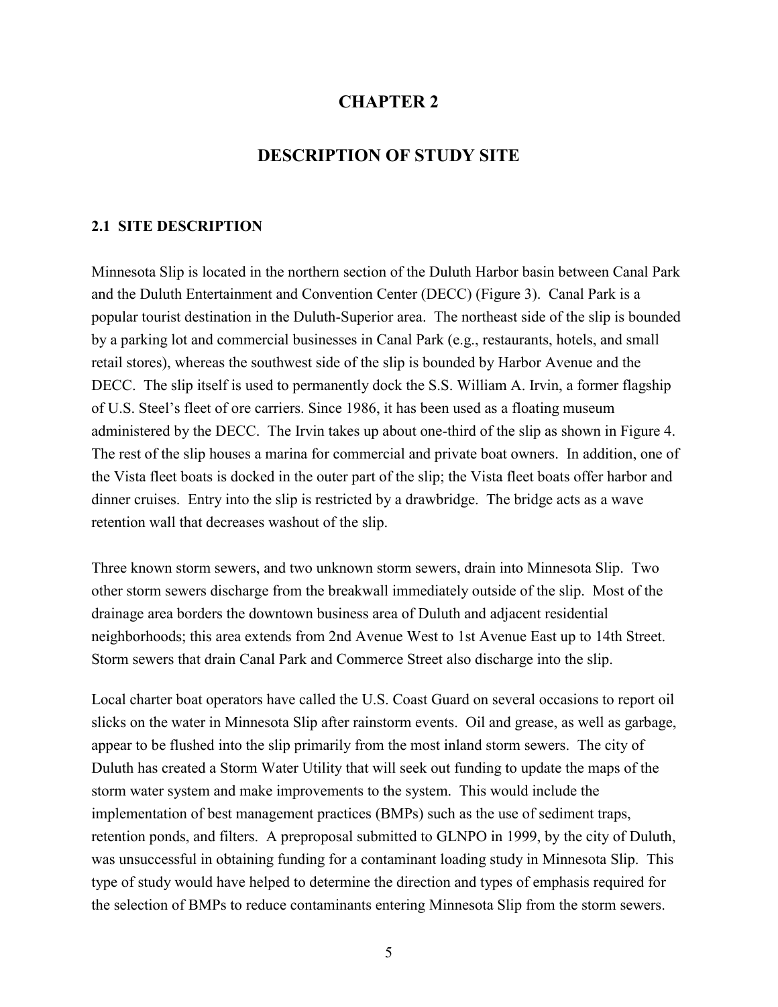# **CHAPTER 2**

# **DESCRIPTION OF STUDY SITE**

#### **2.1 SITE DESCRIPTION**

Minnesota Slip is located in the northern section of the Duluth Harbor basin between Canal Park and the Duluth Entertainment and Convention Center (DECC) (Figure 3). Canal Park is a popular tourist destination in the Duluth-Superior area. The northeast side of the slip is bounded by a parking lot and commercial businesses in Canal Park (e.g., restaurants, hotels, and small retail stores), whereas the southwest side of the slip is bounded by Harbor Avenue and the DECC. The slip itself is used to permanently dock the S.S. William A. Irvin, a former flagship of U.S. Steel's fleet of ore carriers. Since 1986, it has been used as a floating museum administered by the DECC. The Irvin takes up about one-third of the slip as shown in Figure 4. The rest of the slip houses a marina for commercial and private boat owners. In addition, one of the Vista fleet boats is docked in the outer part of the slip; the Vista fleet boats offer harbor and dinner cruises. Entry into the slip is restricted by a drawbridge. The bridge acts as a wave retention wall that decreases washout of the slip.

Three known storm sewers, and two unknown storm sewers, drain into Minnesota Slip. Two other storm sewers discharge from the breakwall immediately outside of the slip. Most of the drainage area borders the downtown business area of Duluth and adjacent residential neighborhoods; this area extends from 2nd Avenue West to 1st Avenue East up to 14th Street. Storm sewers that drain Canal Park and Commerce Street also discharge into the slip.

Local charter boat operators have called the U.S. Coast Guard on several occasions to report oil slicks on the water in Minnesota Slip after rainstorm events. Oil and grease, as well as garbage, appear to be flushed into the slip primarily from the most inland storm sewers. The city of Duluth has created a Storm Water Utility that will seek out funding to update the maps of the storm water system and make improvements to the system. This would include the implementation of best management practices (BMPs) such as the use of sediment traps, retention ponds, and filters. A preproposal submitted to GLNPO in 1999, by the city of Duluth, was unsuccessful in obtaining funding for a contaminant loading study in Minnesota Slip. This type of study would have helped to determine the direction and types of emphasis required for the selection of BMPs to reduce contaminants entering Minnesota Slip from the storm sewers.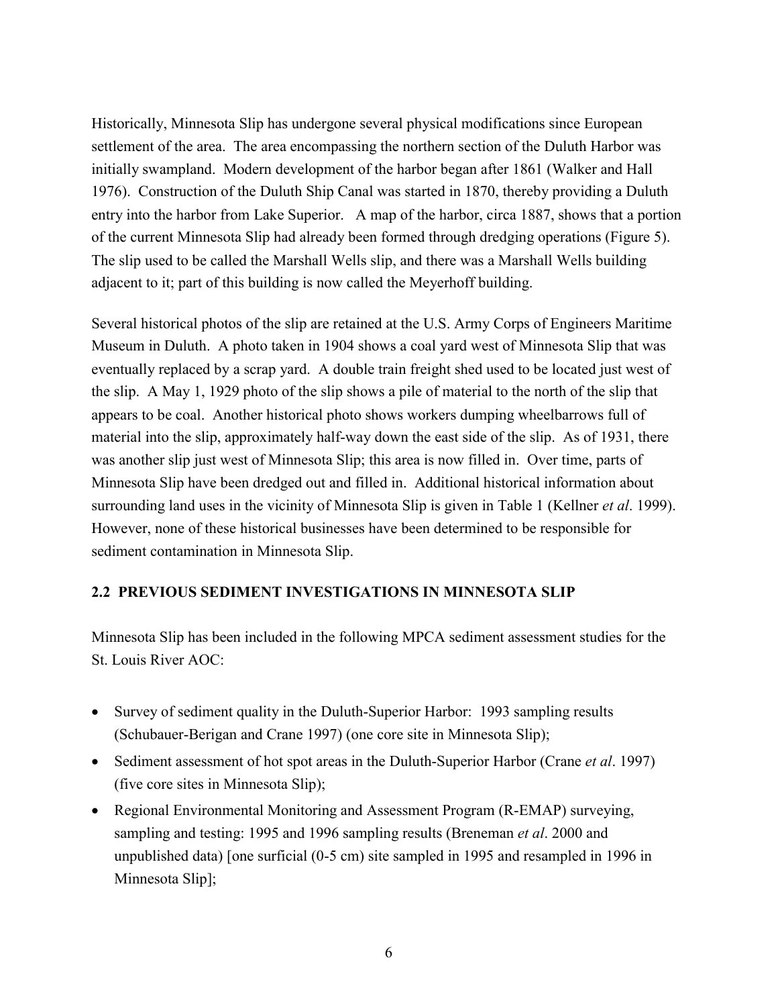Historically, Minnesota Slip has undergone several physical modifications since European settlement of the area. The area encompassing the northern section of the Duluth Harbor was initially swampland. Modern development of the harbor began after 1861 (Walker and Hall 1976). Construction of the Duluth Ship Canal was started in 1870, thereby providing a Duluth entry into the harbor from Lake Superior. A map of the harbor, circa 1887, shows that a portion of the current Minnesota Slip had already been formed through dredging operations (Figure 5). The slip used to be called the Marshall Wells slip, and there was a Marshall Wells building adjacent to it; part of this building is now called the Meyerhoff building.

Several historical photos of the slip are retained at the U.S. Army Corps of Engineers Maritime Museum in Duluth. A photo taken in 1904 shows a coal yard west of Minnesota Slip that was eventually replaced by a scrap yard. A double train freight shed used to be located just west of the slip. A May 1, 1929 photo of the slip shows a pile of material to the north of the slip that appears to be coal. Another historical photo shows workers dumping wheelbarrows full of material into the slip, approximately half-way down the east side of the slip. As of 1931, there was another slip just west of Minnesota Slip; this area is now filled in. Over time, parts of Minnesota Slip have been dredged out and filled in. Additional historical information about surrounding land uses in the vicinity of Minnesota Slip is given in Table 1 (Kellner *et al*. 1999). However, none of these historical businesses have been determined to be responsible for sediment contamination in Minnesota Slip.

# **2.2 PREVIOUS SEDIMENT INVESTIGATIONS IN MINNESOTA SLIP**

Minnesota Slip has been included in the following MPCA sediment assessment studies for the St. Louis River AOC:

- Survey of sediment quality in the Duluth-Superior Harbor: 1993 sampling results (Schubauer-Berigan and Crane 1997) (one core site in Minnesota Slip);
- Sediment assessment of hot spot areas in the Duluth-Superior Harbor (Crane *et al*. 1997) (five core sites in Minnesota Slip);
- Regional Environmental Monitoring and Assessment Program (R-EMAP) surveying, sampling and testing: 1995 and 1996 sampling results (Breneman *et al*. 2000 and unpublished data) [one surficial (0-5 cm) site sampled in 1995 and resampled in 1996 in Minnesota Slip];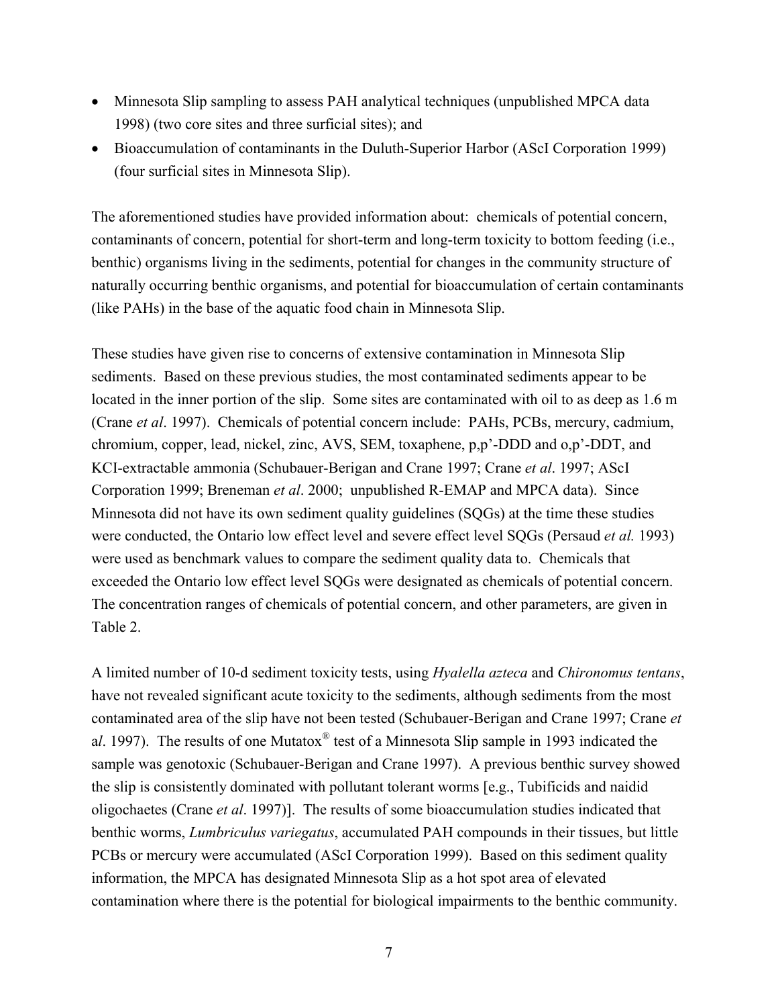- Minnesota Slip sampling to assess PAH analytical techniques (unpublished MPCA data 1998) (two core sites and three surficial sites); and
- Bioaccumulation of contaminants in the Duluth-Superior Harbor (AScI Corporation 1999) (four surficial sites in Minnesota Slip).

The aforementioned studies have provided information about: chemicals of potential concern, contaminants of concern, potential for short-term and long-term toxicity to bottom feeding (i.e., benthic) organisms living in the sediments, potential for changes in the community structure of naturally occurring benthic organisms, and potential for bioaccumulation of certain contaminants (like PAHs) in the base of the aquatic food chain in Minnesota Slip.

These studies have given rise to concerns of extensive contamination in Minnesota Slip sediments. Based on these previous studies, the most contaminated sediments appear to be located in the inner portion of the slip. Some sites are contaminated with oil to as deep as 1.6 m (Crane *et al*. 1997). Chemicals of potential concern include: PAHs, PCBs, mercury, cadmium, chromium, copper, lead, nickel, zinc, AVS, SEM, toxaphene, p,p'-DDD and o,p'-DDT, and KCI-extractable ammonia (Schubauer-Berigan and Crane 1997; Crane *et al*. 1997; AScI Corporation 1999; Breneman *et al*. 2000; unpublished R-EMAP and MPCA data). Since Minnesota did not have its own sediment quality guidelines (SQGs) at the time these studies were conducted, the Ontario low effect level and severe effect level SQGs (Persaud *et al.* 1993) were used as benchmark values to compare the sediment quality data to. Chemicals that exceeded the Ontario low effect level SQGs were designated as chemicals of potential concern. The concentration ranges of chemicals of potential concern, and other parameters, are given in Table 2.

A limited number of 10-d sediment toxicity tests, using *Hyalella azteca* and *Chironomus tentans*, have not revealed significant acute toxicity to the sediments, although sediments from the most contaminated area of the slip have not been tested (Schubauer-Berigan and Crane 1997; Crane *et* a*l*. 1997). The results of one Mutatox® test of a Minnesota Slip sample in 1993 indicated the sample was genotoxic (Schubauer-Berigan and Crane 1997). A previous benthic survey showed the slip is consistently dominated with pollutant tolerant worms [e.g., Tubificids and naidid oligochaetes (Crane *et al*. 1997)]. The results of some bioaccumulation studies indicated that benthic worms, *Lumbriculus variegatus*, accumulated PAH compounds in their tissues, but little PCBs or mercury were accumulated (AScI Corporation 1999). Based on this sediment quality information, the MPCA has designated Minnesota Slip as a hot spot area of elevated contamination where there is the potential for biological impairments to the benthic community.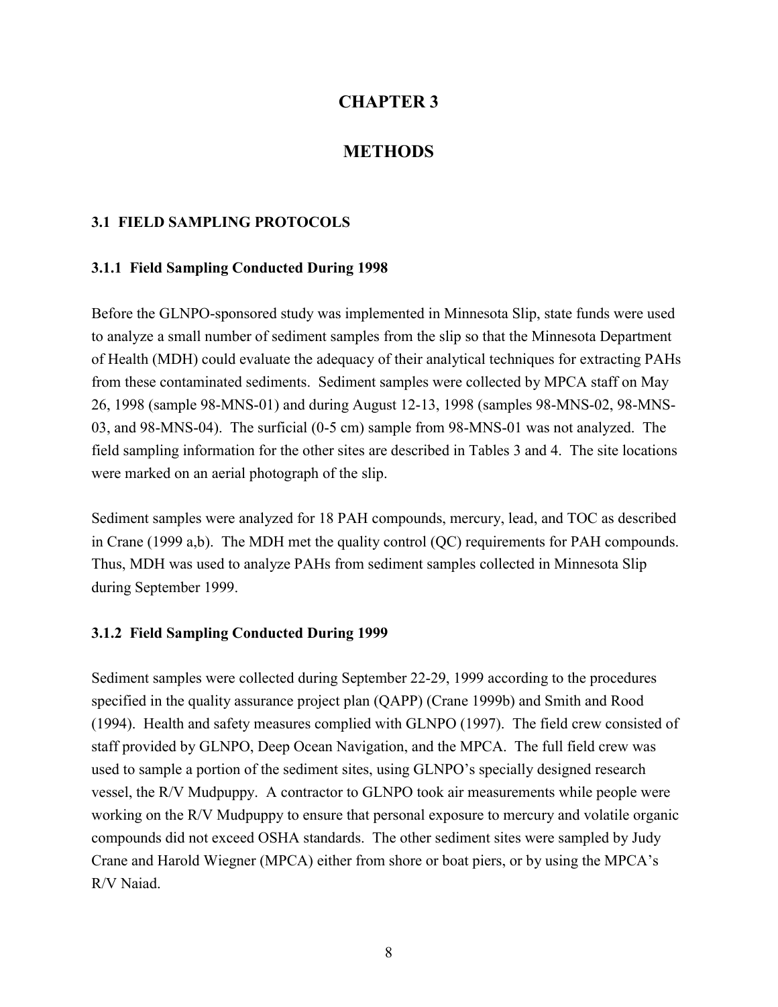# **CHAPTER 3**

# **METHODS**

#### **3.1 FIELD SAMPLING PROTOCOLS**

#### **3.1.1 Field Sampling Conducted During 1998**

Before the GLNPO-sponsored study was implemented in Minnesota Slip, state funds were used to analyze a small number of sediment samples from the slip so that the Minnesota Department of Health (MDH) could evaluate the adequacy of their analytical techniques for extracting PAHs from these contaminated sediments. Sediment samples were collected by MPCA staff on May 26, 1998 (sample 98-MNS-01) and during August 12-13, 1998 (samples 98-MNS-02, 98-MNS-03, and 98-MNS-04). The surficial (0-5 cm) sample from 98-MNS-01 was not analyzed. The field sampling information for the other sites are described in Tables 3 and 4. The site locations were marked on an aerial photograph of the slip.

Sediment samples were analyzed for 18 PAH compounds, mercury, lead, and TOC as described in Crane (1999 a,b). The MDH met the quality control (QC) requirements for PAH compounds. Thus, MDH was used to analyze PAHs from sediment samples collected in Minnesota Slip during September 1999.

#### **3.1.2 Field Sampling Conducted During 1999**

Sediment samples were collected during September 22-29, 1999 according to the procedures specified in the quality assurance project plan (QAPP) (Crane 1999b) and Smith and Rood (1994). Health and safety measures complied with GLNPO (1997). The field crew consisted of staff provided by GLNPO, Deep Ocean Navigation, and the MPCA. The full field crew was used to sample a portion of the sediment sites, using GLNPO's specially designed research vessel, the R/V Mudpuppy. A contractor to GLNPO took air measurements while people were working on the R/V Mudpuppy to ensure that personal exposure to mercury and volatile organic compounds did not exceed OSHA standards. The other sediment sites were sampled by Judy Crane and Harold Wiegner (MPCA) either from shore or boat piers, or by using the MPCA's R/V Naiad.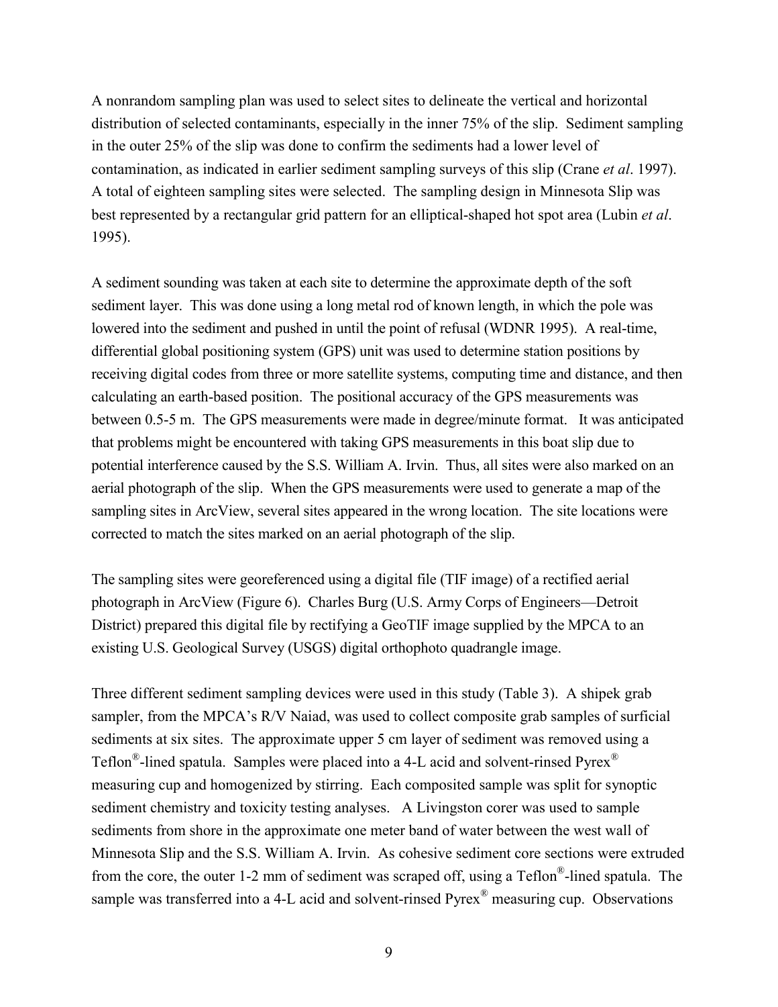A nonrandom sampling plan was used to select sites to delineate the vertical and horizontal distribution of selected contaminants, especially in the inner 75% of the slip. Sediment sampling in the outer 25% of the slip was done to confirm the sediments had a lower level of contamination, as indicated in earlier sediment sampling surveys of this slip (Crane *et al*. 1997). A total of eighteen sampling sites were selected. The sampling design in Minnesota Slip was best represented by a rectangular grid pattern for an elliptical-shaped hot spot area (Lubin *et al*. 1995).

A sediment sounding was taken at each site to determine the approximate depth of the soft sediment layer. This was done using a long metal rod of known length, in which the pole was lowered into the sediment and pushed in until the point of refusal (WDNR 1995). A real-time, differential global positioning system (GPS) unit was used to determine station positions by receiving digital codes from three or more satellite systems, computing time and distance, and then calculating an earth-based position. The positional accuracy of the GPS measurements was between 0.5-5 m. The GPS measurements were made in degree/minute format. It was anticipated that problems might be encountered with taking GPS measurements in this boat slip due to potential interference caused by the S.S. William A. Irvin. Thus, all sites were also marked on an aerial photograph of the slip. When the GPS measurements were used to generate a map of the sampling sites in ArcView, several sites appeared in the wrong location. The site locations were corrected to match the sites marked on an aerial photograph of the slip.

The sampling sites were georeferenced using a digital file (TIF image) of a rectified aerial photograph in ArcView (Figure 6). Charles Burg (U.S. Army Corps of Engineers—Detroit District) prepared this digital file by rectifying a GeoTIF image supplied by the MPCA to an existing U.S. Geological Survey (USGS) digital orthophoto quadrangle image.

Three different sediment sampling devices were used in this study (Table 3). A shipek grab sampler, from the MPCA's R/V Naiad, was used to collect composite grab samples of surficial sediments at six sites. The approximate upper 5 cm layer of sediment was removed using a Teflon®-lined spatula. Samples were placed into a 4-L acid and solvent-rinsed Pyrex® measuring cup and homogenized by stirring. Each composited sample was split for synoptic sediment chemistry and toxicity testing analyses. A Livingston corer was used to sample sediments from shore in the approximate one meter band of water between the west wall of Minnesota Slip and the S.S. William A. Irvin. As cohesive sediment core sections were extruded from the core, the outer 1-2 mm of sediment was scraped off, using a Teflon®-lined spatula. The sample was transferred into a 4-L acid and solvent-rinsed Pyrex<sup>®</sup> measuring cup. Observations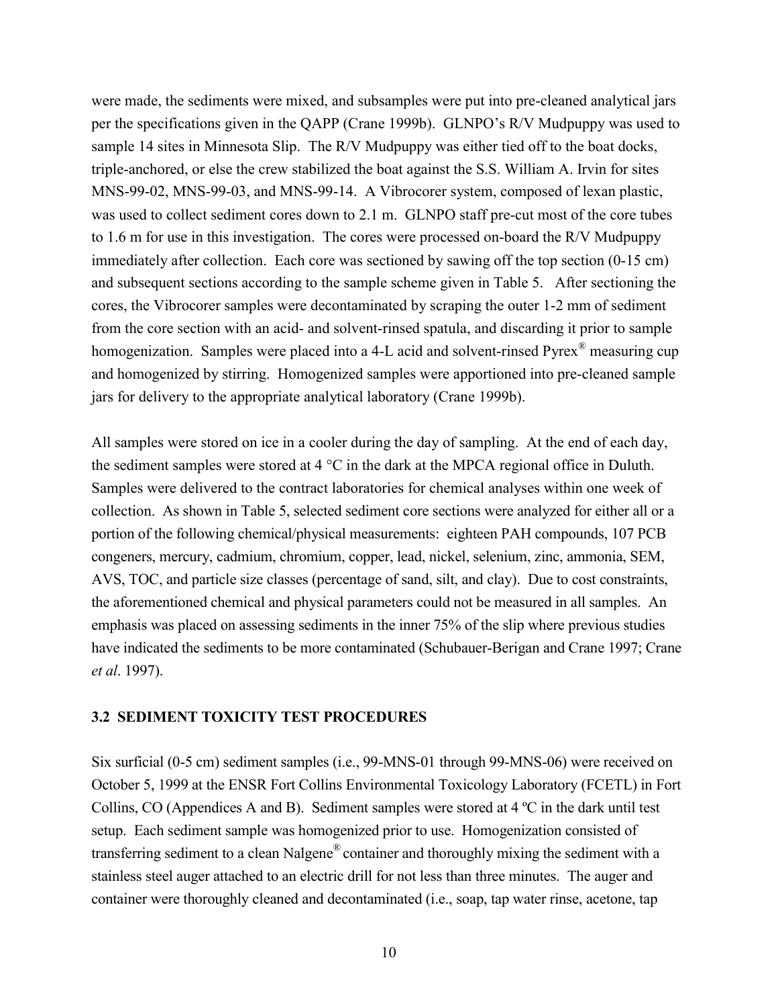were made, the sediments were mixed, and subsamples were put into pre-cleaned analytical jars per the specifications given in the QAPP (Crane 1999b). GLNPO's R/V Mudpuppy was used to sample 14 sites in Minnesota Slip. The R/V Mudpuppy was either tied off to the boat docks, triple-anchored, or else the crew stabilized the boat against the S.S. William A. Irvin for sites MNS-99-02, MNS-99-03, and MNS-99-14. A Vibrocorer system, composed of lexan plastic, was used to collect sediment cores down to 2.1 m. GLNPO staff pre-cut most of the core tubes to 1.6 m for use in this investigation. The cores were processed on-board the R/V Mudpuppy immediately after collection. Each core was sectioned by sawing off the top section (0-15 cm) and subsequent sections according to the sample scheme given in Table 5. After sectioning the cores, the Vibrocorer samples were decontaminated by scraping the outer 1-2 mm of sediment from the core section with an acid- and solvent-rinsed spatula, and discarding it prior to sample homogenization. Samples were placed into a 4-L acid and solvent-rinsed Pyrex<sup>®</sup> measuring cup and homogenized by stirring. Homogenized samples were apportioned into pre-cleaned sample jars for delivery to the appropriate analytical laboratory (Crane 1999b).

All samples were stored on ice in a cooler during the day of sampling. At the end of each day, the sediment samples were stored at 4 °C in the dark at the MPCA regional office in Duluth. Samples were delivered to the contract laboratories for chemical analyses within one week of collection. As shown in Table 5, selected sediment core sections were analyzed for either all or a portion of the following chemical/physical measurements: eighteen PAH compounds, 107 PCB congeners, mercury, cadmium, chromium, copper, lead, nickel, selenium, zinc, ammonia, SEM, AVS, TOC, and particle size classes (percentage of sand, silt, and clay). Due to cost constraints, the aforementioned chemical and physical parameters could not be measured in all samples. An emphasis was placed on assessing sediments in the inner 75% of the slip where previous studies have indicated the sediments to be more contaminated (Schubauer-Berigan and Crane 1997; Crane *et al*. 1997).

#### **3.2 SEDIMENT TOXICITY TEST PROCEDURES**

Six surficial (0-5 cm) sediment samples (i.e., 99-MNS-01 through 99-MNS-06) were received on October 5, 1999 at the ENSR Fort Collins Environmental Toxicology Laboratory (FCETL) in Fort Collins, CO (Appendices A and B). Sediment samples were stored at 4 ºC in the dark until test setup. Each sediment sample was homogenized prior to use. Homogenization consisted of transferring sediment to a clean Nalgene® container and thoroughly mixing the sediment with a stainless steel auger attached to an electric drill for not less than three minutes. The auger and container were thoroughly cleaned and decontaminated (i.e., soap, tap water rinse, acetone, tap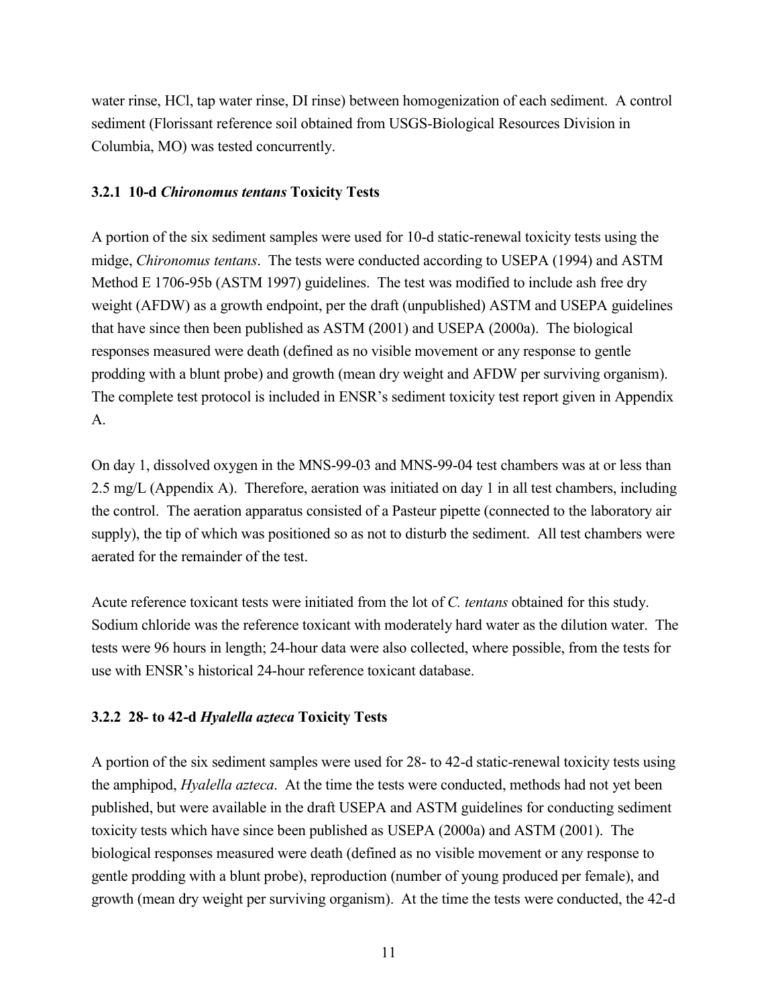water rinse, HCl, tap water rinse, DI rinse) between homogenization of each sediment. A control sediment (Florissant reference soil obtained from USGS-Biological Resources Division in Columbia, MO) was tested concurrently.

# **3.2.1 10-d** *Chironomus tentans* **Toxicity Tests**

A portion of the six sediment samples were used for 10-d static-renewal toxicity tests using the midge, *Chironomus tentans*. The tests were conducted according to USEPA (1994) and ASTM Method E 1706-95b (ASTM 1997) guidelines. The test was modified to include ash free dry weight (AFDW) as a growth endpoint, per the draft (unpublished) ASTM and USEPA guidelines that have since then been published as ASTM (2001) and USEPA (2000a). The biological responses measured were death (defined as no visible movement or any response to gentle prodding with a blunt probe) and growth (mean dry weight and AFDW per surviving organism). The complete test protocol is included in ENSR's sediment toxicity test report given in Appendix A.

On day 1, dissolved oxygen in the MNS-99-03 and MNS-99-04 test chambers was at or less than 2.5 mg/L (Appendix A). Therefore, aeration was initiated on day 1 in all test chambers, including the control. The aeration apparatus consisted of a Pasteur pipette (connected to the laboratory air supply), the tip of which was positioned so as not to disturb the sediment. All test chambers were aerated for the remainder of the test.

Acute reference toxicant tests were initiated from the lot of *C. tentans* obtained for this study. Sodium chloride was the reference toxicant with moderately hard water as the dilution water. The tests were 96 hours in length; 24-hour data were also collected, where possible, from the tests for use with ENSR's historical 24-hour reference toxicant database.

# **3.2.2 28- to 42-d** *Hyalella azteca* **Toxicity Tests**

A portion of the six sediment samples were used for 28- to 42-d static-renewal toxicity tests using the amphipod, *Hyalella azteca*. At the time the tests were conducted, methods had not yet been published, but were available in the draft USEPA and ASTM guidelines for conducting sediment toxicity tests which have since been published as USEPA (2000a) and ASTM (2001). The biological responses measured were death (defined as no visible movement or any response to gentle prodding with a blunt probe), reproduction (number of young produced per female), and growth (mean dry weight per surviving organism). At the time the tests were conducted, the 42-d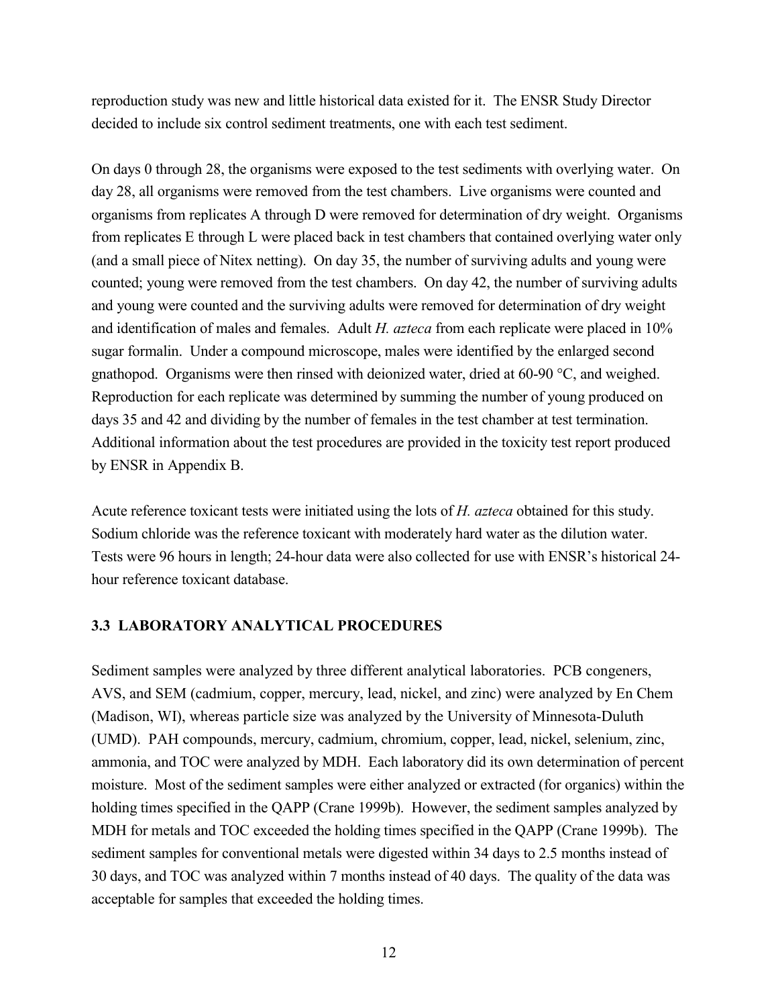reproduction study was new and little historical data existed for it. The ENSR Study Director decided to include six control sediment treatments, one with each test sediment.

On days 0 through 28, the organisms were exposed to the test sediments with overlying water. On day 28, all organisms were removed from the test chambers. Live organisms were counted and organisms from replicates A through D were removed for determination of dry weight. Organisms from replicates E through L were placed back in test chambers that contained overlying water only (and a small piece of Nitex netting). On day 35, the number of surviving adults and young were counted; young were removed from the test chambers. On day 42, the number of surviving adults and young were counted and the surviving adults were removed for determination of dry weight and identification of males and females. Adult *H. azteca* from each replicate were placed in 10% sugar formalin. Under a compound microscope, males were identified by the enlarged second gnathopod. Organisms were then rinsed with deionized water, dried at 60-90 °C, and weighed. Reproduction for each replicate was determined by summing the number of young produced on days 35 and 42 and dividing by the number of females in the test chamber at test termination. Additional information about the test procedures are provided in the toxicity test report produced by ENSR in Appendix B.

Acute reference toxicant tests were initiated using the lots of *H. azteca* obtained for this study. Sodium chloride was the reference toxicant with moderately hard water as the dilution water. Tests were 96 hours in length; 24-hour data were also collected for use with ENSR's historical 24 hour reference toxicant database.

#### **3.3 LABORATORY ANALYTICAL PROCEDURES**

Sediment samples were analyzed by three different analytical laboratories. PCB congeners, AVS, and SEM (cadmium, copper, mercury, lead, nickel, and zinc) were analyzed by En Chem (Madison, WI), whereas particle size was analyzed by the University of Minnesota-Duluth (UMD). PAH compounds, mercury, cadmium, chromium, copper, lead, nickel, selenium, zinc, ammonia, and TOC were analyzed by MDH. Each laboratory did its own determination of percent moisture. Most of the sediment samples were either analyzed or extracted (for organics) within the holding times specified in the QAPP (Crane 1999b). However, the sediment samples analyzed by MDH for metals and TOC exceeded the holding times specified in the QAPP (Crane 1999b). The sediment samples for conventional metals were digested within 34 days to 2.5 months instead of 30 days, and TOC was analyzed within 7 months instead of 40 days. The quality of the data was acceptable for samples that exceeded the holding times.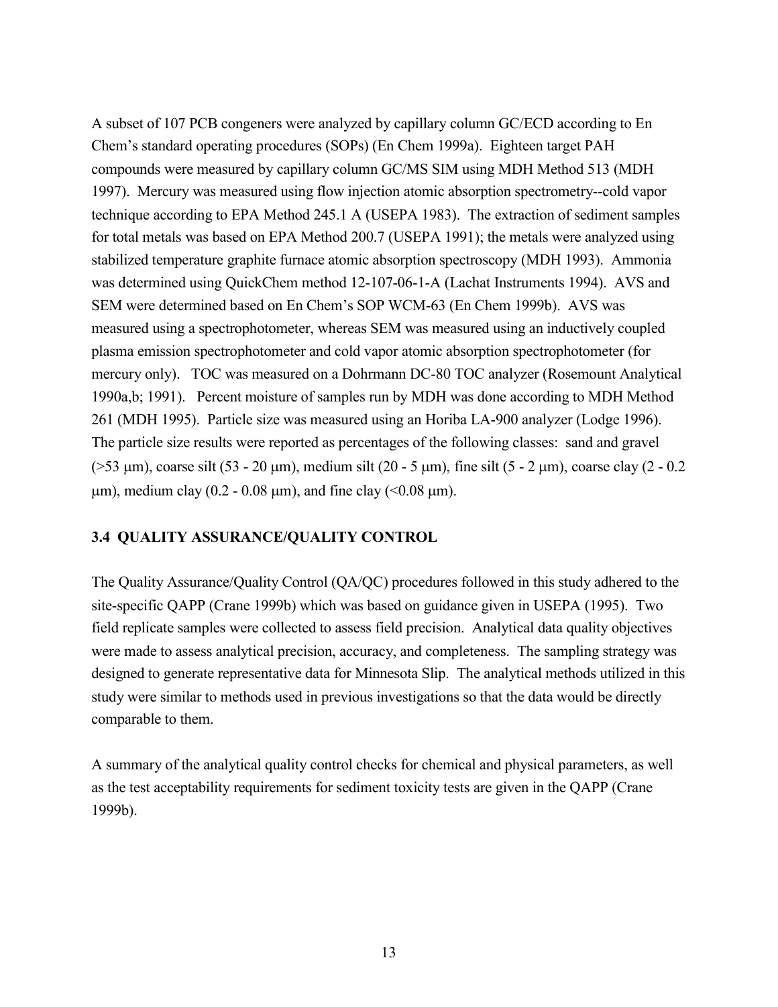A subset of 107 PCB congeners were analyzed by capillary column GC/ECD according to En Chem's standard operating procedures (SOPs) (En Chem 1999a). Eighteen target PAH compounds were measured by capillary column GC/MS SIM using MDH Method 513 (MDH 1997). Mercury was measured using flow injection atomic absorption spectrometry--cold vapor technique according to EPA Method 245.1 A (USEPA 1983). The extraction of sediment samples for total metals was based on EPA Method 200.7 (USEPA 1991); the metals were analyzed using stabilized temperature graphite furnace atomic absorption spectroscopy (MDH 1993). Ammonia was determined using QuickChem method 12-107-06-1-A (Lachat Instruments 1994). AVS and SEM were determined based on En Chem's SOP WCM-63 (En Chem 1999b). AVS was measured using a spectrophotometer, whereas SEM was measured using an inductively coupled plasma emission spectrophotometer and cold vapor atomic absorption spectrophotometer (for mercury only). TOC was measured on a Dohrmann DC-80 TOC analyzer (Rosemount Analytical 1990a,b; 1991). Percent moisture of samples run by MDH was done according to MDH Method 261 (MDH 1995). Particle size was measured using an Horiba LA-900 analyzer (Lodge 1996). The particle size results were reported as percentages of the following classes: sand and gravel  $($ >53  $\mu$ m), coarse silt (53 - 20  $\mu$ m), medium silt (20 - 5  $\mu$ m), fine silt (5 - 2  $\mu$ m), coarse clay (2 - 0.2  $\mu$ m), medium clay (0.2 - 0.08  $\mu$ m), and fine clay (<0.08  $\mu$ m).

#### **3.4 QUALITY ASSURANCE/QUALITY CONTROL**

The Quality Assurance/Quality Control (QA/QC) procedures followed in this study adhered to the site-specific QAPP (Crane 1999b) which was based on guidance given in USEPA (1995). Two field replicate samples were collected to assess field precision. Analytical data quality objectives were made to assess analytical precision, accuracy, and completeness. The sampling strategy was designed to generate representative data for Minnesota Slip. The analytical methods utilized in this study were similar to methods used in previous investigations so that the data would be directly comparable to them.

A summary of the analytical quality control checks for chemical and physical parameters, as well as the test acceptability requirements for sediment toxicity tests are given in the QAPP (Crane 1999b).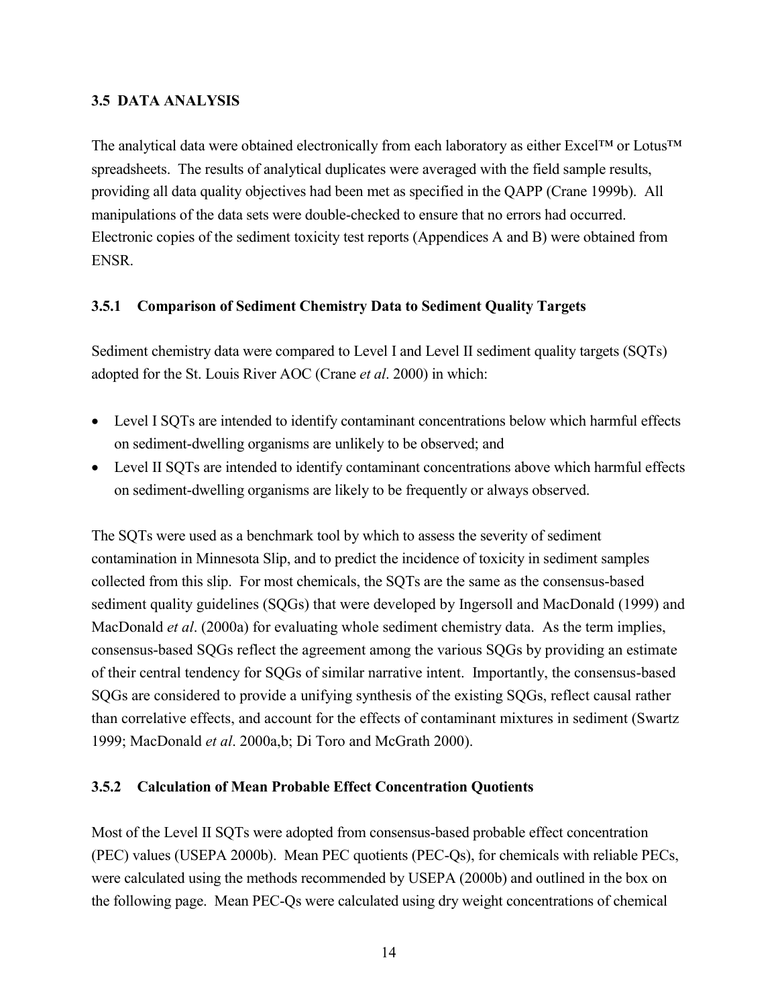### **3.5 DATA ANALYSIS**

The analytical data were obtained electronically from each laboratory as either Excel™ or Lotus™ spreadsheets. The results of analytical duplicates were averaged with the field sample results, providing all data quality objectives had been met as specified in the QAPP (Crane 1999b). All manipulations of the data sets were double-checked to ensure that no errors had occurred. Electronic copies of the sediment toxicity test reports (Appendices A and B) were obtained from ENSR.

# **3.5.1 Comparison of Sediment Chemistry Data to Sediment Quality Targets**

Sediment chemistry data were compared to Level I and Level II sediment quality targets (SQTs) adopted for the St. Louis River AOC (Crane *et al*. 2000) in which:

- Level I SQTs are intended to identify contaminant concentrations below which harmful effects on sediment-dwelling organisms are unlikely to be observed; and
- Level II SQTs are intended to identify contaminant concentrations above which harmful effects on sediment-dwelling organisms are likely to be frequently or always observed.

The SQTs were used as a benchmark tool by which to assess the severity of sediment contamination in Minnesota Slip, and to predict the incidence of toxicity in sediment samples collected from this slip. For most chemicals, the SQTs are the same as the consensus-based sediment quality guidelines (SQGs) that were developed by Ingersoll and MacDonald (1999) and MacDonald *et al*. (2000a) for evaluating whole sediment chemistry data. As the term implies, consensus-based SQGs reflect the agreement among the various SQGs by providing an estimate of their central tendency for SQGs of similar narrative intent. Importantly, the consensus-based SQGs are considered to provide a unifying synthesis of the existing SQGs, reflect causal rather than correlative effects, and account for the effects of contaminant mixtures in sediment (Swartz 1999; MacDonald *et al*. 2000a,b; Di Toro and McGrath 2000).

# **3.5.2 Calculation of Mean Probable Effect Concentration Quotients**

Most of the Level II SQTs were adopted from consensus-based probable effect concentration (PEC) values (USEPA 2000b). Mean PEC quotients (PEC-Qs), for chemicals with reliable PECs, were calculated using the methods recommended by USEPA (2000b) and outlined in the box on the following page. Mean PEC-Qs were calculated using dry weight concentrations of chemical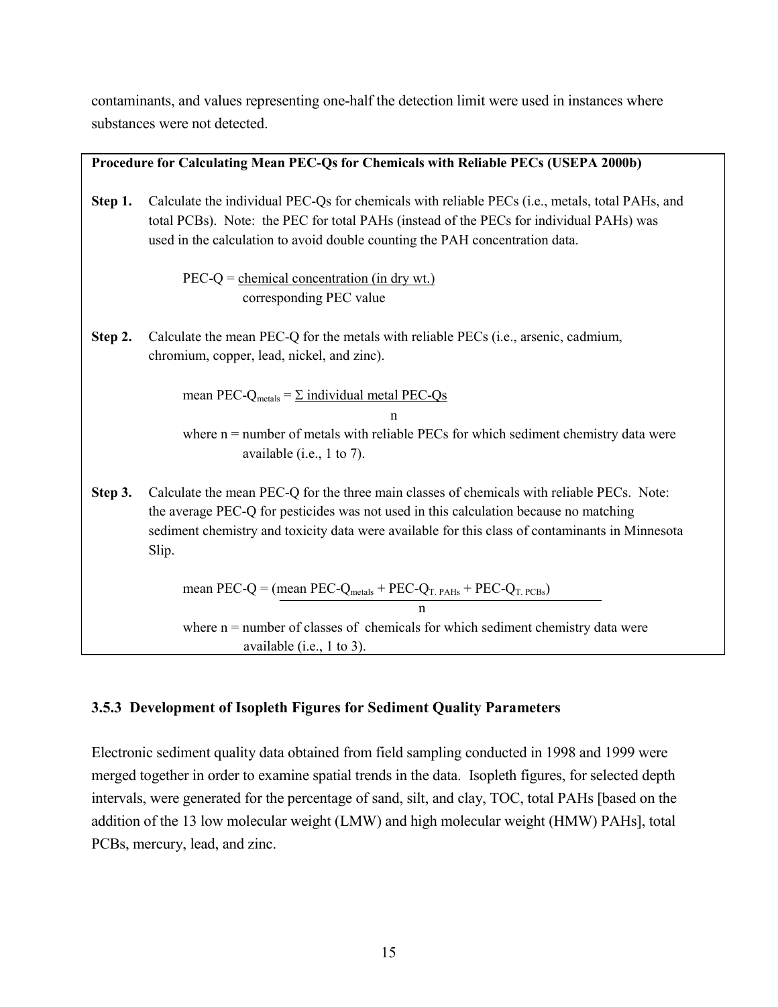contaminants, and values representing one-half the detection limit were used in instances where substances were not detected.

|         | Procedure for Calculating Mean PEC-Qs for Chemicals with Reliable PECs (USEPA 2000b)                                                                                                                                                                                                            |
|---------|-------------------------------------------------------------------------------------------------------------------------------------------------------------------------------------------------------------------------------------------------------------------------------------------------|
|         |                                                                                                                                                                                                                                                                                                 |
| Step 1. | Calculate the individual PEC-Qs for chemicals with reliable PECs (i.e., metals, total PAHs, and<br>total PCBs). Note: the PEC for total PAHs (instead of the PECs for individual PAHs) was<br>used in the calculation to avoid double counting the PAH concentration data.                      |
|         | $PEC-Q = \underline{chemical\ concentration\ (in dry\ wt.)}$<br>corresponding PEC value                                                                                                                                                                                                         |
| Step 2. | Calculate the mean PEC-Q for the metals with reliable PECs (i.e., arsenic, cadmium,<br>chromium, copper, lead, nickel, and zinc).                                                                                                                                                               |
|         | mean PEC-Q <sub>metals</sub> = $\Sigma$ individual metal PEC-Qs<br>n<br>where $n =$ number of metals with reliable PECs for which sediment chemistry data were<br>available (i.e., $1$ to 7).                                                                                                   |
| Step 3. | Calculate the mean PEC-Q for the three main classes of chemicals with reliable PECs. Note:<br>the average PEC-Q for pesticides was not used in this calculation because no matching<br>sediment chemistry and toxicity data were available for this class of contaminants in Minnesota<br>Slip. |
|         | mean PEC-Q = (mean PEC-Q <sub>metals</sub> + PEC-Q <sub>T. PAHs</sub> + PEC-Q <sub>T. PCBs</sub> )                                                                                                                                                                                              |
|         | n                                                                                                                                                                                                                                                                                               |
|         | where $n =$ number of classes of chemicals for which sediment chemistry data were                                                                                                                                                                                                               |
|         | available (i.e., $1$ to 3).                                                                                                                                                                                                                                                                     |

# **3.5.3 Development of Isopleth Figures for Sediment Quality Parameters**

Electronic sediment quality data obtained from field sampling conducted in 1998 and 1999 were merged together in order to examine spatial trends in the data. Isopleth figures, for selected depth intervals, were generated for the percentage of sand, silt, and clay, TOC, total PAHs [based on the addition of the 13 low molecular weight (LMW) and high molecular weight (HMW) PAHs], total PCBs, mercury, lead, and zinc.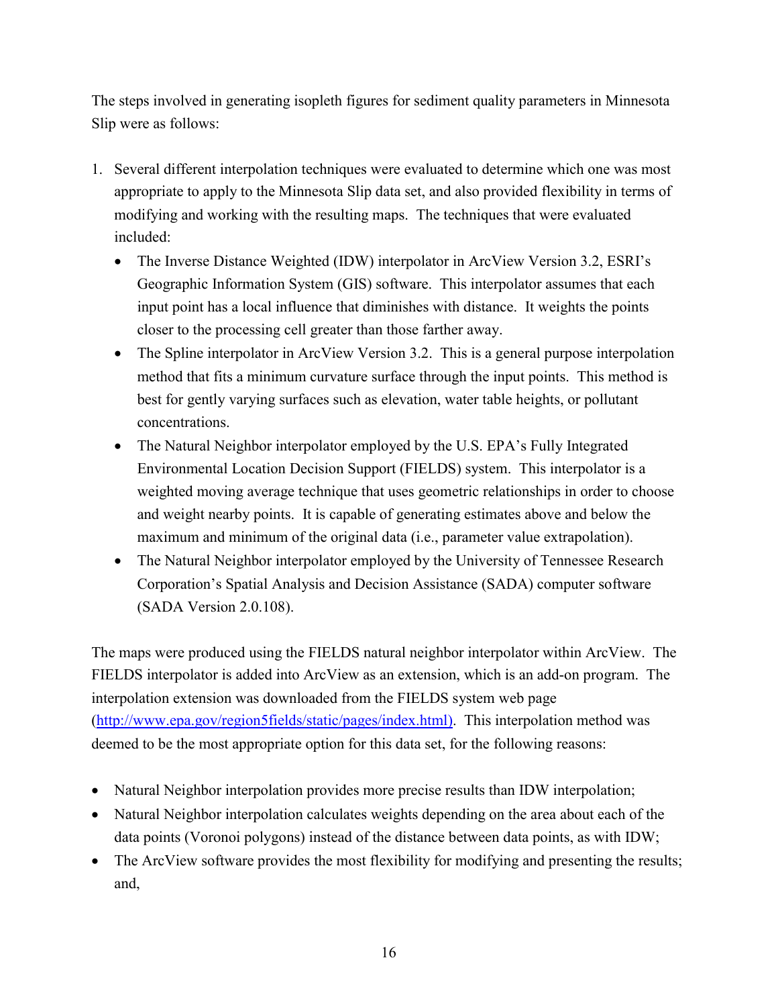The steps involved in generating isopleth figures for sediment quality parameters in Minnesota Slip were as follows:

- 1. Several different interpolation techniques were evaluated to determine which one was most appropriate to apply to the Minnesota Slip data set, and also provided flexibility in terms of modifying and working with the resulting maps. The techniques that were evaluated included:
	- The Inverse Distance Weighted (IDW) interpolator in ArcView Version 3.2, ESRI's Geographic Information System (GIS) software. This interpolator assumes that each input point has a local influence that diminishes with distance. It weights the points closer to the processing cell greater than those farther away.
	- The Spline interpolator in ArcView Version 3.2. This is a general purpose interpolation method that fits a minimum curvature surface through the input points. This method is best for gently varying surfaces such as elevation, water table heights, or pollutant concentrations.
	- The Natural Neighbor interpolator employed by the U.S. EPA's Fully Integrated Environmental Location Decision Support (FIELDS) system. This interpolator is a weighted moving average technique that uses geometric relationships in order to choose and weight nearby points. It is capable of generating estimates above and below the maximum and minimum of the original data (i.e., parameter value extrapolation).
	- The Natural Neighbor interpolator employed by the University of Tennessee Research Corporation's Spatial Analysis and Decision Assistance (SADA) computer software (SADA Version 2.0.108).

The maps were produced using the FIELDS natural neighbor interpolator within ArcView. The FIELDS interpolator is added into ArcView as an extension, which is an add-on program. The interpolation extension was downloaded from the FIELDS system web page [\(http://www.epa.gov/region5fields/static/pages/index.html\).](http://www.epa.gov/region5fields/static/pages/index.html) This interpolation method was deemed to be the most appropriate option for this data set, for the following reasons:

- Natural Neighbor interpolation provides more precise results than IDW interpolation;
- Natural Neighbor interpolation calculates weights depending on the area about each of the data points (Voronoi polygons) instead of the distance between data points, as with IDW;
- The ArcView software provides the most flexibility for modifying and presenting the results; and,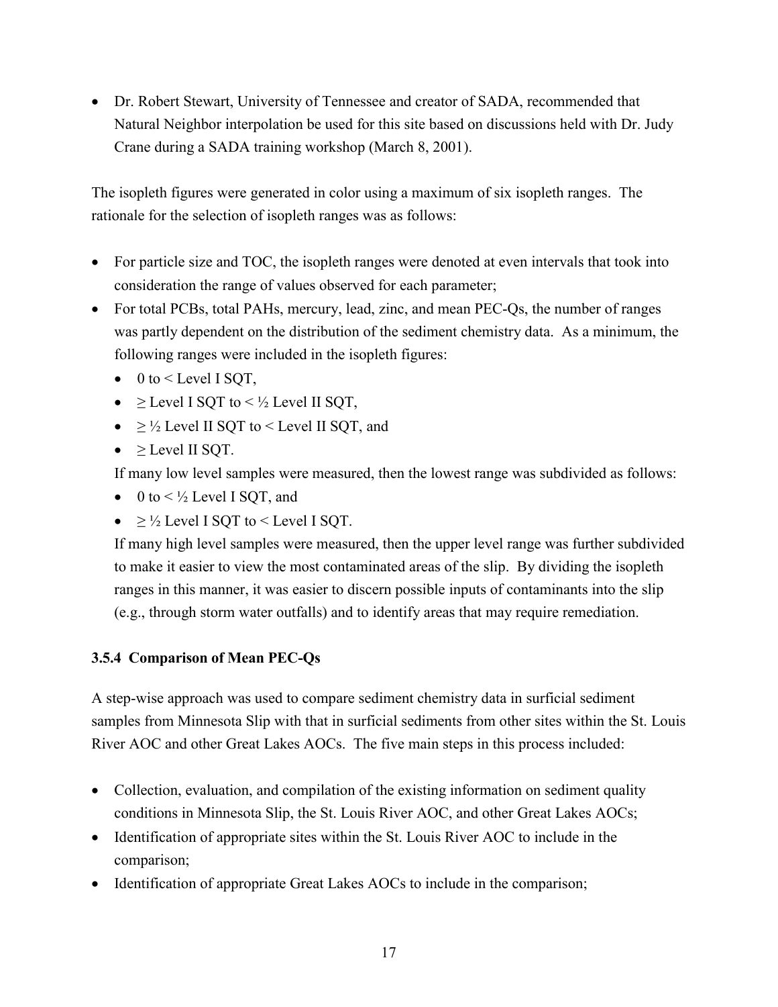Dr. Robert Stewart, University of Tennessee and creator of SADA, recommended that Natural Neighbor interpolation be used for this site based on discussions held with Dr. Judy Crane during a SADA training workshop (March 8, 2001).

The isopleth figures were generated in color using a maximum of six isopleth ranges. The rationale for the selection of isopleth ranges was as follows:

- For particle size and TOC, the isopleth ranges were denoted at even intervals that took into consideration the range of values observed for each parameter;
- For total PCBs, total PAHs, mercury, lead, zinc, and mean PEC-Os, the number of ranges was partly dependent on the distribution of the sediment chemistry data. As a minimum, the following ranges were included in the isopleth figures:
	- $\bullet$  0 to < Level I SQT,
	- $\geq$  Level I SQT to <  $\frac{1}{2}$  Level II SQT,
	- $\bullet \geq \frac{1}{2}$  Level II SQT to < Level II SQT, and
	- $\bullet$  > Level II SOT.

If many low level samples were measured, then the lowest range was subdivided as follows:

- $\bullet$  0 to <  $\frac{1}{2}$  Level I SQT, and
- $\bullet$  >  $\frac{1}{2}$  Level I SOT to < Level I SOT.

If many high level samples were measured, then the upper level range was further subdivided to make it easier to view the most contaminated areas of the slip. By dividing the isopleth ranges in this manner, it was easier to discern possible inputs of contaminants into the slip (e.g., through storm water outfalls) and to identify areas that may require remediation.

# **3.5.4 Comparison of Mean PEC-Qs**

A step-wise approach was used to compare sediment chemistry data in surficial sediment samples from Minnesota Slip with that in surficial sediments from other sites within the St. Louis River AOC and other Great Lakes AOCs. The five main steps in this process included:

- Collection, evaluation, and compilation of the existing information on sediment quality conditions in Minnesota Slip, the St. Louis River AOC, and other Great Lakes AOCs;
- Identification of appropriate sites within the St. Louis River AOC to include in the comparison;
- Identification of appropriate Great Lakes AOCs to include in the comparison;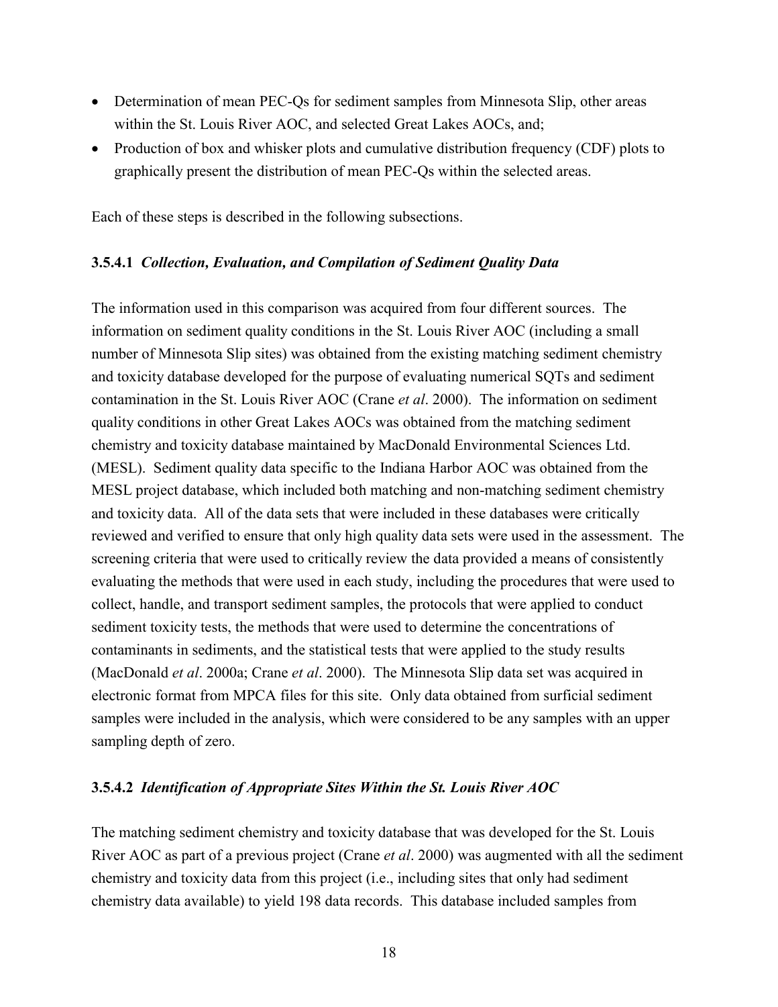- Determination of mean PEC-Qs for sediment samples from Minnesota Slip, other areas within the St. Louis River AOC, and selected Great Lakes AOCs, and;
- Production of box and whisker plots and cumulative distribution frequency (CDF) plots to graphically present the distribution of mean PEC-Qs within the selected areas.

Each of these steps is described in the following subsections.

#### **3.5.4.1** *Collection, Evaluation, and Compilation of Sediment Quality Data*

The information used in this comparison was acquired from four different sources. The information on sediment quality conditions in the St. Louis River AOC (including a small number of Minnesota Slip sites) was obtained from the existing matching sediment chemistry and toxicity database developed for the purpose of evaluating numerical SQTs and sediment contamination in the St. Louis River AOC (Crane *et al*. 2000). The information on sediment quality conditions in other Great Lakes AOCs was obtained from the matching sediment chemistry and toxicity database maintained by MacDonald Environmental Sciences Ltd. (MESL). Sediment quality data specific to the Indiana Harbor AOC was obtained from the MESL project database, which included both matching and non-matching sediment chemistry and toxicity data. All of the data sets that were included in these databases were critically reviewed and verified to ensure that only high quality data sets were used in the assessment. The screening criteria that were used to critically review the data provided a means of consistently evaluating the methods that were used in each study, including the procedures that were used to collect, handle, and transport sediment samples, the protocols that were applied to conduct sediment toxicity tests, the methods that were used to determine the concentrations of contaminants in sediments, and the statistical tests that were applied to the study results (MacDonald *et al*. 2000a; Crane *et al*. 2000). The Minnesota Slip data set was acquired in electronic format from MPCA files for this site. Only data obtained from surficial sediment samples were included in the analysis, which were considered to be any samples with an upper sampling depth of zero.

#### **3.5.4.2** *Identification of Appropriate Sites Within the St. Louis River AOC*

The matching sediment chemistry and toxicity database that was developed for the St. Louis River AOC as part of a previous project (Crane *et al*. 2000) was augmented with all the sediment chemistry and toxicity data from this project (i.e., including sites that only had sediment chemistry data available) to yield 198 data records. This database included samples from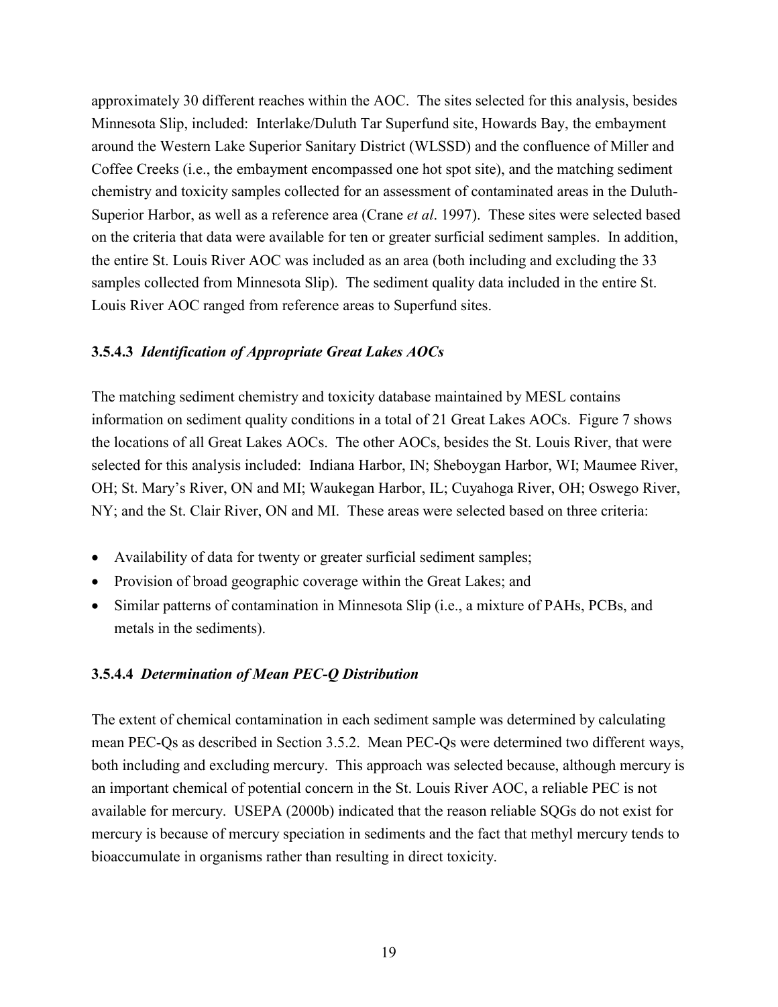approximately 30 different reaches within the AOC. The sites selected for this analysis, besides Minnesota Slip, included: Interlake/Duluth Tar Superfund site, Howards Bay, the embayment around the Western Lake Superior Sanitary District (WLSSD) and the confluence of Miller and Coffee Creeks (i.e., the embayment encompassed one hot spot site), and the matching sediment chemistry and toxicity samples collected for an assessment of contaminated areas in the Duluth-Superior Harbor, as well as a reference area (Crane *et al*. 1997). These sites were selected based on the criteria that data were available for ten or greater surficial sediment samples. In addition, the entire St. Louis River AOC was included as an area (both including and excluding the 33 samples collected from Minnesota Slip). The sediment quality data included in the entire St. Louis River AOC ranged from reference areas to Superfund sites.

#### **3.5.4.3** *Identification of Appropriate Great Lakes AOCs*

The matching sediment chemistry and toxicity database maintained by MESL contains information on sediment quality conditions in a total of 21 Great Lakes AOCs. Figure 7 shows the locations of all Great Lakes AOCs. The other AOCs, besides the St. Louis River, that were selected for this analysis included: Indiana Harbor, IN; Sheboygan Harbor, WI; Maumee River, OH; St. Mary's River, ON and MI; Waukegan Harbor, IL; Cuyahoga River, OH; Oswego River, NY; and the St. Clair River, ON and MI. These areas were selected based on three criteria:

- Availability of data for twenty or greater surficial sediment samples;
- Provision of broad geographic coverage within the Great Lakes; and
- Similar patterns of contamination in Minnesota Slip (i.e., a mixture of PAHs, PCBs, and metals in the sediments).

#### **3.5.4.4** *Determination of Mean PEC-Q Distribution*

The extent of chemical contamination in each sediment sample was determined by calculating mean PEC-Qs as described in Section 3.5.2. Mean PEC-Qs were determined two different ways, both including and excluding mercury. This approach was selected because, although mercury is an important chemical of potential concern in the St. Louis River AOC, a reliable PEC is not available for mercury. USEPA (2000b) indicated that the reason reliable SQGs do not exist for mercury is because of mercury speciation in sediments and the fact that methyl mercury tends to bioaccumulate in organisms rather than resulting in direct toxicity.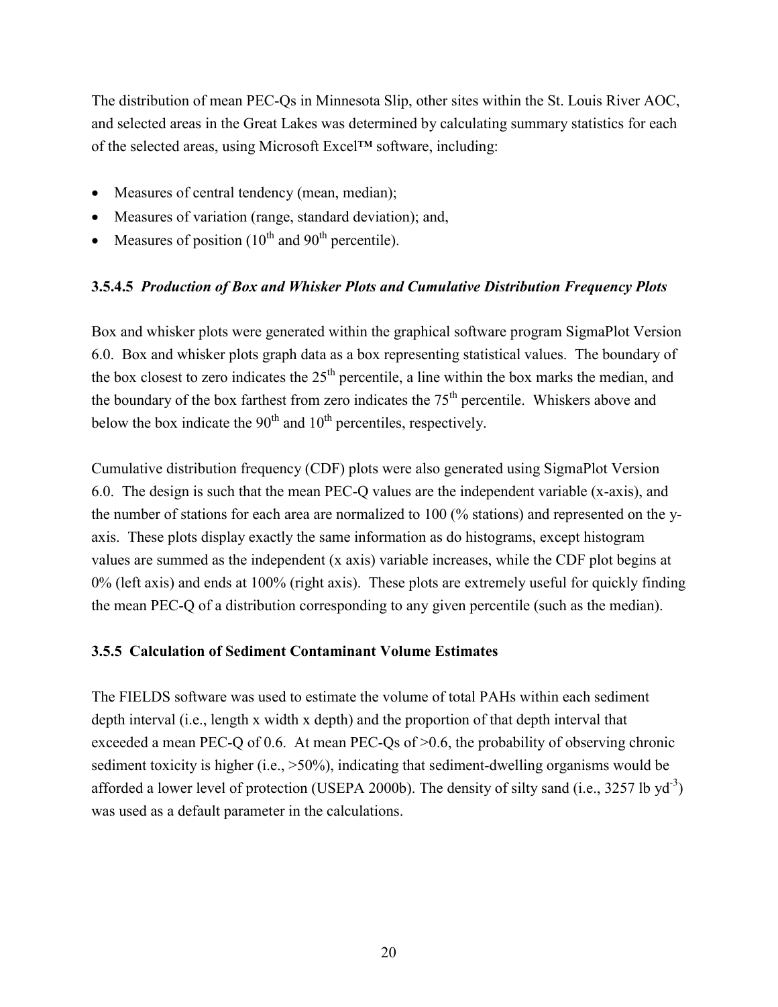The distribution of mean PEC-Qs in Minnesota Slip, other sites within the St. Louis River AOC, and selected areas in the Great Lakes was determined by calculating summary statistics for each of the selected areas, using Microsoft Excel™ software, including:

- Measures of central tendency (mean, median);
- Measures of variation (range, standard deviation); and,
- $\bullet$  Measures of position (10<sup>th</sup> and 90<sup>th</sup> percentile).

#### **3.5.4.5** *Production of Box and Whisker Plots and Cumulative Distribution Frequency Plots*

Box and whisker plots were generated within the graphical software program SigmaPlot Version 6.0. Box and whisker plots graph data as a box representing statistical values. The boundary of the box closest to zero indicates the  $25<sup>th</sup>$  percentile, a line within the box marks the median, and the boundary of the box farthest from zero indicates the  $75<sup>th</sup>$  percentile. Whiskers above and below the box indicate the  $90<sup>th</sup>$  and  $10<sup>th</sup>$  percentiles, respectively.

Cumulative distribution frequency (CDF) plots were also generated using SigmaPlot Version 6.0. The design is such that the mean PEC-Q values are the independent variable (x-axis), and the number of stations for each area are normalized to 100 (% stations) and represented on the yaxis. These plots display exactly the same information as do histograms, except histogram values are summed as the independent (x axis) variable increases, while the CDF plot begins at 0% (left axis) and ends at 100% (right axis). These plots are extremely useful for quickly finding the mean PEC-Q of a distribution corresponding to any given percentile (such as the median).

#### **3.5.5 Calculation of Sediment Contaminant Volume Estimates**

The FIELDS software was used to estimate the volume of total PAHs within each sediment depth interval (i.e., length x width x depth) and the proportion of that depth interval that exceeded a mean PEC-Q of 0.6. At mean PEC-Qs of  $>0.6$ , the probability of observing chronic sediment toxicity is higher (i.e.,  $>50\%$ ), indicating that sediment-dwelling organisms would be afforded a lower level of protection (USEPA 2000b). The density of silty sand (i.e., 3257 lb  $yd^{-3}$ ) was used as a default parameter in the calculations.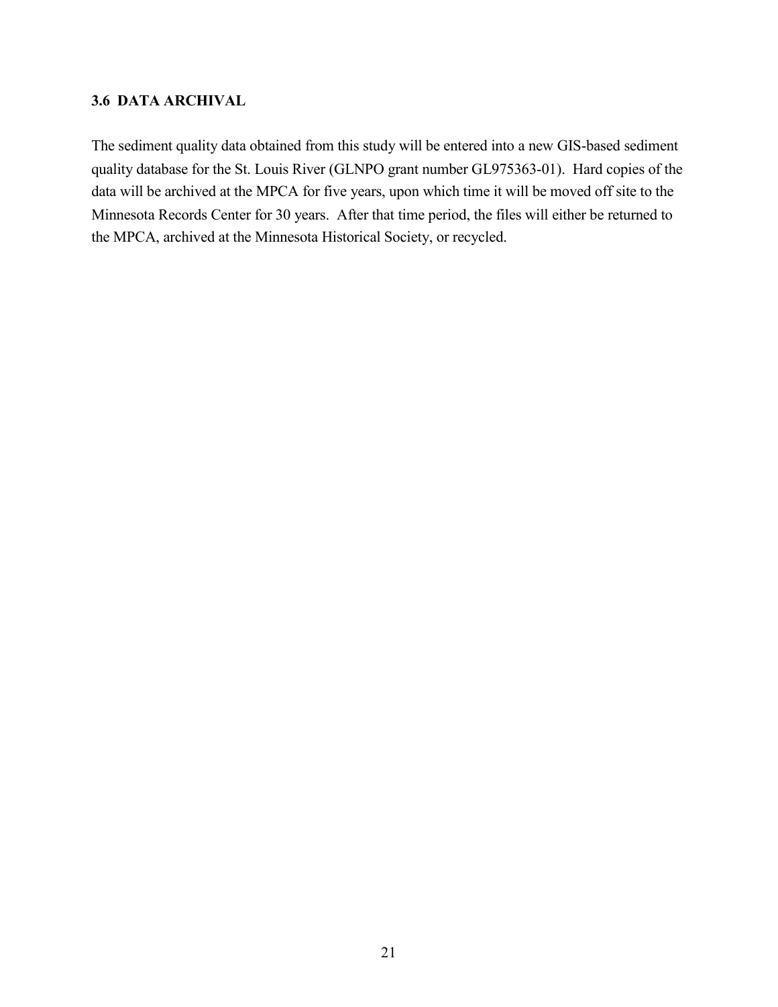# **3.6 DATA ARCHIVAL**

The sediment quality data obtained from this study will be entered into a new GIS-based sediment quality database for the St. Louis River (GLNPO grant number GL975363-01). Hard copies of the data will be archived at the MPCA for five years, upon which time it will be moved off site to the Minnesota Records Center for 30 years. After that time period, the files will either be returned to the MPCA, archived at the Minnesota Historical Society, or recycled.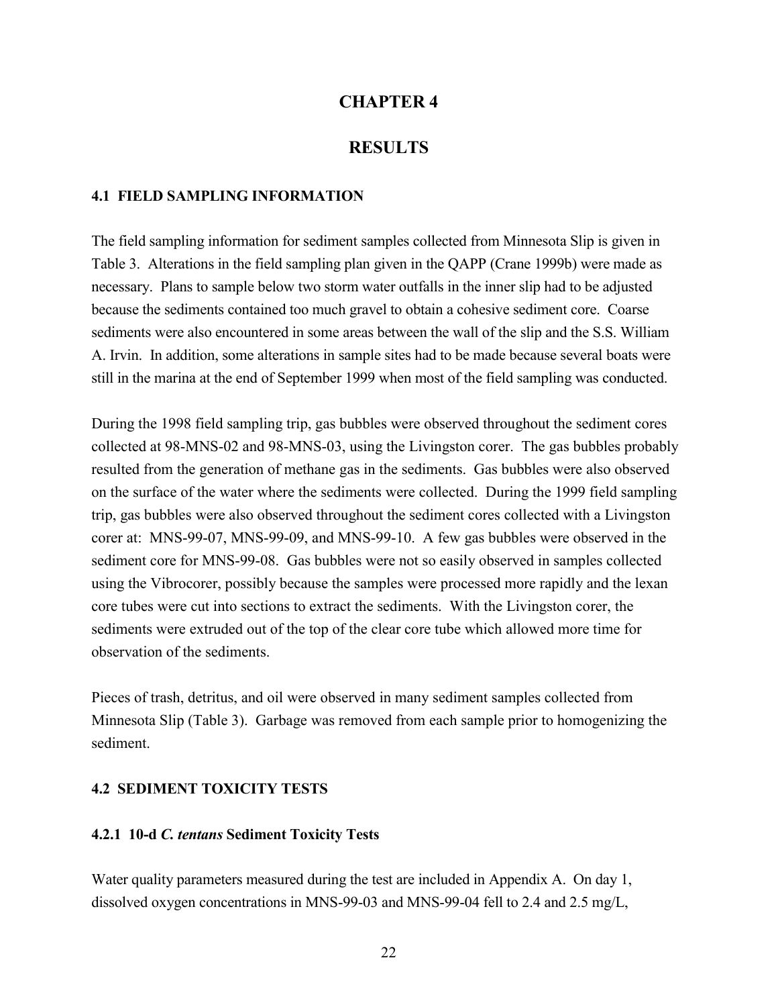# **CHAPTER 4**

# **RESULTS**

#### **4.1 FIELD SAMPLING INFORMATION**

The field sampling information for sediment samples collected from Minnesota Slip is given in Table 3. Alterations in the field sampling plan given in the QAPP (Crane 1999b) were made as necessary. Plans to sample below two storm water outfalls in the inner slip had to be adjusted because the sediments contained too much gravel to obtain a cohesive sediment core. Coarse sediments were also encountered in some areas between the wall of the slip and the S.S. William A. Irvin. In addition, some alterations in sample sites had to be made because several boats were still in the marina at the end of September 1999 when most of the field sampling was conducted.

During the 1998 field sampling trip, gas bubbles were observed throughout the sediment cores collected at 98-MNS-02 and 98-MNS-03, using the Livingston corer. The gas bubbles probably resulted from the generation of methane gas in the sediments. Gas bubbles were also observed on the surface of the water where the sediments were collected. During the 1999 field sampling trip, gas bubbles were also observed throughout the sediment cores collected with a Livingston corer at: MNS-99-07, MNS-99-09, and MNS-99-10. A few gas bubbles were observed in the sediment core for MNS-99-08. Gas bubbles were not so easily observed in samples collected using the Vibrocorer, possibly because the samples were processed more rapidly and the lexan core tubes were cut into sections to extract the sediments. With the Livingston corer, the sediments were extruded out of the top of the clear core tube which allowed more time for observation of the sediments.

Pieces of trash, detritus, and oil were observed in many sediment samples collected from Minnesota Slip (Table 3). Garbage was removed from each sample prior to homogenizing the sediment.

#### **4.2 SEDIMENT TOXICITY TESTS**

#### **4.2.1 10-d** *C. tentans* **Sediment Toxicity Tests**

Water quality parameters measured during the test are included in Appendix A. On day 1, dissolved oxygen concentrations in MNS-99-03 and MNS-99-04 fell to 2.4 and 2.5 mg/L,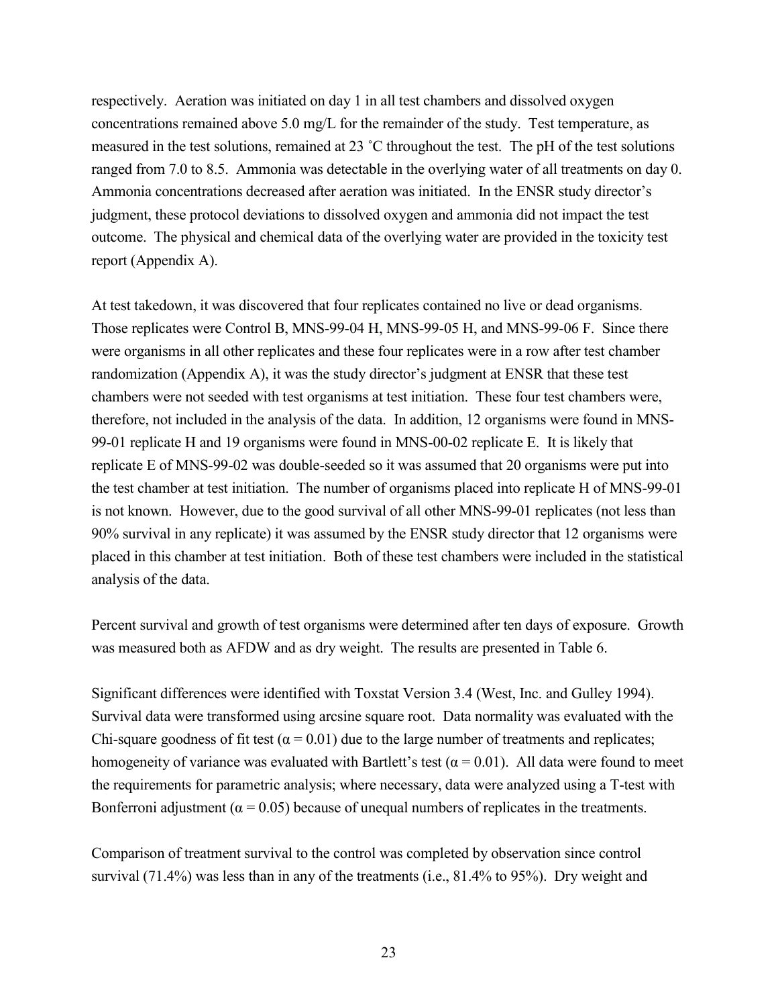respectively. Aeration was initiated on day 1 in all test chambers and dissolved oxygen concentrations remained above 5.0 mg/L for the remainder of the study. Test temperature, as measured in the test solutions, remained at 23 ˚C throughout the test. The pH of the test solutions ranged from 7.0 to 8.5. Ammonia was detectable in the overlying water of all treatments on day 0. Ammonia concentrations decreased after aeration was initiated. In the ENSR study director's judgment, these protocol deviations to dissolved oxygen and ammonia did not impact the test outcome. The physical and chemical data of the overlying water are provided in the toxicity test report (Appendix A).

At test takedown, it was discovered that four replicates contained no live or dead organisms. Those replicates were Control B, MNS-99-04 H, MNS-99-05 H, and MNS-99-06 F. Since there were organisms in all other replicates and these four replicates were in a row after test chamber randomization (Appendix A), it was the study director's judgment at ENSR that these test chambers were not seeded with test organisms at test initiation. These four test chambers were, therefore, not included in the analysis of the data. In addition, 12 organisms were found in MNS-99-01 replicate H and 19 organisms were found in MNS-00-02 replicate E. It is likely that replicate E of MNS-99-02 was double-seeded so it was assumed that 20 organisms were put into the test chamber at test initiation. The number of organisms placed into replicate H of MNS-99-01 is not known. However, due to the good survival of all other MNS-99-01 replicates (not less than 90% survival in any replicate) it was assumed by the ENSR study director that 12 organisms were placed in this chamber at test initiation. Both of these test chambers were included in the statistical analysis of the data.

Percent survival and growth of test organisms were determined after ten days of exposure. Growth was measured both as AFDW and as dry weight. The results are presented in Table 6.

Significant differences were identified with Toxstat Version 3.4 (West, Inc. and Gulley 1994). Survival data were transformed using arcsine square root. Data normality was evaluated with the Chi-square goodness of fit test ( $\alpha$  = 0.01) due to the large number of treatments and replicates; homogeneity of variance was evaluated with Bartlett's test ( $\alpha$  = 0.01). All data were found to meet the requirements for parametric analysis; where necessary, data were analyzed using a T-test with Bonferroni adjustment ( $\alpha$  = 0.05) because of unequal numbers of replicates in the treatments.

Comparison of treatment survival to the control was completed by observation since control survival (71.4%) was less than in any of the treatments (i.e., 81.4% to 95%). Dry weight and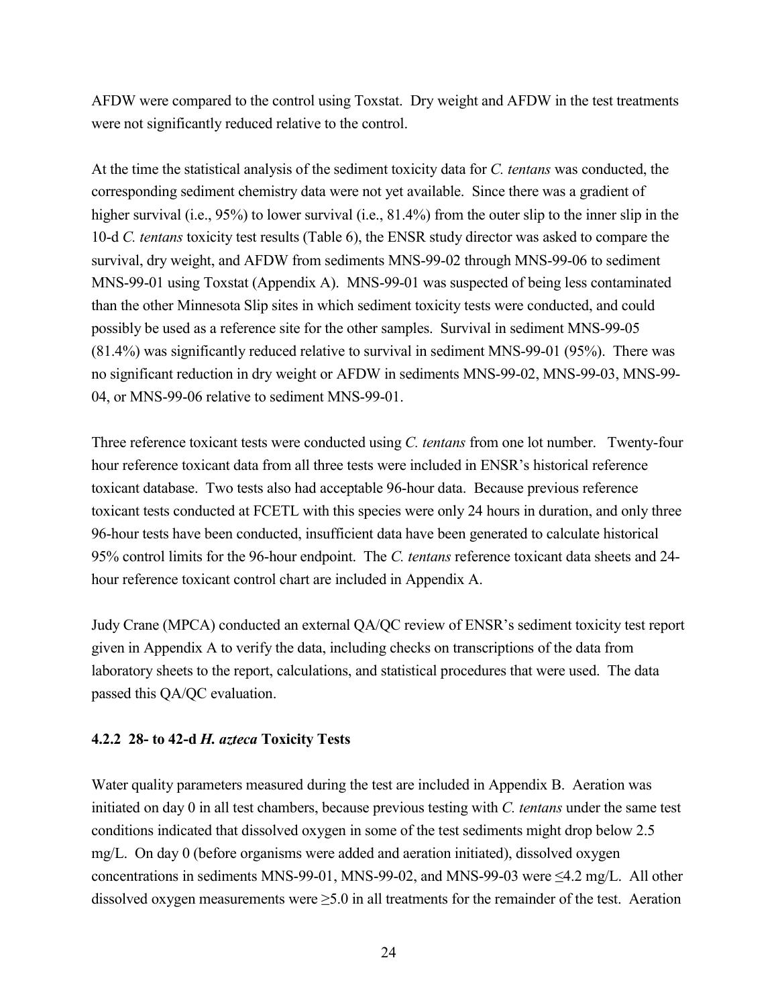AFDW were compared to the control using Toxstat. Dry weight and AFDW in the test treatments were not significantly reduced relative to the control.

At the time the statistical analysis of the sediment toxicity data for *C. tentans* was conducted, the corresponding sediment chemistry data were not yet available. Since there was a gradient of higher survival (i.e., 95%) to lower survival (i.e., 81.4%) from the outer slip to the inner slip in the 10-d *C. tentans* toxicity test results (Table 6), the ENSR study director was asked to compare the survival, dry weight, and AFDW from sediments MNS-99-02 through MNS-99-06 to sediment MNS-99-01 using Toxstat (Appendix A). MNS-99-01 was suspected of being less contaminated than the other Minnesota Slip sites in which sediment toxicity tests were conducted, and could possibly be used as a reference site for the other samples. Survival in sediment MNS-99-05 (81.4%) was significantly reduced relative to survival in sediment MNS-99-01 (95%). There was no significant reduction in dry weight or AFDW in sediments MNS-99-02, MNS-99-03, MNS-99- 04, or MNS-99-06 relative to sediment MNS-99-01.

Three reference toxicant tests were conducted using *C. tentans* from one lot number. Twenty-four hour reference toxicant data from all three tests were included in ENSR's historical reference toxicant database. Two tests also had acceptable 96-hour data. Because previous reference toxicant tests conducted at FCETL with this species were only 24 hours in duration, and only three 96-hour tests have been conducted, insufficient data have been generated to calculate historical 95% control limits for the 96-hour endpoint. The *C. tentans* reference toxicant data sheets and 24 hour reference toxicant control chart are included in Appendix A.

Judy Crane (MPCA) conducted an external QA/QC review of ENSR's sediment toxicity test report given in Appendix A to verify the data, including checks on transcriptions of the data from laboratory sheets to the report, calculations, and statistical procedures that were used. The data passed this QA/QC evaluation.

# **4.2.2 28- to 42-d** *H. azteca* **Toxicity Tests**

Water quality parameters measured during the test are included in Appendix B. Aeration was initiated on day 0 in all test chambers, because previous testing with *C. tentans* under the same test conditions indicated that dissolved oxygen in some of the test sediments might drop below 2.5 mg/L. On day 0 (before organisms were added and aeration initiated), dissolved oxygen concentrations in sediments MNS-99-01, MNS-99-02, and MNS-99-03 were  $\leq$ 4.2 mg/L. All other dissolved oxygen measurements were ≥5.0 in all treatments for the remainder of the test. Aeration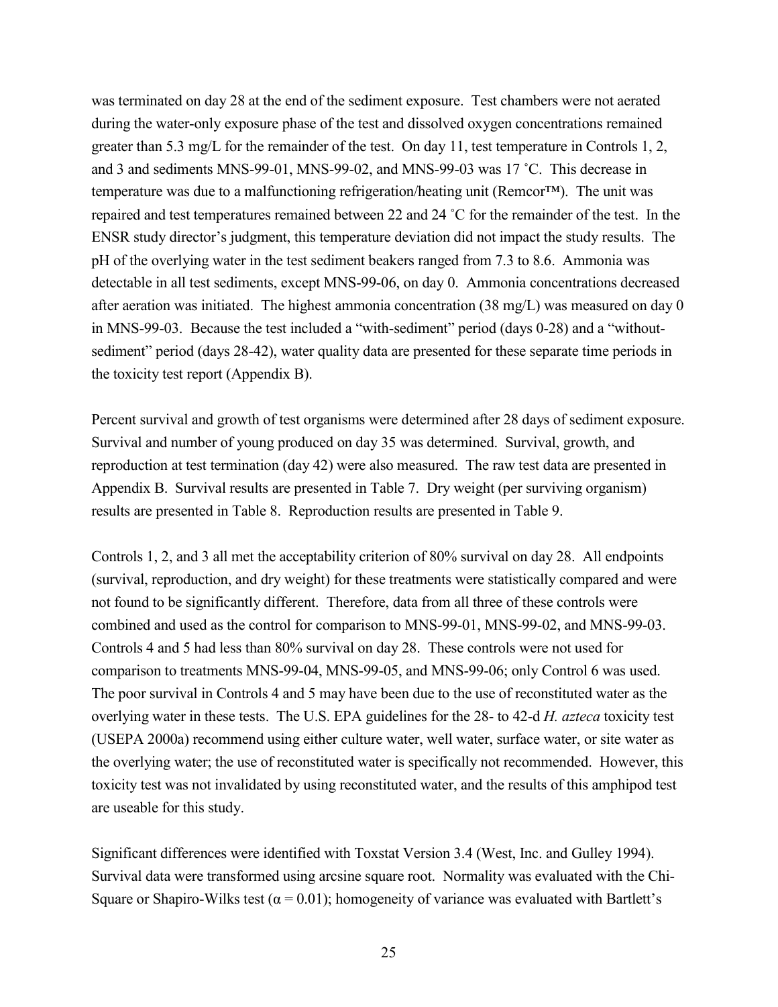was terminated on day 28 at the end of the sediment exposure. Test chambers were not aerated during the water-only exposure phase of the test and dissolved oxygen concentrations remained greater than 5.3 mg/L for the remainder of the test. On day 11, test temperature in Controls 1, 2, and 3 and sediments MNS-99-01, MNS-99-02, and MNS-99-03 was 17 ˚C. This decrease in temperature was due to a malfunctioning refrigeration/heating unit (Remcor™). The unit was repaired and test temperatures remained between 22 and 24 ˚C for the remainder of the test. In the ENSR study director's judgment, this temperature deviation did not impact the study results. The pH of the overlying water in the test sediment beakers ranged from 7.3 to 8.6. Ammonia was detectable in all test sediments, except MNS-99-06, on day 0. Ammonia concentrations decreased after aeration was initiated. The highest ammonia concentration (38 mg/L) was measured on day 0 in MNS-99-03. Because the test included a "with-sediment" period (days 0-28) and a "withoutsediment" period (days 28-42), water quality data are presented for these separate time periods in the toxicity test report (Appendix B).

Percent survival and growth of test organisms were determined after 28 days of sediment exposure. Survival and number of young produced on day 35 was determined. Survival, growth, and reproduction at test termination (day 42) were also measured. The raw test data are presented in Appendix B. Survival results are presented in Table 7. Dry weight (per surviving organism) results are presented in Table 8. Reproduction results are presented in Table 9.

Controls 1, 2, and 3 all met the acceptability criterion of 80% survival on day 28. All endpoints (survival, reproduction, and dry weight) for these treatments were statistically compared and were not found to be significantly different. Therefore, data from all three of these controls were combined and used as the control for comparison to MNS-99-01, MNS-99-02, and MNS-99-03. Controls 4 and 5 had less than 80% survival on day 28. These controls were not used for comparison to treatments MNS-99-04, MNS-99-05, and MNS-99-06; only Control 6 was used. The poor survival in Controls 4 and 5 may have been due to the use of reconstituted water as the overlying water in these tests. The U.S. EPA guidelines for the 28- to 42-d *H. azteca* toxicity test (USEPA 2000a) recommend using either culture water, well water, surface water, or site water as the overlying water; the use of reconstituted water is specifically not recommended. However, this toxicity test was not invalidated by using reconstituted water, and the results of this amphipod test are useable for this study.

Significant differences were identified with Toxstat Version 3.4 (West, Inc. and Gulley 1994). Survival data were transformed using arcsine square root. Normality was evaluated with the Chi-Square or Shapiro-Wilks test ( $\alpha$  = 0.01); homogeneity of variance was evaluated with Bartlett's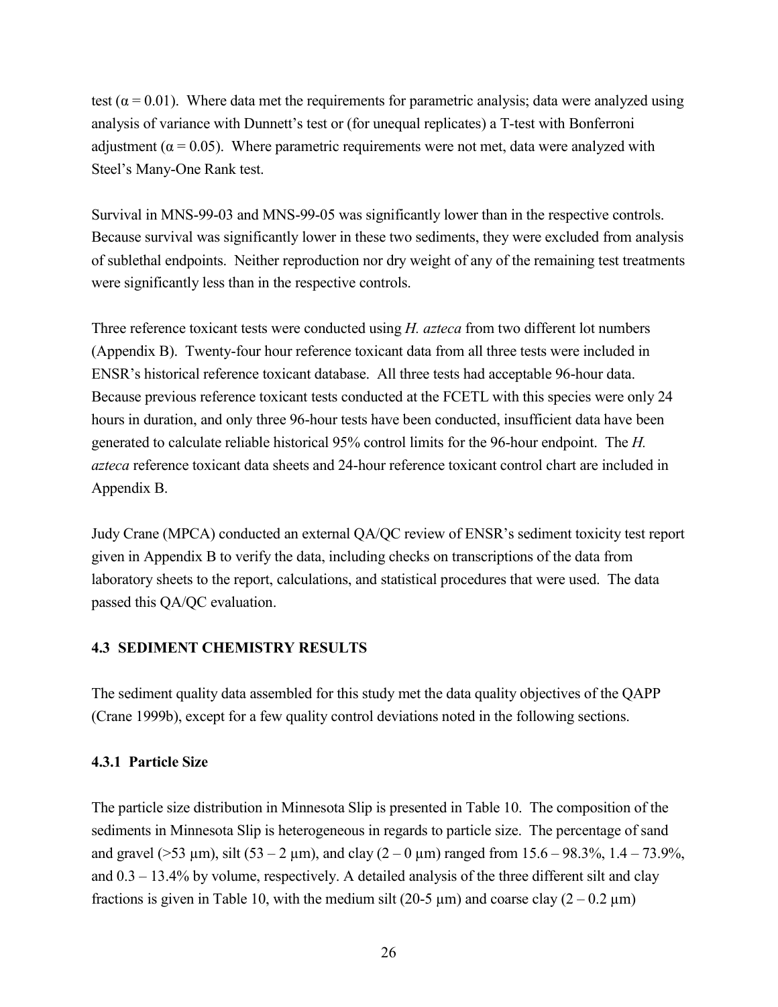test ( $\alpha$  = 0.01). Where data met the requirements for parametric analysis; data were analyzed using analysis of variance with Dunnett's test or (for unequal replicates) a T-test with Bonferroni adjustment ( $\alpha$  = 0.05). Where parametric requirements were not met, data were analyzed with Steel's Many-One Rank test.

Survival in MNS-99-03 and MNS-99-05 was significantly lower than in the respective controls. Because survival was significantly lower in these two sediments, they were excluded from analysis of sublethal endpoints. Neither reproduction nor dry weight of any of the remaining test treatments were significantly less than in the respective controls.

Three reference toxicant tests were conducted using *H. azteca* from two different lot numbers (Appendix B). Twenty-four hour reference toxicant data from all three tests were included in ENSR's historical reference toxicant database. All three tests had acceptable 96-hour data. Because previous reference toxicant tests conducted at the FCETL with this species were only 24 hours in duration, and only three 96-hour tests have been conducted, insufficient data have been generated to calculate reliable historical 95% control limits for the 96-hour endpoint. The *H. azteca* reference toxicant data sheets and 24-hour reference toxicant control chart are included in Appendix B.

Judy Crane (MPCA) conducted an external QA/QC review of ENSR's sediment toxicity test report given in Appendix B to verify the data, including checks on transcriptions of the data from laboratory sheets to the report, calculations, and statistical procedures that were used. The data passed this QA/QC evaluation.

#### **4.3 SEDIMENT CHEMISTRY RESULTS**

The sediment quality data assembled for this study met the data quality objectives of the QAPP (Crane 1999b), except for a few quality control deviations noted in the following sections.

#### **4.3.1 Particle Size**

The particle size distribution in Minnesota Slip is presented in Table 10. The composition of the sediments in Minnesota Slip is heterogeneous in regards to particle size. The percentage of sand and gravel ( $>53 \mu$ m), silt ( $53 - 2 \mu$ m), and clay ( $2 - 0 \mu$ m) ranged from 15.6 – 98.3%, 1.4 – 73.9%, and  $0.3 - 13.4\%$  by volume, respectively. A detailed analysis of the three different silt and clay fractions is given in Table 10, with the medium silt (20-5  $\mu$ m) and coarse clay (2 – 0.2  $\mu$ m)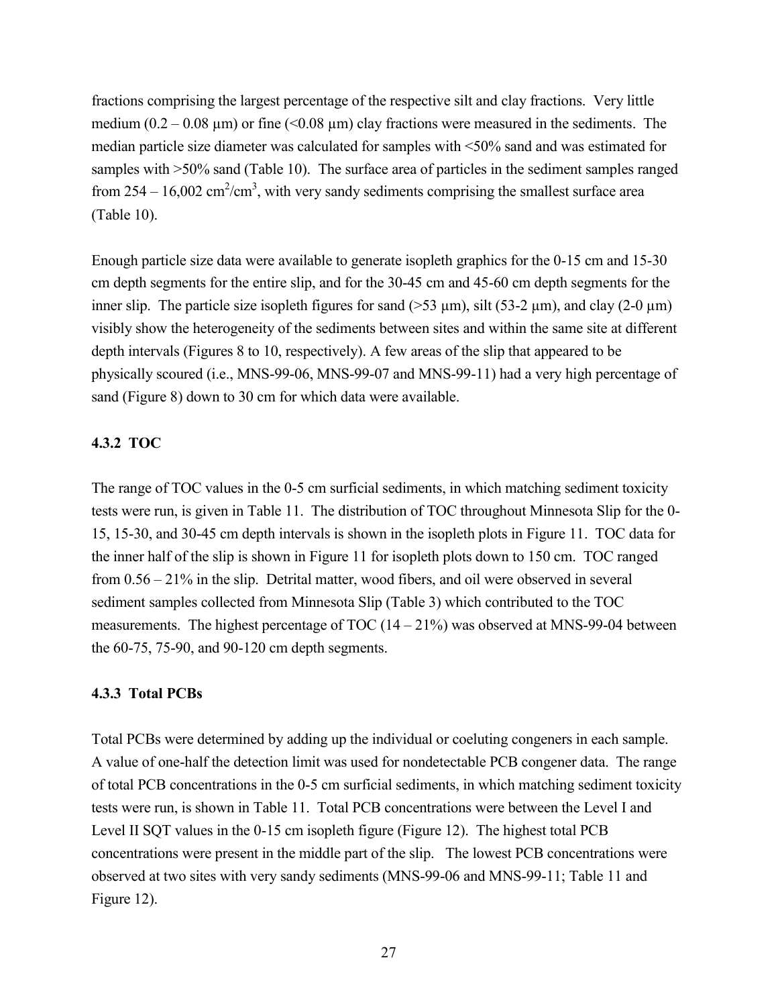fractions comprising the largest percentage of the respective silt and clay fractions. Very little medium  $(0.2 - 0.08 \,\mu\text{m})$  or fine (<0.08  $\mu$ m) clay fractions were measured in the sediments. The median particle size diameter was calculated for samples with <50% sand and was estimated for samples with  $>50\%$  sand (Table 10). The surface area of particles in the sediment samples ranged from  $254 - 16,002 \text{ cm}^2/\text{cm}^3$ , with very sandy sediments comprising the smallest surface area (Table 10).

Enough particle size data were available to generate isopleth graphics for the 0-15 cm and 15-30 cm depth segments for the entire slip, and for the 30-45 cm and 45-60 cm depth segments for the inner slip. The particle size isopleth figures for sand ( $>$ 53  $\mu$ m), silt (53-2  $\mu$ m), and clay (2-0  $\mu$ m) visibly show the heterogeneity of the sediments between sites and within the same site at different depth intervals (Figures 8 to 10, respectively). A few areas of the slip that appeared to be physically scoured (i.e., MNS-99-06, MNS-99-07 and MNS-99-11) had a very high percentage of sand (Figure 8) down to 30 cm for which data were available.

# **4.3.2 TOC**

The range of TOC values in the 0-5 cm surficial sediments, in which matching sediment toxicity tests were run, is given in Table 11. The distribution of TOC throughout Minnesota Slip for the 0- 15, 15-30, and 30-45 cm depth intervals is shown in the isopleth plots in Figure 11. TOC data for the inner half of the slip is shown in Figure 11 for isopleth plots down to 150 cm. TOC ranged from 0.56 – 21% in the slip. Detrital matter, wood fibers, and oil were observed in several sediment samples collected from Minnesota Slip (Table 3) which contributed to the TOC measurements. The highest percentage of TOC  $(14 - 21\%)$  was observed at MNS-99-04 between the 60-75, 75-90, and 90-120 cm depth segments.

# **4.3.3 Total PCBs**

Total PCBs were determined by adding up the individual or coeluting congeners in each sample. A value of one-half the detection limit was used for nondetectable PCB congener data. The range of total PCB concentrations in the 0-5 cm surficial sediments, in which matching sediment toxicity tests were run, is shown in Table 11. Total PCB concentrations were between the Level I and Level II SQT values in the 0-15 cm isopleth figure (Figure 12). The highest total PCB concentrations were present in the middle part of the slip. The lowest PCB concentrations were observed at two sites with very sandy sediments (MNS-99-06 and MNS-99-11; Table 11 and Figure 12).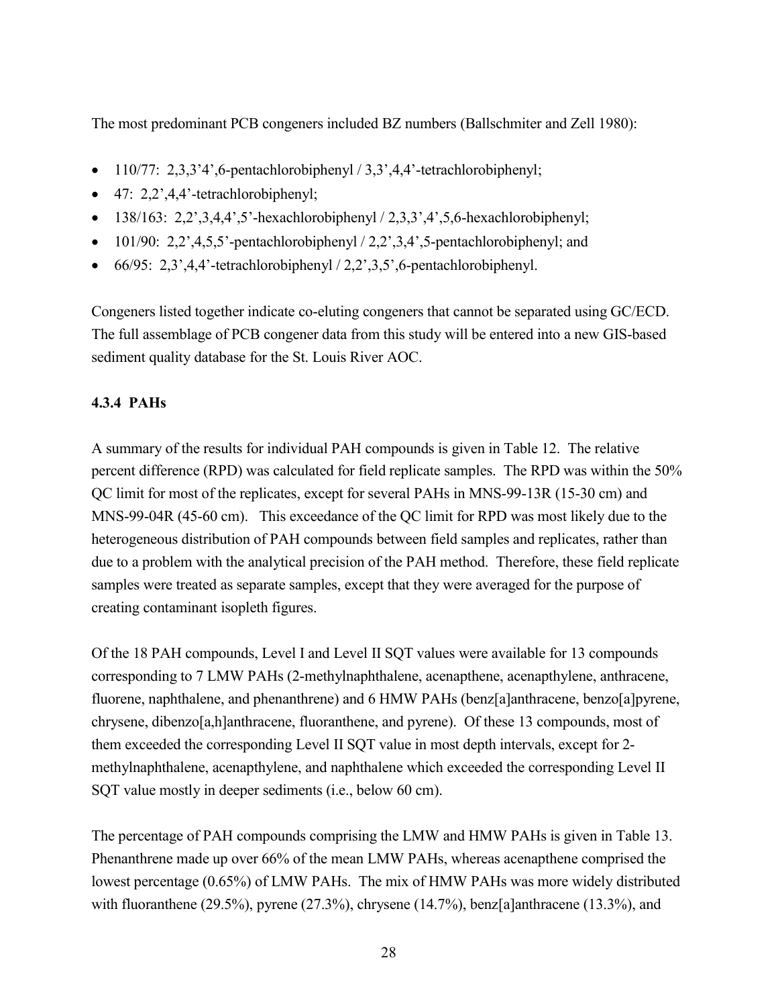The most predominant PCB congeners included BZ numbers (Ballschmiter and Zell 1980):

- $\bullet$  110/77: 2,3,3'4',6-pentachlorobiphenyl / 3,3',4,4'-tetrachlorobiphenyl;
- $\bullet$  47: 2,2',4,4'-tetrachlorobiphenyl;
- $-138/163$ : 2,2',3,4,4',5'-hexachlorobiphenyl / 2,3,3',4',5,6-hexachlorobiphenyl;
- $\bullet$  101/90: 2,2',4,5,5'-pentachlorobiphenyl / 2,2',3,4',5-pentachlorobiphenyl; and
- $\bullet$  66/95: 2,3',4,4'-tetrachlorobiphenyl / 2,2',3,5',6-pentachlorobiphenyl.

Congeners listed together indicate co-eluting congeners that cannot be separated using GC/ECD. The full assemblage of PCB congener data from this study will be entered into a new GIS-based sediment quality database for the St. Louis River AOC.

# **4.3.4 PAHs**

A summary of the results for individual PAH compounds is given in Table 12. The relative percent difference (RPD) was calculated for field replicate samples. The RPD was within the 50% QC limit for most of the replicates, except for several PAHs in MNS-99-13R (15-30 cm) and MNS-99-04R (45-60 cm). This exceedance of the QC limit for RPD was most likely due to the heterogeneous distribution of PAH compounds between field samples and replicates, rather than due to a problem with the analytical precision of the PAH method. Therefore, these field replicate samples were treated as separate samples, except that they were averaged for the purpose of creating contaminant isopleth figures.

Of the 18 PAH compounds, Level I and Level II SQT values were available for 13 compounds corresponding to 7 LMW PAHs (2-methylnaphthalene, acenapthene, acenapthylene, anthracene, fluorene, naphthalene, and phenanthrene) and 6 HMW PAHs (benz[a]anthracene, benzo[a]pyrene, chrysene, dibenzo[a,h]anthracene, fluoranthene, and pyrene). Of these 13 compounds, most of them exceeded the corresponding Level II SQT value in most depth intervals, except for 2 methylnaphthalene, acenapthylene, and naphthalene which exceeded the corresponding Level II SQT value mostly in deeper sediments (i.e., below 60 cm).

The percentage of PAH compounds comprising the LMW and HMW PAHs is given in Table 13. Phenanthrene made up over 66% of the mean LMW PAHs, whereas acenapthene comprised the lowest percentage (0.65%) of LMW PAHs. The mix of HMW PAHs was more widely distributed with fluoranthene (29.5%), pyrene (27.3%), chrysene (14.7%), benz[a]anthracene (13.3%), and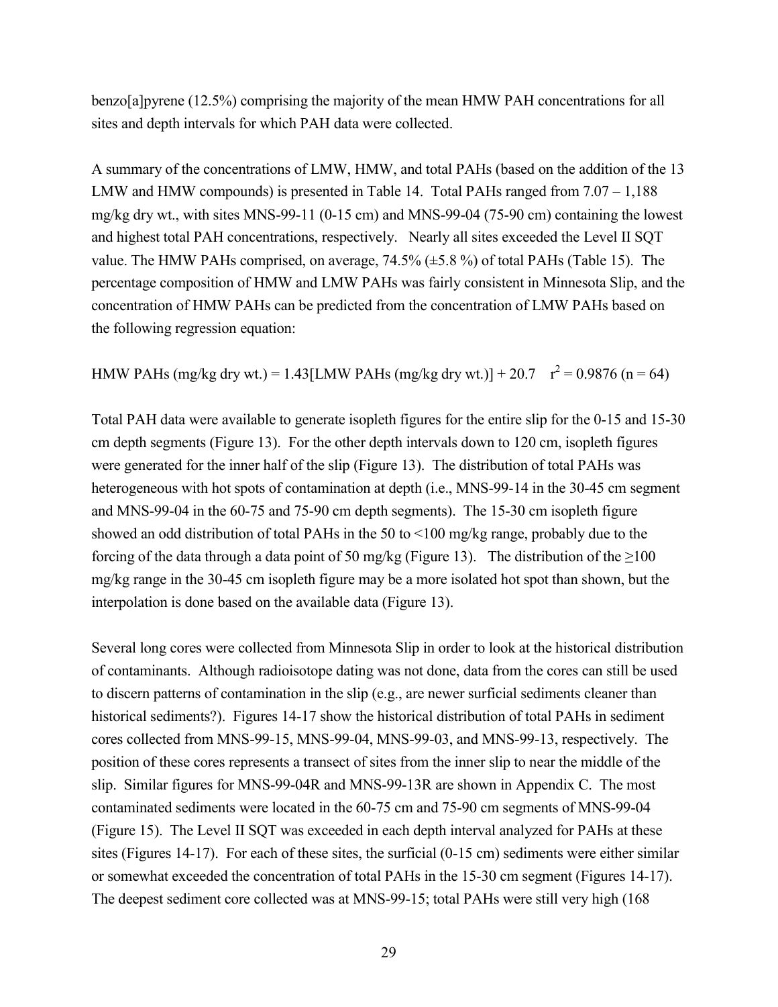benzo[a]pyrene (12.5%) comprising the majority of the mean HMW PAH concentrations for all sites and depth intervals for which PAH data were collected.

A summary of the concentrations of LMW, HMW, and total PAHs (based on the addition of the 13 LMW and HMW compounds) is presented in Table 14. Total PAHs ranged from  $7.07 - 1,188$ mg/kg dry wt., with sites MNS-99-11 (0-15 cm) and MNS-99-04 (75-90 cm) containing the lowest and highest total PAH concentrations, respectively. Nearly all sites exceeded the Level II SQT value. The HMW PAHs comprised, on average, 74.5% (±5.8 %) of total PAHs (Table 15). The percentage composition of HMW and LMW PAHs was fairly consistent in Minnesota Slip, and the concentration of HMW PAHs can be predicted from the concentration of LMW PAHs based on the following regression equation:

HMW PAHs (mg/kg dry wt.) = 1.43[LMW PAHs (mg/kg dry wt.)] + 20.7  $r^2 = 0.9876$  (n = 64)

Total PAH data were available to generate isopleth figures for the entire slip for the 0-15 and 15-30 cm depth segments (Figure 13). For the other depth intervals down to 120 cm, isopleth figures were generated for the inner half of the slip (Figure 13). The distribution of total PAHs was heterogeneous with hot spots of contamination at depth (i.e., MNS-99-14 in the 30-45 cm segment and MNS-99-04 in the 60-75 and 75-90 cm depth segments). The 15-30 cm isopleth figure showed an odd distribution of total PAHs in the 50 to <100 mg/kg range, probably due to the forcing of the data through a data point of 50 mg/kg (Figure 13). The distribution of the  $\geq$ 100 mg/kg range in the 30-45 cm isopleth figure may be a more isolated hot spot than shown, but the interpolation is done based on the available data (Figure 13).

Several long cores were collected from Minnesota Slip in order to look at the historical distribution of contaminants. Although radioisotope dating was not done, data from the cores can still be used to discern patterns of contamination in the slip (e.g., are newer surficial sediments cleaner than historical sediments?). Figures 14-17 show the historical distribution of total PAHs in sediment cores collected from MNS-99-15, MNS-99-04, MNS-99-03, and MNS-99-13, respectively. The position of these cores represents a transect of sites from the inner slip to near the middle of the slip. Similar figures for MNS-99-04R and MNS-99-13R are shown in Appendix C. The most contaminated sediments were located in the 60-75 cm and 75-90 cm segments of MNS-99-04 (Figure 15). The Level II SQT was exceeded in each depth interval analyzed for PAHs at these sites (Figures 14-17). For each of these sites, the surficial (0-15 cm) sediments were either similar or somewhat exceeded the concentration of total PAHs in the 15-30 cm segment (Figures 14-17). The deepest sediment core collected was at MNS-99-15; total PAHs were still very high (168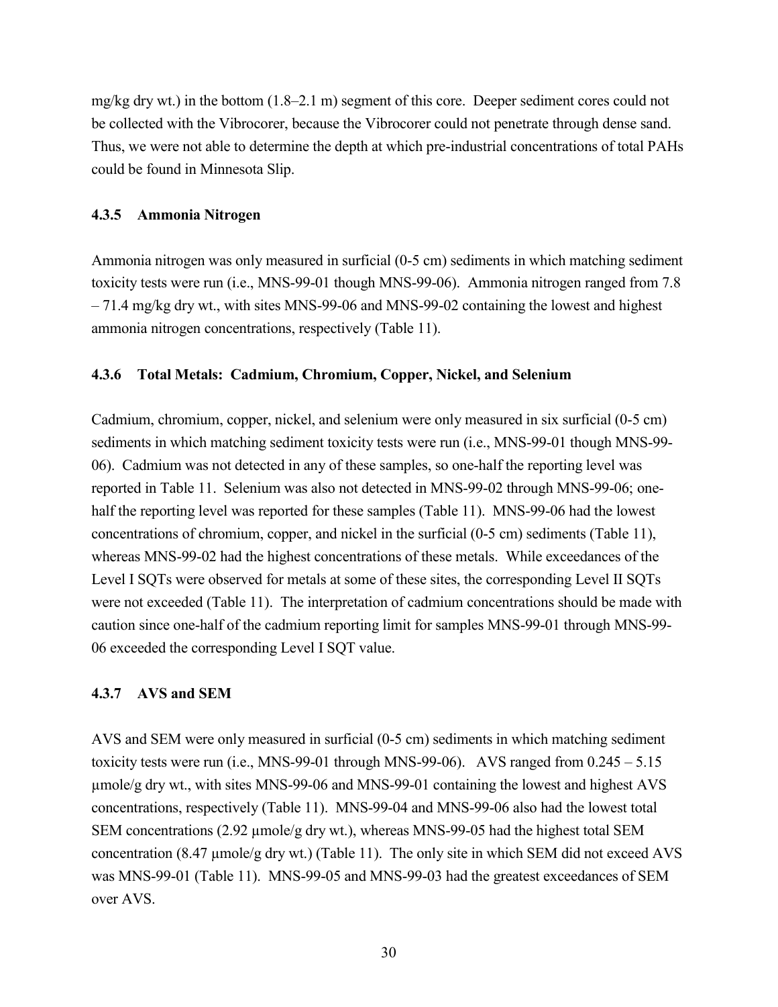mg/kg dry wt.) in the bottom (1.8–2.1 m) segment of this core. Deeper sediment cores could not be collected with the Vibrocorer, because the Vibrocorer could not penetrate through dense sand. Thus, we were not able to determine the depth at which pre-industrial concentrations of total PAHs could be found in Minnesota Slip.

#### **4.3.5 Ammonia Nitrogen**

Ammonia nitrogen was only measured in surficial (0-5 cm) sediments in which matching sediment toxicity tests were run (i.e., MNS-99-01 though MNS-99-06). Ammonia nitrogen ranged from 7.8 – 71.4 mg/kg dry wt., with sites MNS-99-06 and MNS-99-02 containing the lowest and highest ammonia nitrogen concentrations, respectively (Table 11).

# **4.3.6 Total Metals: Cadmium, Chromium, Copper, Nickel, and Selenium**

Cadmium, chromium, copper, nickel, and selenium were only measured in six surficial (0-5 cm) sediments in which matching sediment toxicity tests were run (i.e., MNS-99-01 though MNS-99- 06). Cadmium was not detected in any of these samples, so one-half the reporting level was reported in Table 11. Selenium was also not detected in MNS-99-02 through MNS-99-06; onehalf the reporting level was reported for these samples (Table 11). MNS-99-06 had the lowest concentrations of chromium, copper, and nickel in the surficial (0-5 cm) sediments (Table 11), whereas MNS-99-02 had the highest concentrations of these metals. While exceedances of the Level I SQTs were observed for metals at some of these sites, the corresponding Level II SQTs were not exceeded (Table 11). The interpretation of cadmium concentrations should be made with caution since one-half of the cadmium reporting limit for samples MNS-99-01 through MNS-99- 06 exceeded the corresponding Level I SQT value.

# **4.3.7 AVS and SEM**

AVS and SEM were only measured in surficial (0-5 cm) sediments in which matching sediment toxicity tests were run (i.e., MNS-99-01 through MNS-99-06). AVS ranged from 0.245 – 5.15 µmole/g dry wt., with sites MNS-99-06 and MNS-99-01 containing the lowest and highest AVS concentrations, respectively (Table 11). MNS-99-04 and MNS-99-06 also had the lowest total SEM concentrations (2.92 µmole/g dry wt.), whereas MNS-99-05 had the highest total SEM concentration (8.47 µmole/g dry wt.) (Table 11). The only site in which SEM did not exceed AVS was MNS-99-01 (Table 11). MNS-99-05 and MNS-99-03 had the greatest exceedances of SEM over AVS.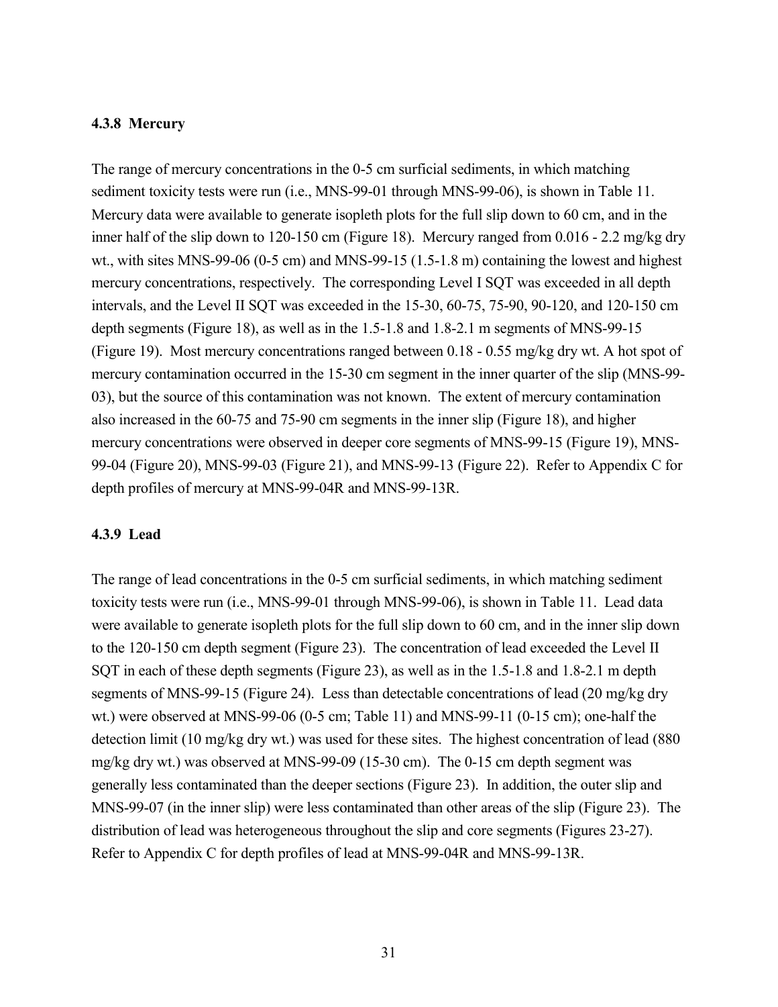#### **4.3.8 Mercury**

The range of mercury concentrations in the 0-5 cm surficial sediments, in which matching sediment toxicity tests were run (i.e., MNS-99-01 through MNS-99-06), is shown in Table 11. Mercury data were available to generate isopleth plots for the full slip down to 60 cm, and in the inner half of the slip down to 120-150 cm (Figure 18). Mercury ranged from 0.016 - 2.2 mg/kg dry wt., with sites MNS-99-06 (0-5 cm) and MNS-99-15 (1.5-1.8 m) containing the lowest and highest mercury concentrations, respectively. The corresponding Level I SQT was exceeded in all depth intervals, and the Level II SQT was exceeded in the 15-30, 60-75, 75-90, 90-120, and 120-150 cm depth segments (Figure 18), as well as in the 1.5-1.8 and 1.8-2.1 m segments of MNS-99-15 (Figure 19). Most mercury concentrations ranged between 0.18 - 0.55 mg/kg dry wt. A hot spot of mercury contamination occurred in the 15-30 cm segment in the inner quarter of the slip (MNS-99- 03), but the source of this contamination was not known. The extent of mercury contamination also increased in the 60-75 and 75-90 cm segments in the inner slip (Figure 18), and higher mercury concentrations were observed in deeper core segments of MNS-99-15 (Figure 19), MNS-99-04 (Figure 20), MNS-99-03 (Figure 21), and MNS-99-13 (Figure 22). Refer to Appendix C for depth profiles of mercury at MNS-99-04R and MNS-99-13R.

#### **4.3.9 Lead**

The range of lead concentrations in the 0-5 cm surficial sediments, in which matching sediment toxicity tests were run (i.e., MNS-99-01 through MNS-99-06), is shown in Table 11. Lead data were available to generate isopleth plots for the full slip down to 60 cm, and in the inner slip down to the 120-150 cm depth segment (Figure 23). The concentration of lead exceeded the Level II SQT in each of these depth segments (Figure 23), as well as in the 1.5-1.8 and 1.8-2.1 m depth segments of MNS-99-15 (Figure 24). Less than detectable concentrations of lead (20 mg/kg dry wt.) were observed at MNS-99-06 (0-5 cm; Table 11) and MNS-99-11 (0-15 cm); one-half the detection limit (10 mg/kg dry wt.) was used for these sites. The highest concentration of lead (880 mg/kg dry wt.) was observed at MNS-99-09 (15-30 cm). The 0-15 cm depth segment was generally less contaminated than the deeper sections (Figure 23). In addition, the outer slip and MNS-99-07 (in the inner slip) were less contaminated than other areas of the slip (Figure 23). The distribution of lead was heterogeneous throughout the slip and core segments (Figures 23-27). Refer to Appendix C for depth profiles of lead at MNS-99-04R and MNS-99-13R.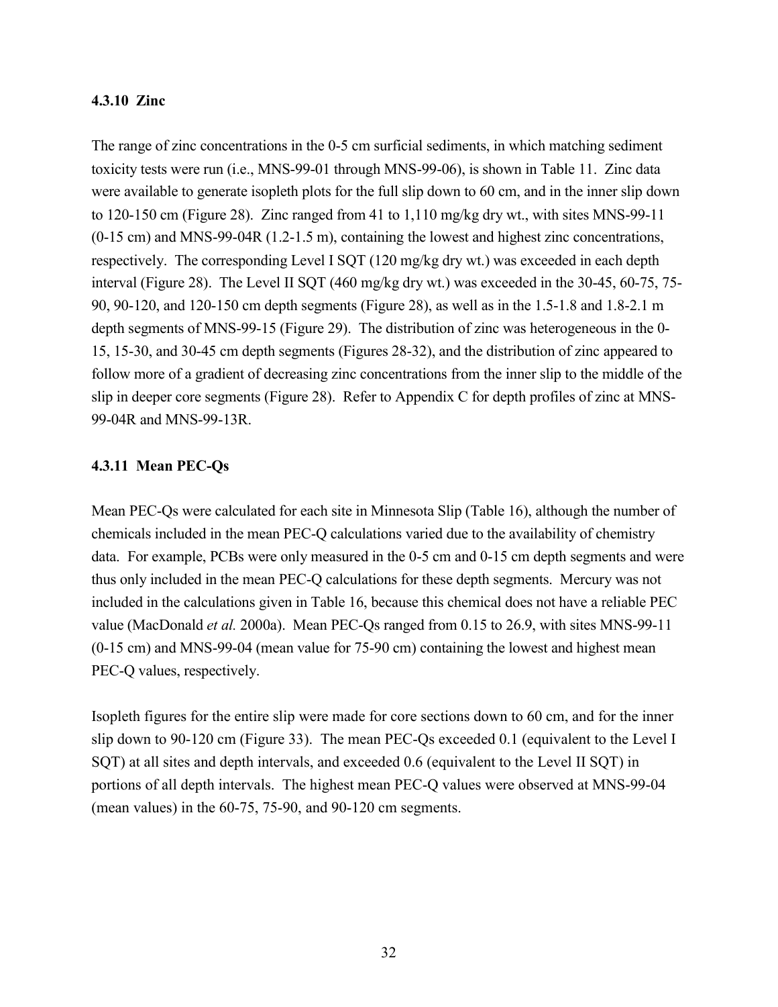#### **4.3.10 Zinc**

The range of zinc concentrations in the 0-5 cm surficial sediments, in which matching sediment toxicity tests were run (i.e., MNS-99-01 through MNS-99-06), is shown in Table 11. Zinc data were available to generate isopleth plots for the full slip down to 60 cm, and in the inner slip down to 120-150 cm (Figure 28). Zinc ranged from 41 to 1,110 mg/kg dry wt., with sites MNS-99-11 (0-15 cm) and MNS-99-04R (1.2-1.5 m), containing the lowest and highest zinc concentrations, respectively. The corresponding Level I SQT (120 mg/kg dry wt.) was exceeded in each depth interval (Figure 28). The Level II SQT (460 mg/kg dry wt.) was exceeded in the 30-45, 60-75, 75- 90, 90-120, and 120-150 cm depth segments (Figure 28), as well as in the 1.5-1.8 and 1.8-2.1 m depth segments of MNS-99-15 (Figure 29). The distribution of zinc was heterogeneous in the 0- 15, 15-30, and 30-45 cm depth segments (Figures 28-32), and the distribution of zinc appeared to follow more of a gradient of decreasing zinc concentrations from the inner slip to the middle of the slip in deeper core segments (Figure 28). Refer to Appendix C for depth profiles of zinc at MNS-99-04R and MNS-99-13R.

#### **4.3.11 Mean PEC-Qs**

Mean PEC-Qs were calculated for each site in Minnesota Slip (Table 16), although the number of chemicals included in the mean PEC-Q calculations varied due to the availability of chemistry data. For example, PCBs were only measured in the 0-5 cm and 0-15 cm depth segments and were thus only included in the mean PEC-Q calculations for these depth segments. Mercury was not included in the calculations given in Table 16, because this chemical does not have a reliable PEC value (MacDonald *et al.* 2000a). Mean PEC-Qs ranged from 0.15 to 26.9, with sites MNS-99-11 (0-15 cm) and MNS-99-04 (mean value for 75-90 cm) containing the lowest and highest mean PEC-Q values, respectively.

Isopleth figures for the entire slip were made for core sections down to 60 cm, and for the inner slip down to 90-120 cm (Figure 33). The mean PEC-Qs exceeded 0.1 (equivalent to the Level I SQT) at all sites and depth intervals, and exceeded 0.6 (equivalent to the Level II SQT) in portions of all depth intervals. The highest mean PEC-Q values were observed at MNS-99-04 (mean values) in the 60-75, 75-90, and 90-120 cm segments.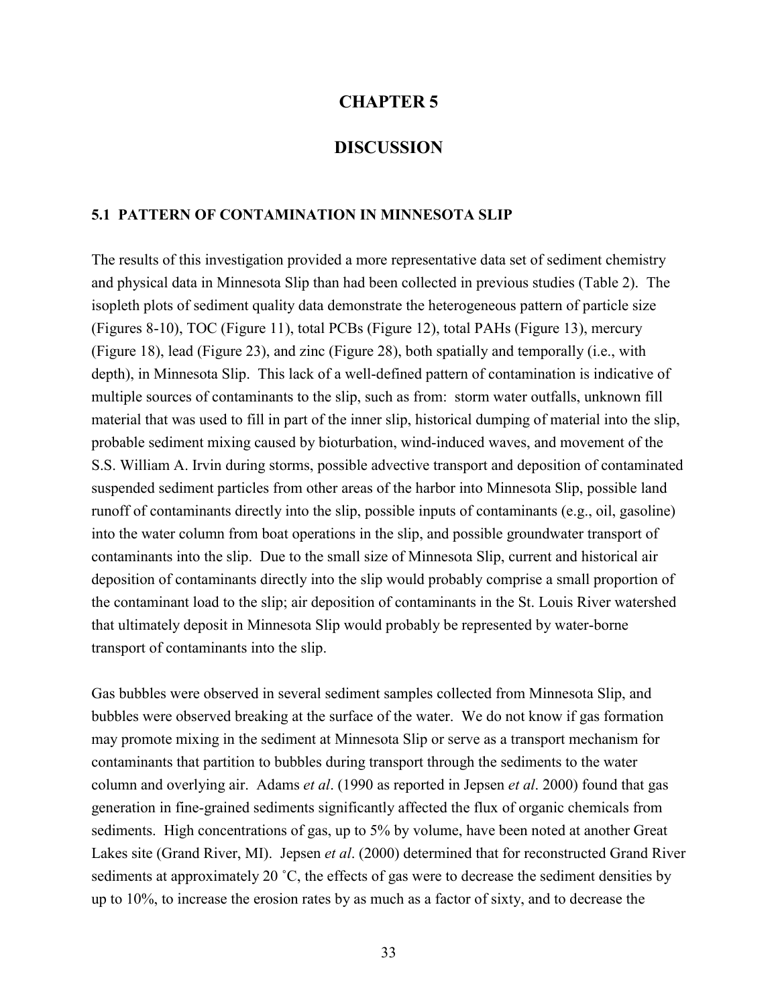#### **CHAPTER 5**

# **DISCUSSION**

#### **5.1 PATTERN OF CONTAMINATION IN MINNESOTA SLIP**

The results of this investigation provided a more representative data set of sediment chemistry and physical data in Minnesota Slip than had been collected in previous studies (Table 2). The isopleth plots of sediment quality data demonstrate the heterogeneous pattern of particle size (Figures 8-10), TOC (Figure 11), total PCBs (Figure 12), total PAHs (Figure 13), mercury (Figure 18), lead (Figure 23), and zinc (Figure 28), both spatially and temporally (i.e., with depth), in Minnesota Slip. This lack of a well-defined pattern of contamination is indicative of multiple sources of contaminants to the slip, such as from: storm water outfalls, unknown fill material that was used to fill in part of the inner slip, historical dumping of material into the slip, probable sediment mixing caused by bioturbation, wind-induced waves, and movement of the S.S. William A. Irvin during storms, possible advective transport and deposition of contaminated suspended sediment particles from other areas of the harbor into Minnesota Slip, possible land runoff of contaminants directly into the slip, possible inputs of contaminants (e.g., oil, gasoline) into the water column from boat operations in the slip, and possible groundwater transport of contaminants into the slip. Due to the small size of Minnesota Slip, current and historical air deposition of contaminants directly into the slip would probably comprise a small proportion of the contaminant load to the slip; air deposition of contaminants in the St. Louis River watershed that ultimately deposit in Minnesota Slip would probably be represented by water-borne transport of contaminants into the slip.

Gas bubbles were observed in several sediment samples collected from Minnesota Slip, and bubbles were observed breaking at the surface of the water. We do not know if gas formation may promote mixing in the sediment at Minnesota Slip or serve as a transport mechanism for contaminants that partition to bubbles during transport through the sediments to the water column and overlying air. Adams *et al*. (1990 as reported in Jepsen *et al*. 2000) found that gas generation in fine-grained sediments significantly affected the flux of organic chemicals from sediments. High concentrations of gas, up to 5% by volume, have been noted at another Great Lakes site (Grand River, MI). Jepsen *et al*. (2000) determined that for reconstructed Grand River sediments at approximately 20 °C, the effects of gas were to decrease the sediment densities by up to 10%, to increase the erosion rates by as much as a factor of sixty, and to decrease the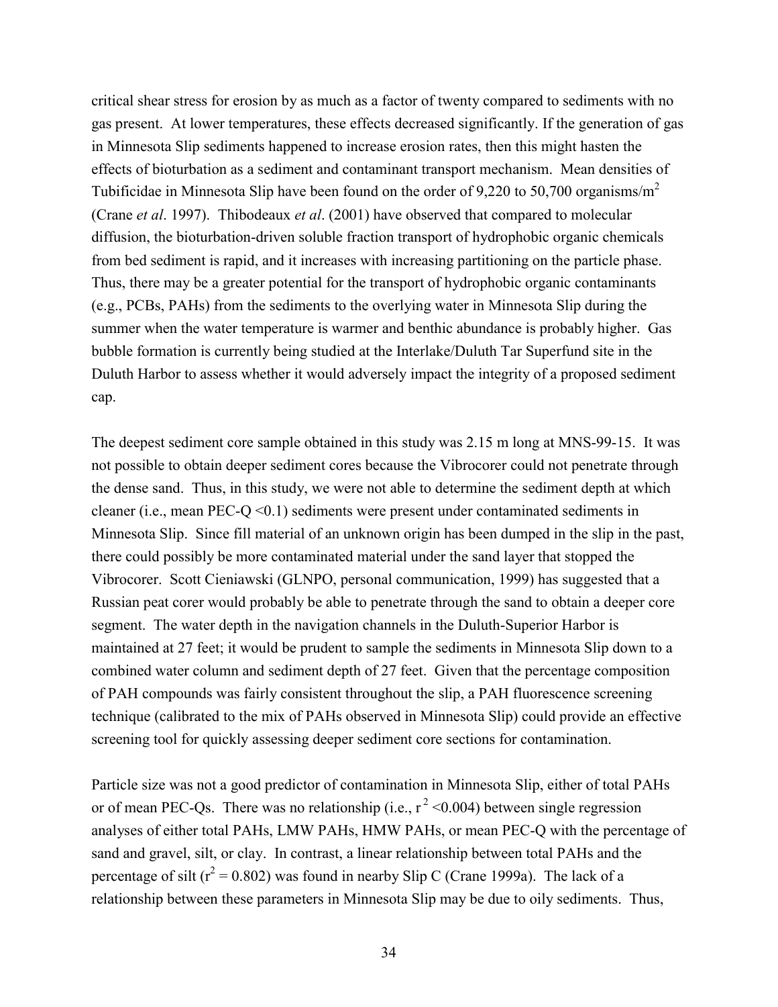critical shear stress for erosion by as much as a factor of twenty compared to sediments with no gas present. At lower temperatures, these effects decreased significantly. If the generation of gas in Minnesota Slip sediments happened to increase erosion rates, then this might hasten the effects of bioturbation as a sediment and contaminant transport mechanism. Mean densities of Tubificidae in Minnesota Slip have been found on the order of 9,220 to 50,700 organisms/ $m<sup>2</sup>$ (Crane *et al*. 1997). Thibodeaux *et al*. (2001) have observed that compared to molecular diffusion, the bioturbation-driven soluble fraction transport of hydrophobic organic chemicals from bed sediment is rapid, and it increases with increasing partitioning on the particle phase. Thus, there may be a greater potential for the transport of hydrophobic organic contaminants (e.g., PCBs, PAHs) from the sediments to the overlying water in Minnesota Slip during the summer when the water temperature is warmer and benthic abundance is probably higher. Gas bubble formation is currently being studied at the Interlake/Duluth Tar Superfund site in the Duluth Harbor to assess whether it would adversely impact the integrity of a proposed sediment cap.

The deepest sediment core sample obtained in this study was 2.15 m long at MNS-99-15. It was not possible to obtain deeper sediment cores because the Vibrocorer could not penetrate through the dense sand. Thus, in this study, we were not able to determine the sediment depth at which cleaner (i.e., mean PEC-Q  $\leq$  0.1) sediments were present under contaminated sediments in Minnesota Slip. Since fill material of an unknown origin has been dumped in the slip in the past, there could possibly be more contaminated material under the sand layer that stopped the Vibrocorer. Scott Cieniawski (GLNPO, personal communication, 1999) has suggested that a Russian peat corer would probably be able to penetrate through the sand to obtain a deeper core segment. The water depth in the navigation channels in the Duluth-Superior Harbor is maintained at 27 feet; it would be prudent to sample the sediments in Minnesota Slip down to a combined water column and sediment depth of 27 feet. Given that the percentage composition of PAH compounds was fairly consistent throughout the slip, a PAH fluorescence screening technique (calibrated to the mix of PAHs observed in Minnesota Slip) could provide an effective screening tool for quickly assessing deeper sediment core sections for contamination.

Particle size was not a good predictor of contamination in Minnesota Slip, either of total PAHs or of mean PEC-Qs. There was no relationship (i.e.,  $r^2$  <0.004) between single regression analyses of either total PAHs, LMW PAHs, HMW PAHs, or mean PEC-Q with the percentage of sand and gravel, silt, or clay. In contrast, a linear relationship between total PAHs and the percentage of silt ( $r^2 = 0.802$ ) was found in nearby Slip C (Crane 1999a). The lack of a relationship between these parameters in Minnesota Slip may be due to oily sediments. Thus,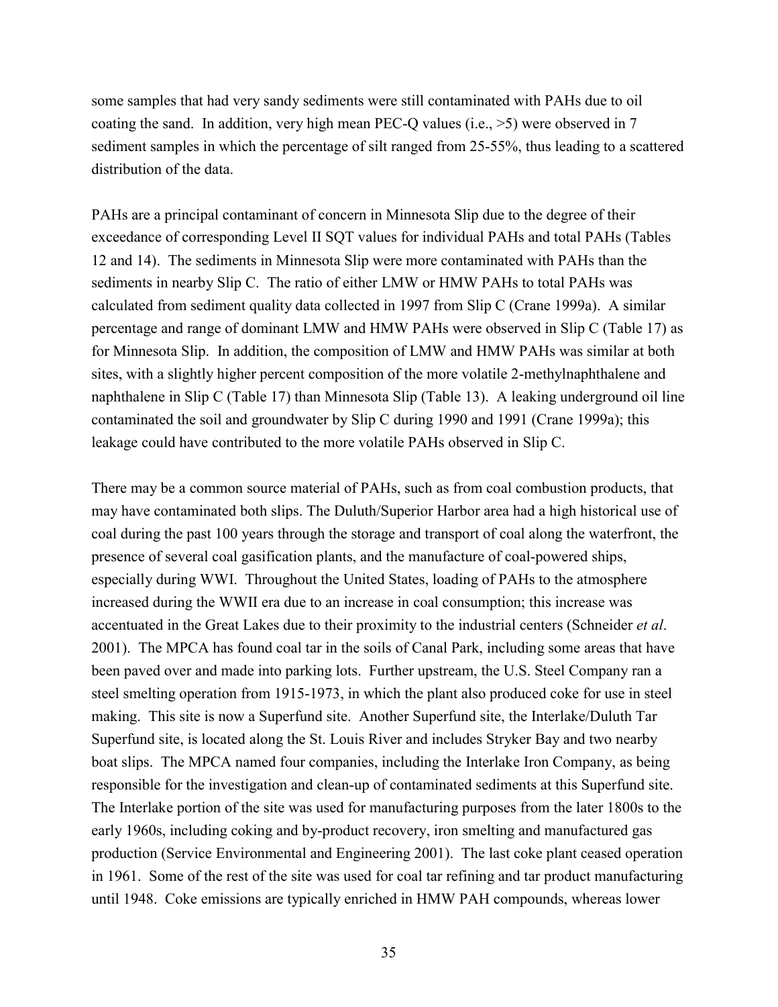some samples that had very sandy sediments were still contaminated with PAHs due to oil coating the sand. In addition, very high mean PEC-Q values (i.e.,  $>5$ ) were observed in 7 sediment samples in which the percentage of silt ranged from 25-55%, thus leading to a scattered distribution of the data.

PAHs are a principal contaminant of concern in Minnesota Slip due to the degree of their exceedance of corresponding Level II SQT values for individual PAHs and total PAHs (Tables 12 and 14). The sediments in Minnesota Slip were more contaminated with PAHs than the sediments in nearby Slip C. The ratio of either LMW or HMW PAHs to total PAHs was calculated from sediment quality data collected in 1997 from Slip C (Crane 1999a). A similar percentage and range of dominant LMW and HMW PAHs were observed in Slip C (Table 17) as for Minnesota Slip. In addition, the composition of LMW and HMW PAHs was similar at both sites, with a slightly higher percent composition of the more volatile 2-methylnaphthalene and naphthalene in Slip C (Table 17) than Minnesota Slip (Table 13). A leaking underground oil line contaminated the soil and groundwater by Slip C during 1990 and 1991 (Crane 1999a); this leakage could have contributed to the more volatile PAHs observed in Slip C.

There may be a common source material of PAHs, such as from coal combustion products, that may have contaminated both slips. The Duluth/Superior Harbor area had a high historical use of coal during the past 100 years through the storage and transport of coal along the waterfront, the presence of several coal gasification plants, and the manufacture of coal-powered ships, especially during WWI. Throughout the United States, loading of PAHs to the atmosphere increased during the WWII era due to an increase in coal consumption; this increase was accentuated in the Great Lakes due to their proximity to the industrial centers (Schneider *et al*. 2001). The MPCA has found coal tar in the soils of Canal Park, including some areas that have been paved over and made into parking lots. Further upstream, the U.S. Steel Company ran a steel smelting operation from 1915-1973, in which the plant also produced coke for use in steel making. This site is now a Superfund site. Another Superfund site, the Interlake/Duluth Tar Superfund site, is located along the St. Louis River and includes Stryker Bay and two nearby boat slips. The MPCA named four companies, including the Interlake Iron Company, as being responsible for the investigation and clean-up of contaminated sediments at this Superfund site. The Interlake portion of the site was used for manufacturing purposes from the later 1800s to the early 1960s, including coking and by-product recovery, iron smelting and manufactured gas production (Service Environmental and Engineering 2001). The last coke plant ceased operation in 1961. Some of the rest of the site was used for coal tar refining and tar product manufacturing until 1948. Coke emissions are typically enriched in HMW PAH compounds, whereas lower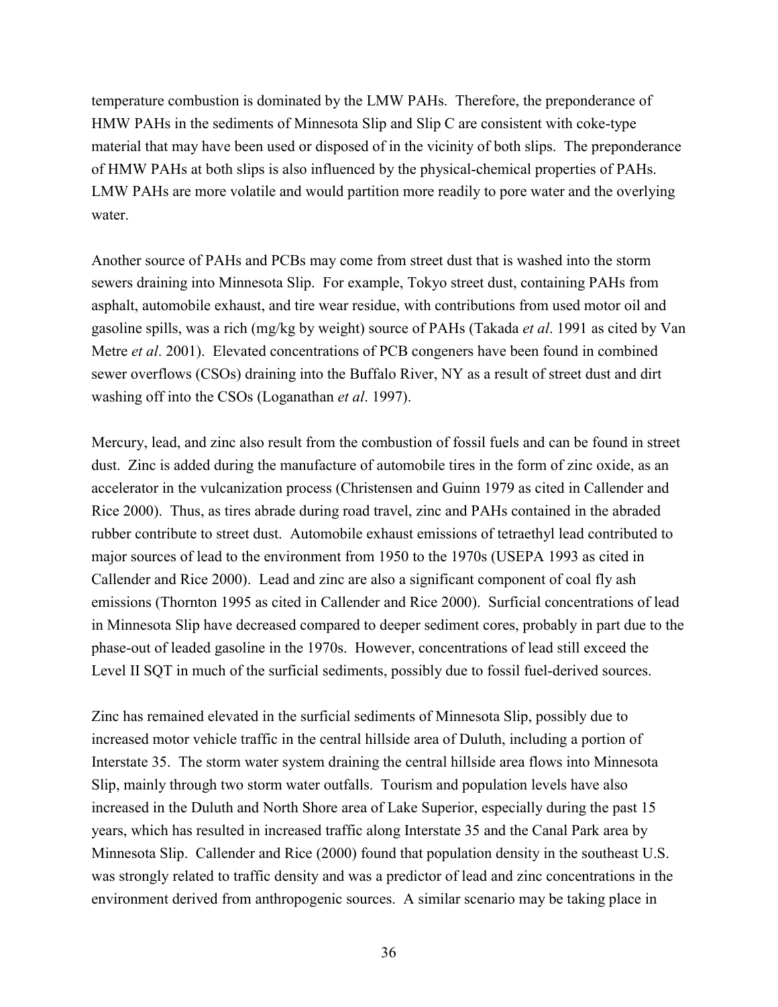temperature combustion is dominated by the LMW PAHs. Therefore, the preponderance of HMW PAHs in the sediments of Minnesota Slip and Slip C are consistent with coke-type material that may have been used or disposed of in the vicinity of both slips. The preponderance of HMW PAHs at both slips is also influenced by the physical-chemical properties of PAHs. LMW PAHs are more volatile and would partition more readily to pore water and the overlying water.

Another source of PAHs and PCBs may come from street dust that is washed into the storm sewers draining into Minnesota Slip. For example, Tokyo street dust, containing PAHs from asphalt, automobile exhaust, and tire wear residue, with contributions from used motor oil and gasoline spills, was a rich (mg/kg by weight) source of PAHs (Takada *et al*. 1991 as cited by Van Metre *et al*. 2001). Elevated concentrations of PCB congeners have been found in combined sewer overflows (CSOs) draining into the Buffalo River, NY as a result of street dust and dirt washing off into the CSOs (Loganathan *et al*. 1997).

Mercury, lead, and zinc also result from the combustion of fossil fuels and can be found in street dust. Zinc is added during the manufacture of automobile tires in the form of zinc oxide, as an accelerator in the vulcanization process (Christensen and Guinn 1979 as cited in Callender and Rice 2000). Thus, as tires abrade during road travel, zinc and PAHs contained in the abraded rubber contribute to street dust. Automobile exhaust emissions of tetraethyl lead contributed to major sources of lead to the environment from 1950 to the 1970s (USEPA 1993 as cited in Callender and Rice 2000). Lead and zinc are also a significant component of coal fly ash emissions (Thornton 1995 as cited in Callender and Rice 2000). Surficial concentrations of lead in Minnesota Slip have decreased compared to deeper sediment cores, probably in part due to the phase-out of leaded gasoline in the 1970s. However, concentrations of lead still exceed the Level II SQT in much of the surficial sediments, possibly due to fossil fuel-derived sources.

Zinc has remained elevated in the surficial sediments of Minnesota Slip, possibly due to increased motor vehicle traffic in the central hillside area of Duluth, including a portion of Interstate 35. The storm water system draining the central hillside area flows into Minnesota Slip, mainly through two storm water outfalls. Tourism and population levels have also increased in the Duluth and North Shore area of Lake Superior, especially during the past 15 years, which has resulted in increased traffic along Interstate 35 and the Canal Park area by Minnesota Slip. Callender and Rice (2000) found that population density in the southeast U.S. was strongly related to traffic density and was a predictor of lead and zinc concentrations in the environment derived from anthropogenic sources. A similar scenario may be taking place in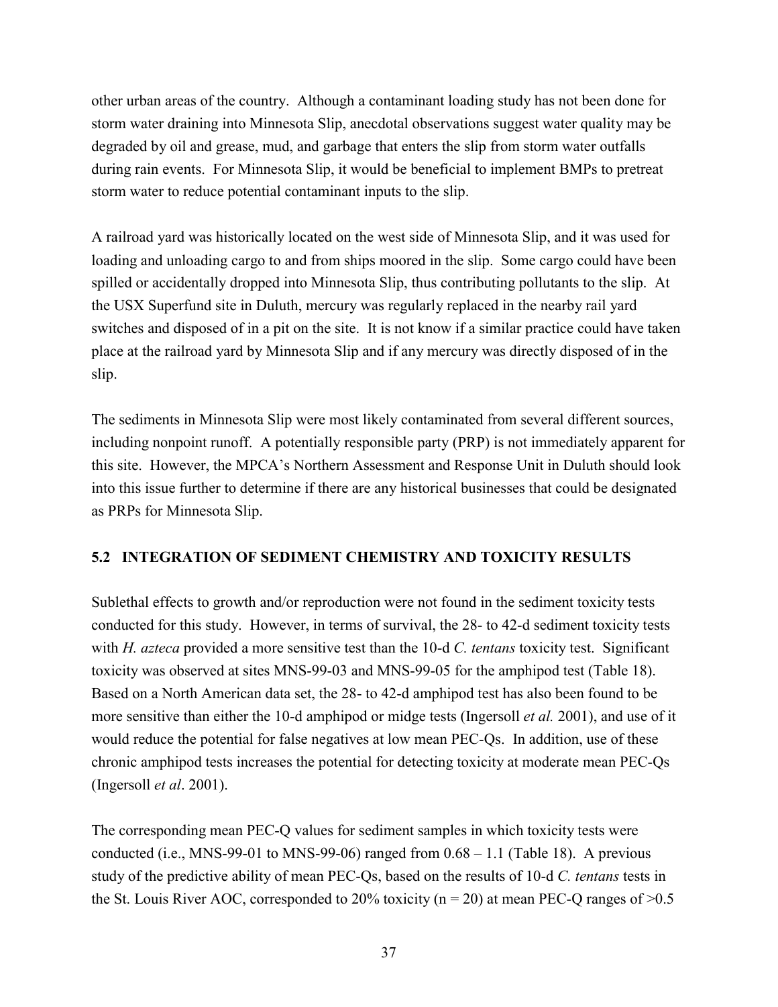other urban areas of the country. Although a contaminant loading study has not been done for storm water draining into Minnesota Slip, anecdotal observations suggest water quality may be degraded by oil and grease, mud, and garbage that enters the slip from storm water outfalls during rain events. For Minnesota Slip, it would be beneficial to implement BMPs to pretreat storm water to reduce potential contaminant inputs to the slip.

A railroad yard was historically located on the west side of Minnesota Slip, and it was used for loading and unloading cargo to and from ships moored in the slip. Some cargo could have been spilled or accidentally dropped into Minnesota Slip, thus contributing pollutants to the slip. At the USX Superfund site in Duluth, mercury was regularly replaced in the nearby rail yard switches and disposed of in a pit on the site. It is not know if a similar practice could have taken place at the railroad yard by Minnesota Slip and if any mercury was directly disposed of in the slip.

The sediments in Minnesota Slip were most likely contaminated from several different sources, including nonpoint runoff. A potentially responsible party (PRP) is not immediately apparent for this site. However, the MPCA's Northern Assessment and Response Unit in Duluth should look into this issue further to determine if there are any historical businesses that could be designated as PRPs for Minnesota Slip.

# **5.2 INTEGRATION OF SEDIMENT CHEMISTRY AND TOXICITY RESULTS**

Sublethal effects to growth and/or reproduction were not found in the sediment toxicity tests conducted for this study. However, in terms of survival, the 28- to 42-d sediment toxicity tests with *H. azteca* provided a more sensitive test than the 10-d *C. tentans* toxicity test. Significant toxicity was observed at sites MNS-99-03 and MNS-99-05 for the amphipod test (Table 18). Based on a North American data set, the 28- to 42-d amphipod test has also been found to be more sensitive than either the 10-d amphipod or midge tests (Ingersoll *et al.* 2001), and use of it would reduce the potential for false negatives at low mean PEC-Qs. In addition, use of these chronic amphipod tests increases the potential for detecting toxicity at moderate mean PEC-Qs (Ingersoll *et al*. 2001).

The corresponding mean PEC-Q values for sediment samples in which toxicity tests were conducted (i.e., MNS-99-01 to MNS-99-06) ranged from  $0.68 - 1.1$  (Table 18). A previous study of the predictive ability of mean PEC-Qs, based on the results of 10-d *C. tentans* tests in the St. Louis River AOC, corresponded to 20% toxicity ( $n = 20$ ) at mean PEC-Q ranges of  $> 0.5$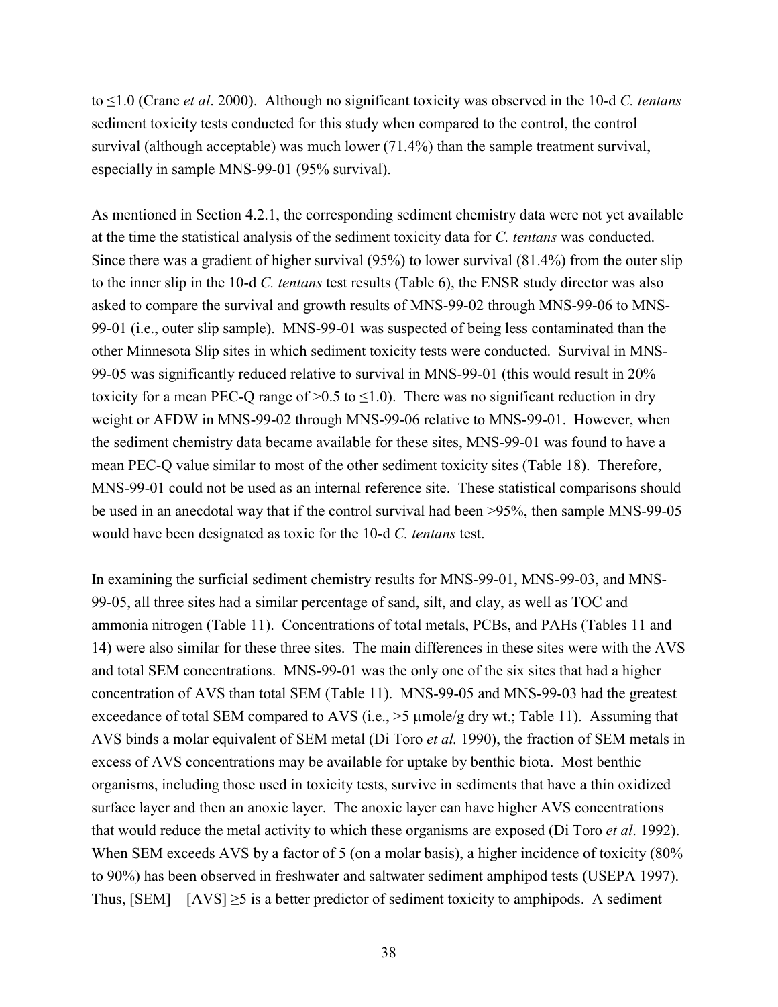to ≤1.0 (Crane *et al*. 2000). Although no significant toxicity was observed in the 10-d *C. tentans* sediment toxicity tests conducted for this study when compared to the control, the control survival (although acceptable) was much lower (71.4%) than the sample treatment survival, especially in sample MNS-99-01 (95% survival).

As mentioned in Section 4.2.1, the corresponding sediment chemistry data were not yet available at the time the statistical analysis of the sediment toxicity data for *C. tentans* was conducted. Since there was a gradient of higher survival (95%) to lower survival (81.4%) from the outer slip to the inner slip in the 10-d *C. tentans* test results (Table 6), the ENSR study director was also asked to compare the survival and growth results of MNS-99-02 through MNS-99-06 to MNS-99-01 (i.e., outer slip sample). MNS-99-01 was suspected of being less contaminated than the other Minnesota Slip sites in which sediment toxicity tests were conducted. Survival in MNS-99-05 was significantly reduced relative to survival in MNS-99-01 (this would result in 20% toxicity for a mean PEC-Q range of  $>0.5$  to  $\leq 1.0$ ). There was no significant reduction in dry weight or AFDW in MNS-99-02 through MNS-99-06 relative to MNS-99-01. However, when the sediment chemistry data became available for these sites, MNS-99-01 was found to have a mean PEC-Q value similar to most of the other sediment toxicity sites (Table 18). Therefore, MNS-99-01 could not be used as an internal reference site. These statistical comparisons should be used in an anecdotal way that if the control survival had been >95%, then sample MNS-99-05 would have been designated as toxic for the 10-d *C. tentans* test.

In examining the surficial sediment chemistry results for MNS-99-01, MNS-99-03, and MNS-99-05, all three sites had a similar percentage of sand, silt, and clay, as well as TOC and ammonia nitrogen (Table 11). Concentrations of total metals, PCBs, and PAHs (Tables 11 and 14) were also similar for these three sites. The main differences in these sites were with the AVS and total SEM concentrations. MNS-99-01 was the only one of the six sites that had a higher concentration of AVS than total SEM (Table 11). MNS-99-05 and MNS-99-03 had the greatest exceedance of total SEM compared to AVS (i.e.,  $>5 \mu$ mole/g dry wt.; Table 11). Assuming that AVS binds a molar equivalent of SEM metal (Di Toro *et al.* 1990), the fraction of SEM metals in excess of AVS concentrations may be available for uptake by benthic biota. Most benthic organisms, including those used in toxicity tests, survive in sediments that have a thin oxidized surface layer and then an anoxic layer. The anoxic layer can have higher AVS concentrations that would reduce the metal activity to which these organisms are exposed (Di Toro *et al*. 1992). When SEM exceeds AVS by a factor of 5 (on a molar basis), a higher incidence of toxicity (80%) to 90%) has been observed in freshwater and saltwater sediment amphipod tests (USEPA 1997). Thus,  $[SEM] - [AVS] \ge 5$  is a better predictor of sediment toxicity to amphipods. A sediment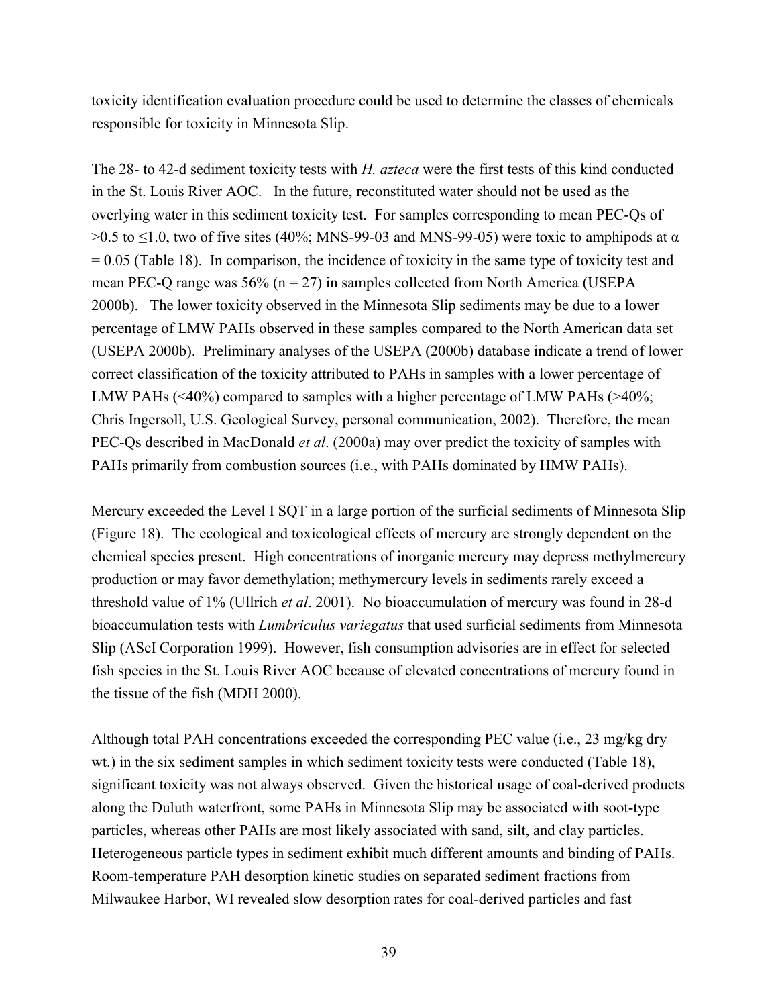toxicity identification evaluation procedure could be used to determine the classes of chemicals responsible for toxicity in Minnesota Slip.

The 28- to 42-d sediment toxicity tests with *H. azteca* were the first tests of this kind conducted in the St. Louis River AOC. In the future, reconstituted water should not be used as the overlying water in this sediment toxicity test. For samples corresponding to mean PEC-Qs of  $>0.5$  to  $\leq$ 1.0, two of five sites (40%; MNS-99-03 and MNS-99-05) were toxic to amphipods at  $\alpha$  $= 0.05$  (Table 18). In comparison, the incidence of toxicity in the same type of toxicity test and mean PEC-Q range was 56% ( $n = 27$ ) in samples collected from North America (USEPA 2000b). The lower toxicity observed in the Minnesota Slip sediments may be due to a lower percentage of LMW PAHs observed in these samples compared to the North American data set (USEPA 2000b). Preliminary analyses of the USEPA (2000b) database indicate a trend of lower correct classification of the toxicity attributed to PAHs in samples with a lower percentage of LMW PAHs (<40%) compared to samples with a higher percentage of LMW PAHs (>40%; Chris Ingersoll, U.S. Geological Survey, personal communication, 2002). Therefore, the mean PEC-Qs described in MacDonald *et al*. (2000a) may over predict the toxicity of samples with PAHs primarily from combustion sources (i.e., with PAHs dominated by HMW PAHs).

Mercury exceeded the Level I SQT in a large portion of the surficial sediments of Minnesota Slip (Figure 18). The ecological and toxicological effects of mercury are strongly dependent on the chemical species present. High concentrations of inorganic mercury may depress methylmercury production or may favor demethylation; methymercury levels in sediments rarely exceed a threshold value of 1% (Ullrich *et al*. 2001). No bioaccumulation of mercury was found in 28-d bioaccumulation tests with *Lumbriculus variegatus* that used surficial sediments from Minnesota Slip (AScI Corporation 1999). However, fish consumption advisories are in effect for selected fish species in the St. Louis River AOC because of elevated concentrations of mercury found in the tissue of the fish (MDH 2000).

Although total PAH concentrations exceeded the corresponding PEC value (i.e., 23 mg/kg dry wt.) in the six sediment samples in which sediment toxicity tests were conducted (Table 18), significant toxicity was not always observed. Given the historical usage of coal-derived products along the Duluth waterfront, some PAHs in Minnesota Slip may be associated with soot-type particles, whereas other PAHs are most likely associated with sand, silt, and clay particles. Heterogeneous particle types in sediment exhibit much different amounts and binding of PAHs. Room-temperature PAH desorption kinetic studies on separated sediment fractions from Milwaukee Harbor, WI revealed slow desorption rates for coal-derived particles and fast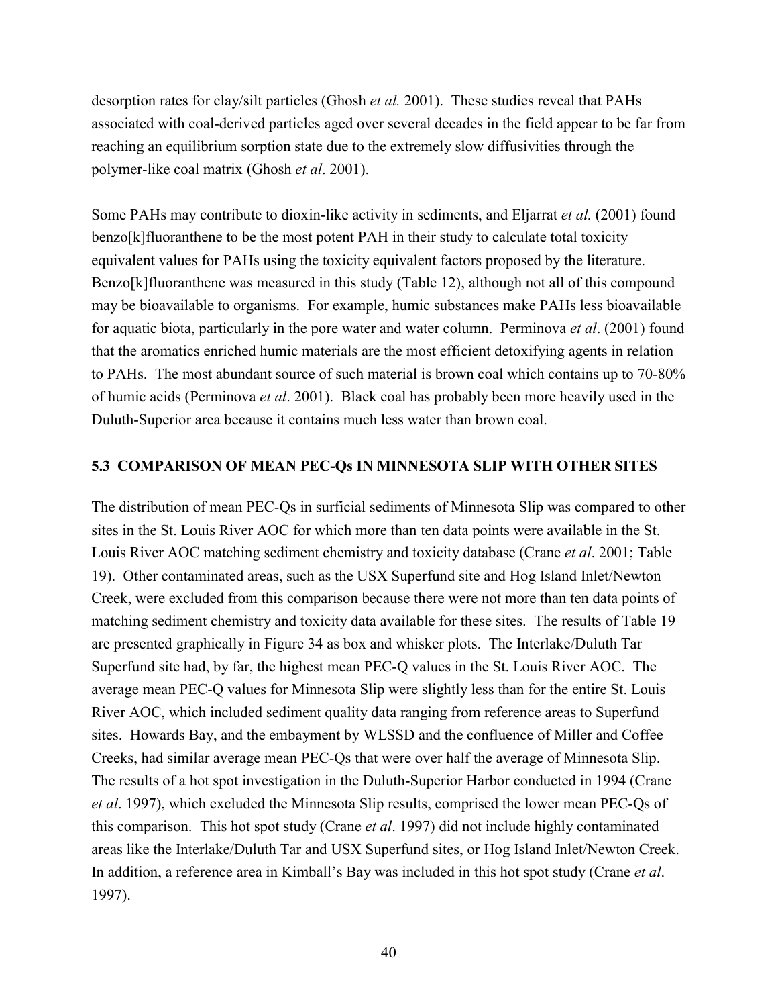desorption rates for clay/silt particles (Ghosh *et al.* 2001). These studies reveal that PAHs associated with coal-derived particles aged over several decades in the field appear to be far from reaching an equilibrium sorption state due to the extremely slow diffusivities through the polymer-like coal matrix (Ghosh *et al*. 2001).

Some PAHs may contribute to dioxin-like activity in sediments, and Eljarrat *et al.* (2001) found benzo[k]fluoranthene to be the most potent PAH in their study to calculate total toxicity equivalent values for PAHs using the toxicity equivalent factors proposed by the literature. Benzo[k]fluoranthene was measured in this study (Table 12), although not all of this compound may be bioavailable to organisms. For example, humic substances make PAHs less bioavailable for aquatic biota, particularly in the pore water and water column. Perminova *et al*. (2001) found that the aromatics enriched humic materials are the most efficient detoxifying agents in relation to PAHs. The most abundant source of such material is brown coal which contains up to 70-80% of humic acids (Perminova *et al*. 2001). Black coal has probably been more heavily used in the Duluth-Superior area because it contains much less water than brown coal.

#### **5.3 COMPARISON OF MEAN PEC-Qs IN MINNESOTA SLIP WITH OTHER SITES**

The distribution of mean PEC-Qs in surficial sediments of Minnesota Slip was compared to other sites in the St. Louis River AOC for which more than ten data points were available in the St. Louis River AOC matching sediment chemistry and toxicity database (Crane *et al*. 2001; Table 19). Other contaminated areas, such as the USX Superfund site and Hog Island Inlet/Newton Creek, were excluded from this comparison because there were not more than ten data points of matching sediment chemistry and toxicity data available for these sites. The results of Table 19 are presented graphically in Figure 34 as box and whisker plots. The Interlake/Duluth Tar Superfund site had, by far, the highest mean PEC-Q values in the St. Louis River AOC. The average mean PEC-Q values for Minnesota Slip were slightly less than for the entire St. Louis River AOC, which included sediment quality data ranging from reference areas to Superfund sites. Howards Bay, and the embayment by WLSSD and the confluence of Miller and Coffee Creeks, had similar average mean PEC-Qs that were over half the average of Minnesota Slip. The results of a hot spot investigation in the Duluth-Superior Harbor conducted in 1994 (Crane *et al*. 1997), which excluded the Minnesota Slip results, comprised the lower mean PEC-Qs of this comparison. This hot spot study (Crane *et al*. 1997) did not include highly contaminated areas like the Interlake/Duluth Tar and USX Superfund sites, or Hog Island Inlet/Newton Creek. In addition, a reference area in Kimball's Bay was included in this hot spot study (Crane *et al*. 1997).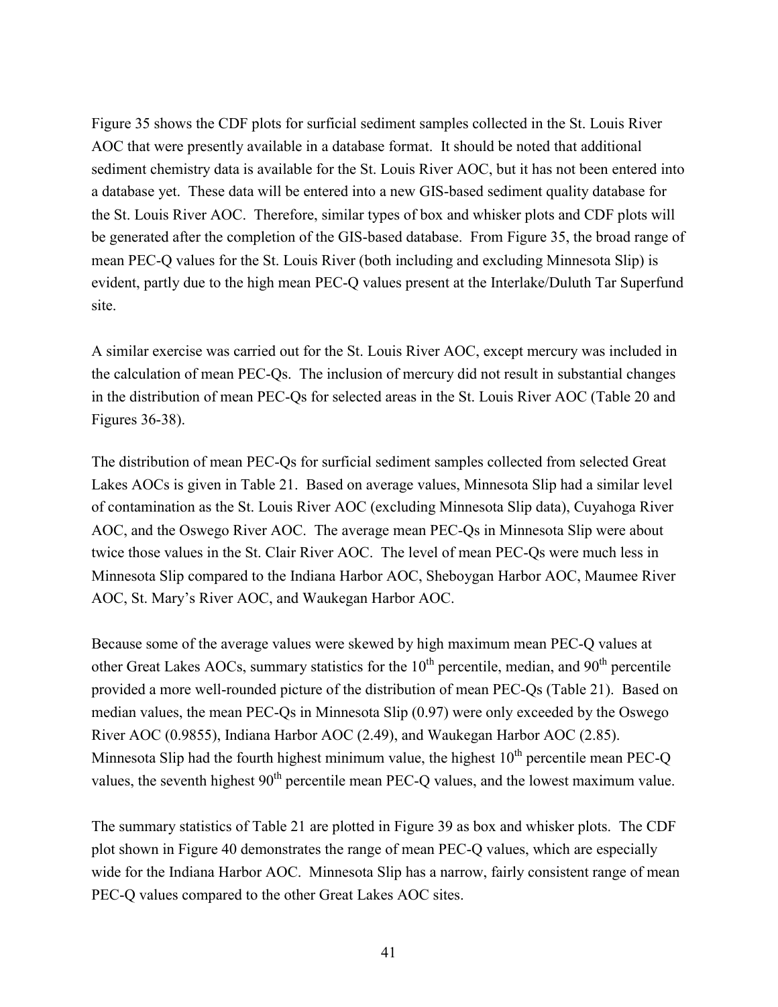Figure 35 shows the CDF plots for surficial sediment samples collected in the St. Louis River AOC that were presently available in a database format. It should be noted that additional sediment chemistry data is available for the St. Louis River AOC, but it has not been entered into a database yet. These data will be entered into a new GIS-based sediment quality database for the St. Louis River AOC. Therefore, similar types of box and whisker plots and CDF plots will be generated after the completion of the GIS-based database. From Figure 35, the broad range of mean PEC-Q values for the St. Louis River (both including and excluding Minnesota Slip) is evident, partly due to the high mean PEC-Q values present at the Interlake/Duluth Tar Superfund site.

A similar exercise was carried out for the St. Louis River AOC, except mercury was included in the calculation of mean PEC-Qs. The inclusion of mercury did not result in substantial changes in the distribution of mean PEC-Qs for selected areas in the St. Louis River AOC (Table 20 and Figures 36-38).

The distribution of mean PEC-Qs for surficial sediment samples collected from selected Great Lakes AOCs is given in Table 21. Based on average values, Minnesota Slip had a similar level of contamination as the St. Louis River AOC (excluding Minnesota Slip data), Cuyahoga River AOC, and the Oswego River AOC. The average mean PEC-Qs in Minnesota Slip were about twice those values in the St. Clair River AOC. The level of mean PEC-Qs were much less in Minnesota Slip compared to the Indiana Harbor AOC, Sheboygan Harbor AOC, Maumee River AOC, St. Mary's River AOC, and Waukegan Harbor AOC.

Because some of the average values were skewed by high maximum mean PEC-Q values at other Great Lakes AOCs, summary statistics for the  $10<sup>th</sup>$  percentile, median, and  $90<sup>th</sup>$  percentile provided a more well-rounded picture of the distribution of mean PEC-Qs (Table 21). Based on median values, the mean PEC-Qs in Minnesota Slip (0.97) were only exceeded by the Oswego River AOC (0.9855), Indiana Harbor AOC (2.49), and Waukegan Harbor AOC (2.85). Minnesota Slip had the fourth highest minimum value, the highest  $10<sup>th</sup>$  percentile mean PEC-O values, the seventh highest 90<sup>th</sup> percentile mean PEC-Q values, and the lowest maximum value.

The summary statistics of Table 21 are plotted in Figure 39 as box and whisker plots. The CDF plot shown in Figure 40 demonstrates the range of mean PEC-Q values, which are especially wide for the Indiana Harbor AOC. Minnesota Slip has a narrow, fairly consistent range of mean PEC-Q values compared to the other Great Lakes AOC sites.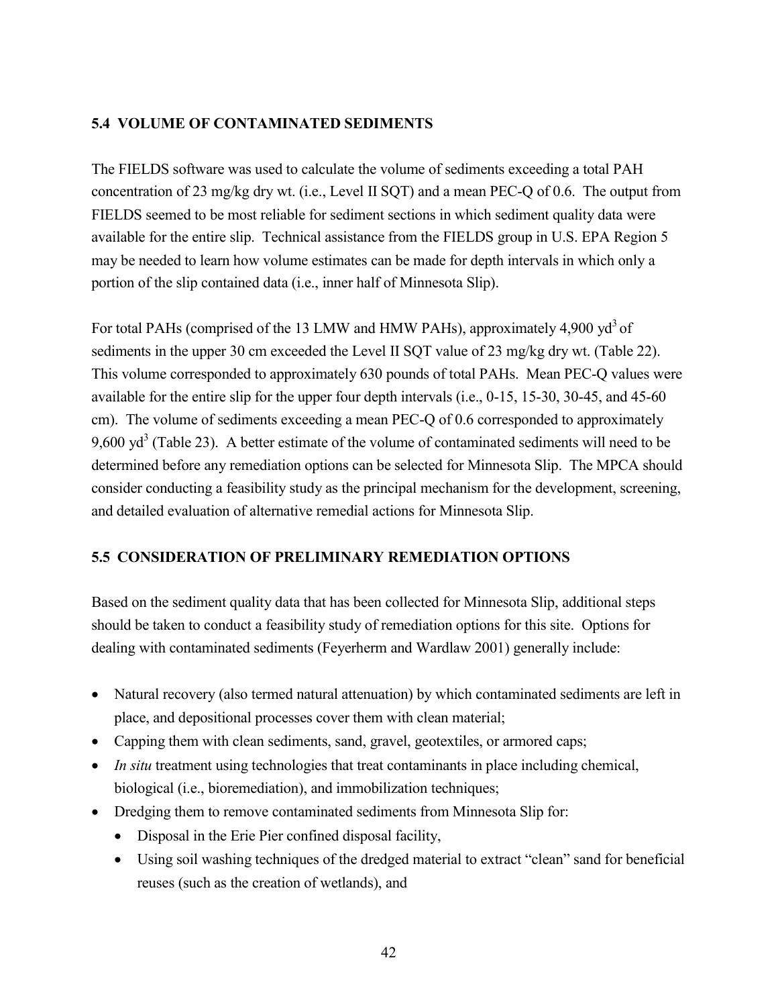# **5.4 VOLUME OF CONTAMINATED SEDIMENTS**

The FIELDS software was used to calculate the volume of sediments exceeding a total PAH concentration of 23 mg/kg dry wt. (i.e., Level II SQT) and a mean PEC-Q of 0.6. The output from FIELDS seemed to be most reliable for sediment sections in which sediment quality data were available for the entire slip. Technical assistance from the FIELDS group in U.S. EPA Region 5 may be needed to learn how volume estimates can be made for depth intervals in which only a portion of the slip contained data (i.e., inner half of Minnesota Slip).

For total PAHs (comprised of the 13 LMW and HMW PAHs), approximately 4,900 vd<sup>3</sup> of sediments in the upper 30 cm exceeded the Level II SQT value of 23 mg/kg dry wt. (Table 22). This volume corresponded to approximately 630 pounds of total PAHs. Mean PEC-Q values were available for the entire slip for the upper four depth intervals (i.e., 0-15, 15-30, 30-45, and 45-60 cm). The volume of sediments exceeding a mean PEC-Q of 0.6 corresponded to approximately 9,600 yd<sup>3</sup> (Table 23). A better estimate of the volume of contaminated sediments will need to be determined before any remediation options can be selected for Minnesota Slip. The MPCA should consider conducting a feasibility study as the principal mechanism for the development, screening, and detailed evaluation of alternative remedial actions for Minnesota Slip.

# **5.5 CONSIDERATION OF PRELIMINARY REMEDIATION OPTIONS**

Based on the sediment quality data that has been collected for Minnesota Slip, additional steps should be taken to conduct a feasibility study of remediation options for this site. Options for dealing with contaminated sediments (Feyerherm and Wardlaw 2001) generally include:

- Natural recovery (also termed natural attenuation) by which contaminated sediments are left in place, and depositional processes cover them with clean material;
- Capping them with clean sediments, sand, gravel, geotextiles, or armored caps;
- *In situ* treatment using technologies that treat contaminants in place including chemical, biological (i.e., bioremediation), and immobilization techniques;
- Dredging them to remove contaminated sediments from Minnesota Slip for:
	- Disposal in the Erie Pier confined disposal facility,
	- Using soil washing techniques of the dredged material to extract "clean" sand for beneficial reuses (such as the creation of wetlands), and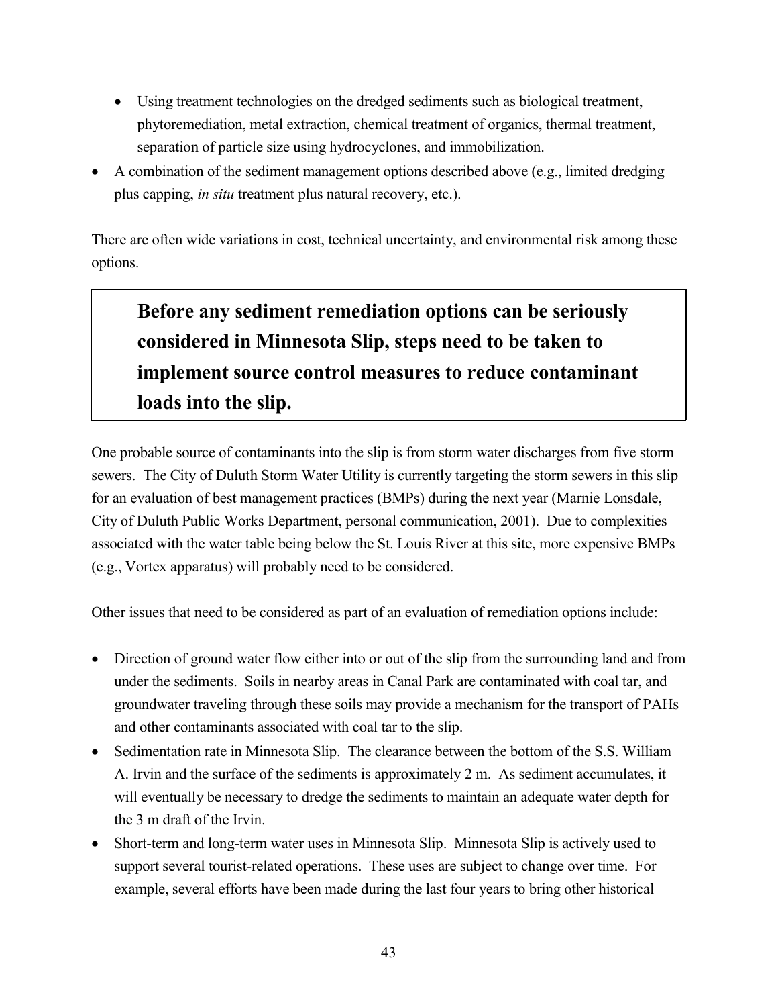- Using treatment technologies on the dredged sediments such as biological treatment, phytoremediation, metal extraction, chemical treatment of organics, thermal treatment, separation of particle size using hydrocyclones, and immobilization.
- A combination of the sediment management options described above (e.g., limited dredging plus capping, *in situ* treatment plus natural recovery, etc.).

There are often wide variations in cost, technical uncertainty, and environmental risk among these options.

# **Before any sediment remediation options can be seriously considered in Minnesota Slip, steps need to be taken to implement source control measures to reduce contaminant loads into the slip.**

One probable source of contaminants into the slip is from storm water discharges from five storm sewers. The City of Duluth Storm Water Utility is currently targeting the storm sewers in this slip for an evaluation of best management practices (BMPs) during the next year (Marnie Lonsdale, City of Duluth Public Works Department, personal communication, 2001). Due to complexities associated with the water table being below the St. Louis River at this site, more expensive BMPs (e.g., Vortex apparatus) will probably need to be considered.

Other issues that need to be considered as part of an evaluation of remediation options include:

- Direction of ground water flow either into or out of the slip from the surrounding land and from under the sediments. Soils in nearby areas in Canal Park are contaminated with coal tar, and groundwater traveling through these soils may provide a mechanism for the transport of PAHs and other contaminants associated with coal tar to the slip.
- Sedimentation rate in Minnesota Slip. The clearance between the bottom of the S.S. William A. Irvin and the surface of the sediments is approximately 2 m. As sediment accumulates, it will eventually be necessary to dredge the sediments to maintain an adequate water depth for the 3 m draft of the Irvin.
- Short-term and long-term water uses in Minnesota Slip. Minnesota Slip is actively used to support several tourist-related operations. These uses are subject to change over time. For example, several efforts have been made during the last four years to bring other historical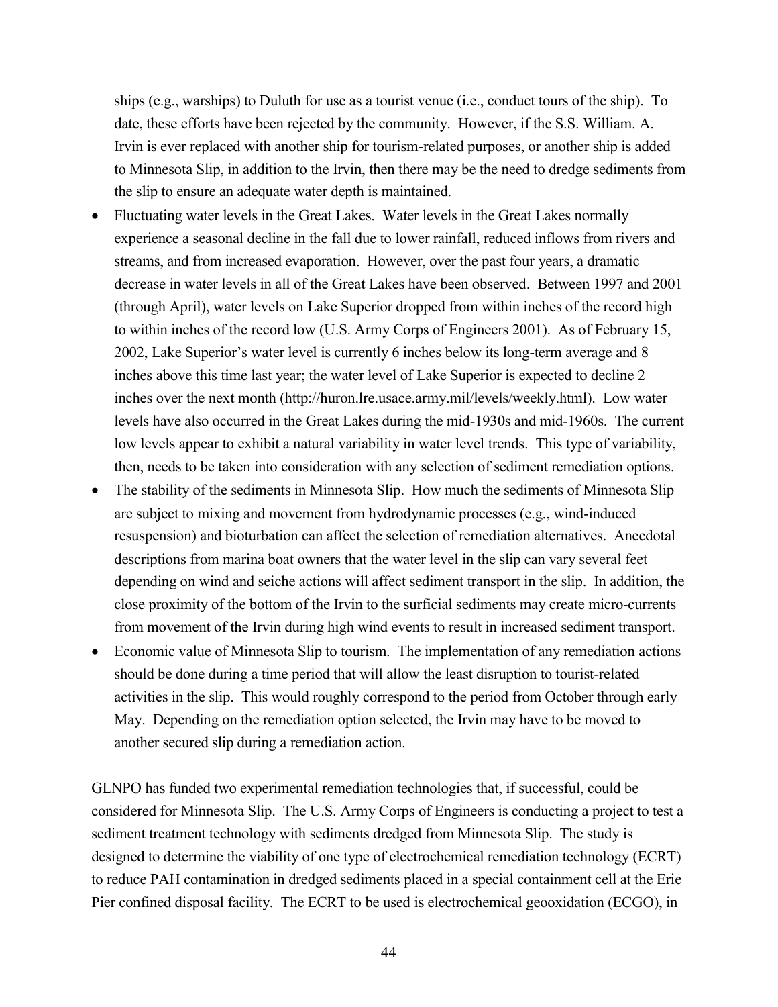ships (e.g., warships) to Duluth for use as a tourist venue (i.e., conduct tours of the ship). To date, these efforts have been rejected by the community. However, if the S.S. William. A. Irvin is ever replaced with another ship for tourism-related purposes, or another ship is added to Minnesota Slip, in addition to the Irvin, then there may be the need to dredge sediments from the slip to ensure an adequate water depth is maintained.

- Fluctuating water levels in the Great Lakes. Water levels in the Great Lakes normally experience a seasonal decline in the fall due to lower rainfall, reduced inflows from rivers and streams, and from increased evaporation. However, over the past four years, a dramatic decrease in water levels in all of the Great Lakes have been observed. Between 1997 and 2001 (through April), water levels on Lake Superior dropped from within inches of the record high to within inches of the record low (U.S. Army Corps of Engineers 2001). As of February 15, 2002, Lake Superior's water level is currently 6 inches below its long-term average and 8 inches above this time last year; the water level of Lake Superior is expected to decline 2 inches over the next month (http://huron.lre.usace.army.mil/levels/weekly.html). Low water levels have also occurred in the Great Lakes during the mid-1930s and mid-1960s. The current low levels appear to exhibit a natural variability in water level trends. This type of variability, then, needs to be taken into consideration with any selection of sediment remediation options.
- The stability of the sediments in Minnesota Slip. How much the sediments of Minnesota Slip are subject to mixing and movement from hydrodynamic processes (e.g., wind-induced resuspension) and bioturbation can affect the selection of remediation alternatives. Anecdotal descriptions from marina boat owners that the water level in the slip can vary several feet depending on wind and seiche actions will affect sediment transport in the slip. In addition, the close proximity of the bottom of the Irvin to the surficial sediments may create micro-currents from movement of the Irvin during high wind events to result in increased sediment transport.
- Economic value of Minnesota Slip to tourism. The implementation of any remediation actions should be done during a time period that will allow the least disruption to tourist-related activities in the slip. This would roughly correspond to the period from October through early May. Depending on the remediation option selected, the Irvin may have to be moved to another secured slip during a remediation action.

GLNPO has funded two experimental remediation technologies that, if successful, could be considered for Minnesota Slip. The U.S. Army Corps of Engineers is conducting a project to test a sediment treatment technology with sediments dredged from Minnesota Slip. The study is designed to determine the viability of one type of electrochemical remediation technology (ECRT) to reduce PAH contamination in dredged sediments placed in a special containment cell at the Erie Pier confined disposal facility. The ECRT to be used is electrochemical geooxidation (ECGO), in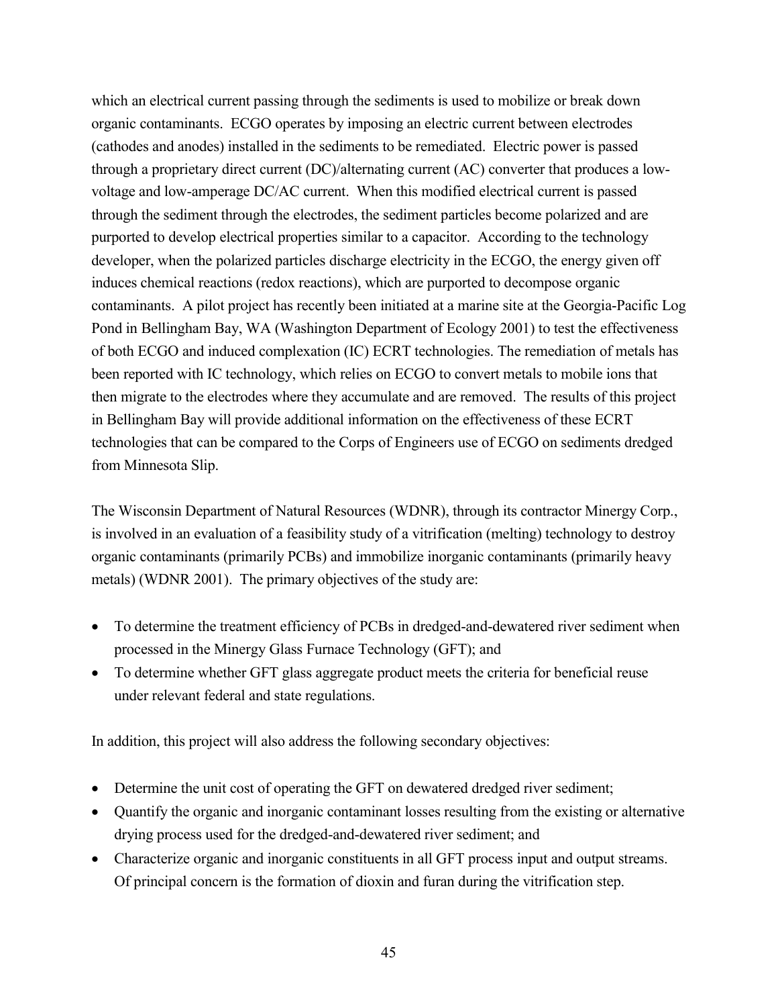which an electrical current passing through the sediments is used to mobilize or break down organic contaminants. ECGO operates by imposing an electric current between electrodes (cathodes and anodes) installed in the sediments to be remediated. Electric power is passed through a proprietary direct current (DC)/alternating current (AC) converter that produces a lowvoltage and low-amperage DC/AC current. When this modified electrical current is passed through the sediment through the electrodes, the sediment particles become polarized and are purported to develop electrical properties similar to a capacitor. According to the technology developer, when the polarized particles discharge electricity in the ECGO, the energy given off induces chemical reactions (redox reactions), which are purported to decompose organic contaminants. A pilot project has recently been initiated at a marine site at the Georgia-Pacific Log Pond in Bellingham Bay, WA (Washington Department of Ecology 2001) to test the effectiveness of both ECGO and induced complexation (IC) ECRT technologies. The remediation of metals has been reported with IC technology, which relies on ECGO to convert metals to mobile ions that then migrate to the electrodes where they accumulate and are removed. The results of this project in Bellingham Bay will provide additional information on the effectiveness of these ECRT technologies that can be compared to the Corps of Engineers use of ECGO on sediments dredged from Minnesota Slip.

The Wisconsin Department of Natural Resources (WDNR), through its contractor Minergy Corp., is involved in an evaluation of a feasibility study of a vitrification (melting) technology to destroy organic contaminants (primarily PCBs) and immobilize inorganic contaminants (primarily heavy metals) (WDNR 2001). The primary objectives of the study are:

- To determine the treatment efficiency of PCBs in dredged-and-dewatered river sediment when processed in the Minergy Glass Furnace Technology (GFT); and
- To determine whether GFT glass aggregate product meets the criteria for beneficial reuse under relevant federal and state regulations.

In addition, this project will also address the following secondary objectives:

- Determine the unit cost of operating the GFT on dewatered dredged river sediment;
- Quantify the organic and inorganic contaminant losses resulting from the existing or alternative drying process used for the dredged-and-dewatered river sediment; and
- Characterize organic and inorganic constituents in all GFT process input and output streams. Of principal concern is the formation of dioxin and furan during the vitrification step.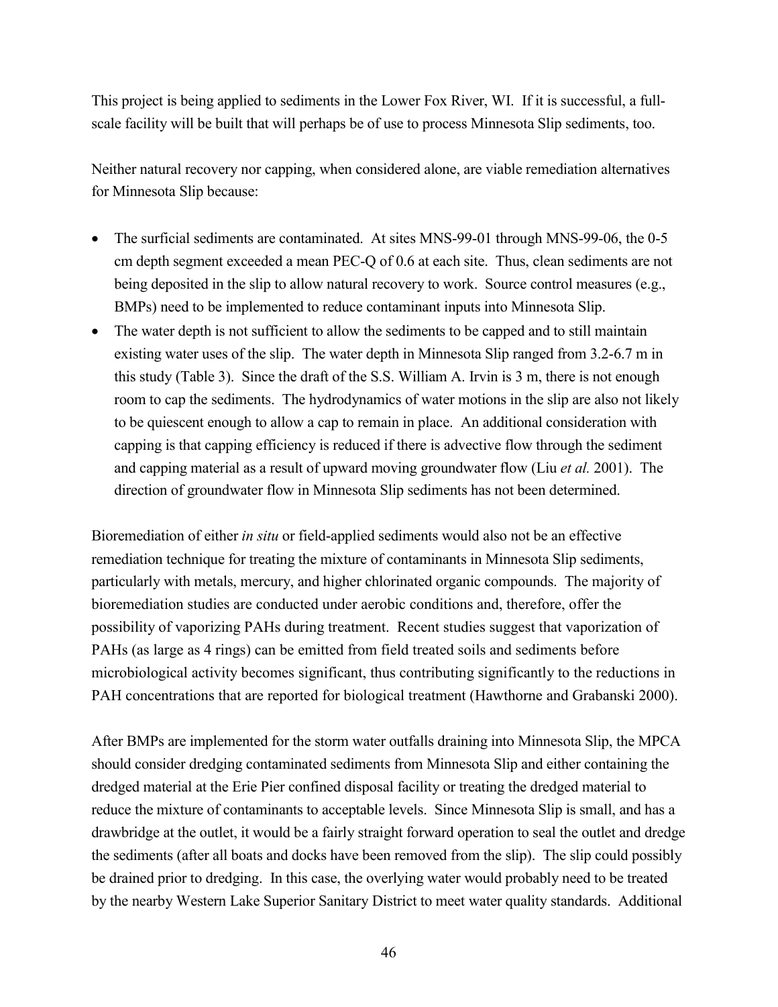This project is being applied to sediments in the Lower Fox River, WI. If it is successful, a fullscale facility will be built that will perhaps be of use to process Minnesota Slip sediments, too.

Neither natural recovery nor capping, when considered alone, are viable remediation alternatives for Minnesota Slip because:

- The surficial sediments are contaminated. At sites MNS-99-01 through MNS-99-06, the 0-5 cm depth segment exceeded a mean PEC-Q of 0.6 at each site. Thus, clean sediments are not being deposited in the slip to allow natural recovery to work. Source control measures (e.g., BMPs) need to be implemented to reduce contaminant inputs into Minnesota Slip.
- The water depth is not sufficient to allow the sediments to be capped and to still maintain existing water uses of the slip. The water depth in Minnesota Slip ranged from 3.2-6.7 m in this study (Table 3). Since the draft of the S.S. William A. Irvin is 3 m, there is not enough room to cap the sediments. The hydrodynamics of water motions in the slip are also not likely to be quiescent enough to allow a cap to remain in place. An additional consideration with capping is that capping efficiency is reduced if there is advective flow through the sediment and capping material as a result of upward moving groundwater flow (Liu *et al.* 2001). The direction of groundwater flow in Minnesota Slip sediments has not been determined.

Bioremediation of either *in situ* or field-applied sediments would also not be an effective remediation technique for treating the mixture of contaminants in Minnesota Slip sediments, particularly with metals, mercury, and higher chlorinated organic compounds. The majority of bioremediation studies are conducted under aerobic conditions and, therefore, offer the possibility of vaporizing PAHs during treatment. Recent studies suggest that vaporization of PAHs (as large as 4 rings) can be emitted from field treated soils and sediments before microbiological activity becomes significant, thus contributing significantly to the reductions in PAH concentrations that are reported for biological treatment (Hawthorne and Grabanski 2000).

After BMPs are implemented for the storm water outfalls draining into Minnesota Slip, the MPCA should consider dredging contaminated sediments from Minnesota Slip and either containing the dredged material at the Erie Pier confined disposal facility or treating the dredged material to reduce the mixture of contaminants to acceptable levels. Since Minnesota Slip is small, and has a drawbridge at the outlet, it would be a fairly straight forward operation to seal the outlet and dredge the sediments (after all boats and docks have been removed from the slip). The slip could possibly be drained prior to dredging. In this case, the overlying water would probably need to be treated by the nearby Western Lake Superior Sanitary District to meet water quality standards. Additional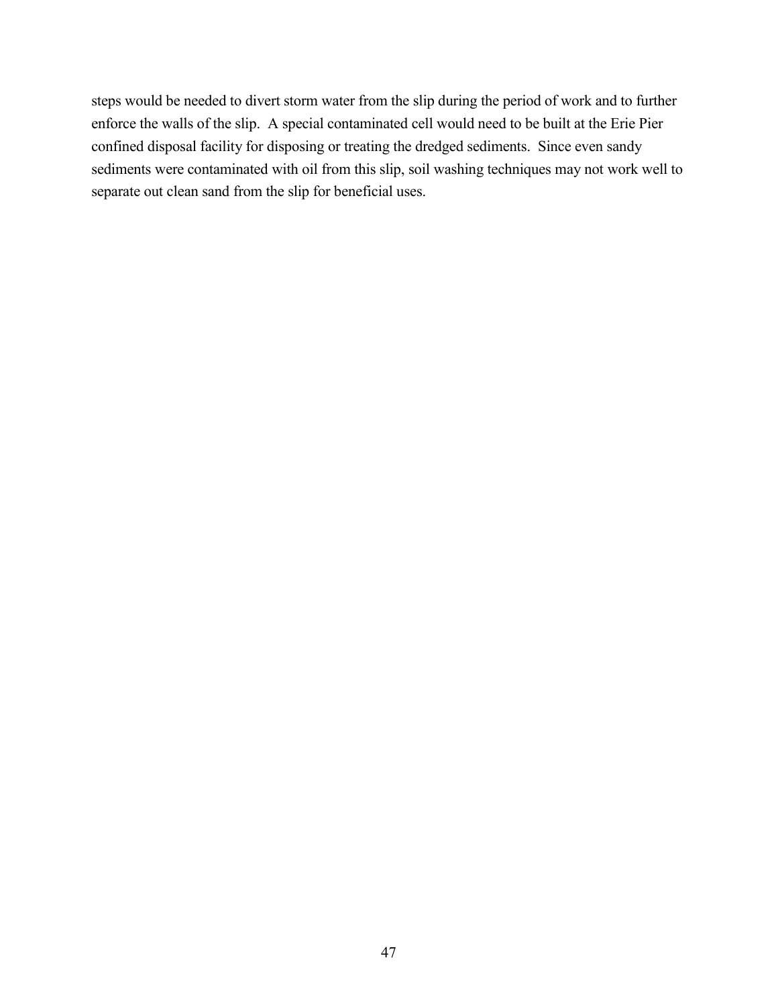steps would be needed to divert storm water from the slip during the period of work and to further enforce the walls of the slip. A special contaminated cell would need to be built at the Erie Pier confined disposal facility for disposing or treating the dredged sediments. Since even sandy sediments were contaminated with oil from this slip, soil washing techniques may not work well to separate out clean sand from the slip for beneficial uses.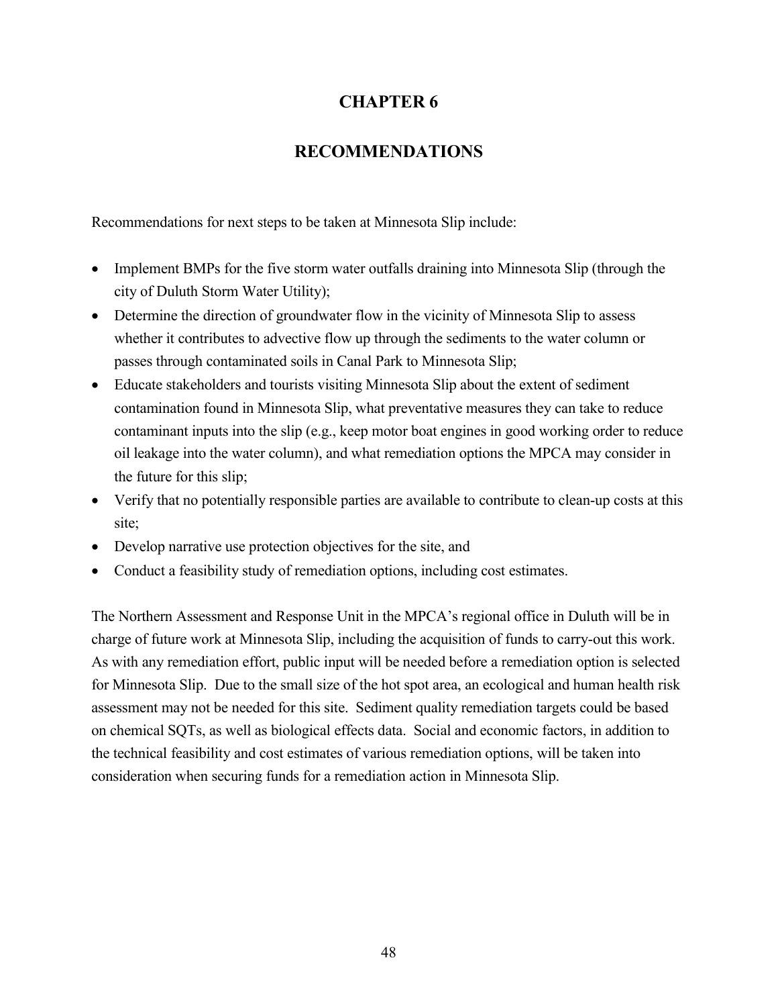# **CHAPTER 6**

# **RECOMMENDATIONS**

Recommendations for next steps to be taken at Minnesota Slip include:

- Implement BMPs for the five storm water outfalls draining into Minnesota Slip (through the city of Duluth Storm Water Utility);
- Determine the direction of groundwater flow in the vicinity of Minnesota Slip to assess whether it contributes to advective flow up through the sediments to the water column or passes through contaminated soils in Canal Park to Minnesota Slip;
- Educate stakeholders and tourists visiting Minnesota Slip about the extent of sediment contamination found in Minnesota Slip, what preventative measures they can take to reduce contaminant inputs into the slip (e.g., keep motor boat engines in good working order to reduce oil leakage into the water column), and what remediation options the MPCA may consider in the future for this slip;
- Verify that no potentially responsible parties are available to contribute to clean-up costs at this site;
- Develop narrative use protection objectives for the site, and
- Conduct a feasibility study of remediation options, including cost estimates.

The Northern Assessment and Response Unit in the MPCA's regional office in Duluth will be in charge of future work at Minnesota Slip, including the acquisition of funds to carry-out this work. As with any remediation effort, public input will be needed before a remediation option is selected for Minnesota Slip. Due to the small size of the hot spot area, an ecological and human health risk assessment may not be needed for this site. Sediment quality remediation targets could be based on chemical SQTs, as well as biological effects data. Social and economic factors, in addition to the technical feasibility and cost estimates of various remediation options, will be taken into consideration when securing funds for a remediation action in Minnesota Slip.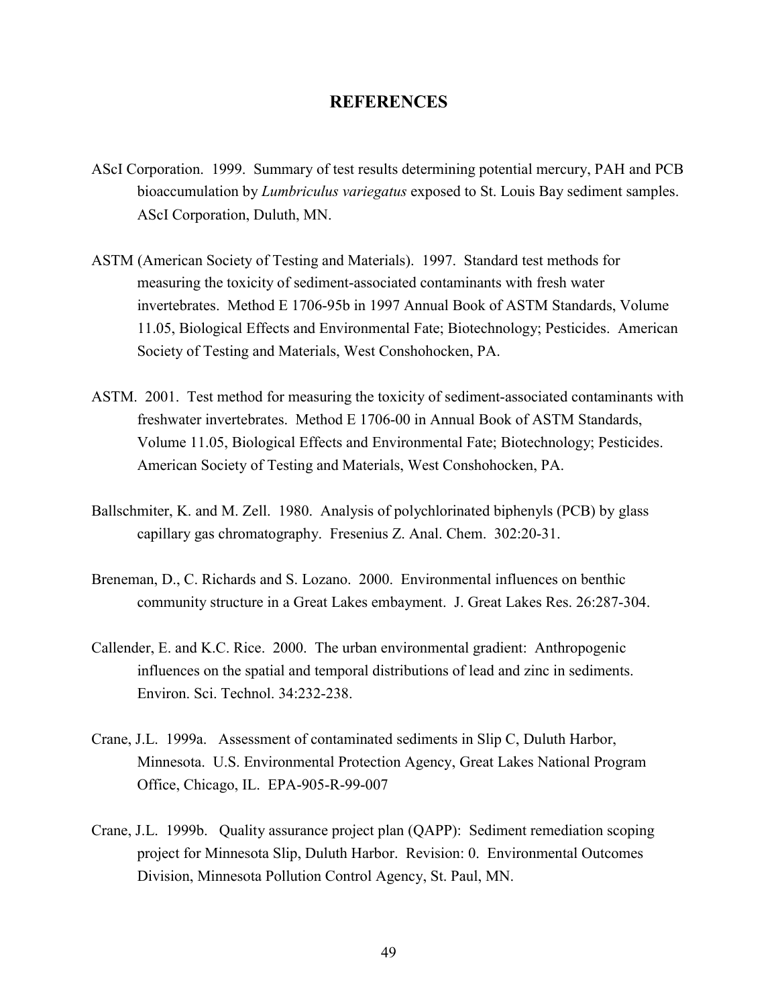#### **REFERENCES**

- AScI Corporation. 1999. Summary of test results determining potential mercury, PAH and PCB bioaccumulation by *Lumbriculus variegatus* exposed to St. Louis Bay sediment samples. AScI Corporation, Duluth, MN.
- ASTM (American Society of Testing and Materials). 1997. Standard test methods for measuring the toxicity of sediment-associated contaminants with fresh water invertebrates. Method E 1706-95b in 1997 Annual Book of ASTM Standards, Volume 11.05, Biological Effects and Environmental Fate; Biotechnology; Pesticides. American Society of Testing and Materials, West Conshohocken, PA.
- ASTM. 2001. Test method for measuring the toxicity of sediment-associated contaminants with freshwater invertebrates. Method E 1706-00 in Annual Book of ASTM Standards, Volume 11.05, Biological Effects and Environmental Fate; Biotechnology; Pesticides. American Society of Testing and Materials, West Conshohocken, PA.
- Ballschmiter, K. and M. Zell. 1980. Analysis of polychlorinated biphenyls (PCB) by glass capillary gas chromatography. Fresenius Z. Anal. Chem. 302:20-31.
- Breneman, D., C. Richards and S. Lozano. 2000. Environmental influences on benthic community structure in a Great Lakes embayment. J. Great Lakes Res. 26:287-304.
- Callender, E. and K.C. Rice. 2000. The urban environmental gradient: Anthropogenic influences on the spatial and temporal distributions of lead and zinc in sediments. Environ. Sci. Technol. 34:232-238.
- Crane, J.L. 1999a. Assessment of contaminated sediments in Slip C, Duluth Harbor, Minnesota. U.S. Environmental Protection Agency, Great Lakes National Program Office, Chicago, IL. EPA-905-R-99-007
- Crane, J.L. 1999b. Quality assurance project plan (QAPP): Sediment remediation scoping project for Minnesota Slip, Duluth Harbor. Revision: 0. Environmental Outcomes Division, Minnesota Pollution Control Agency, St. Paul, MN.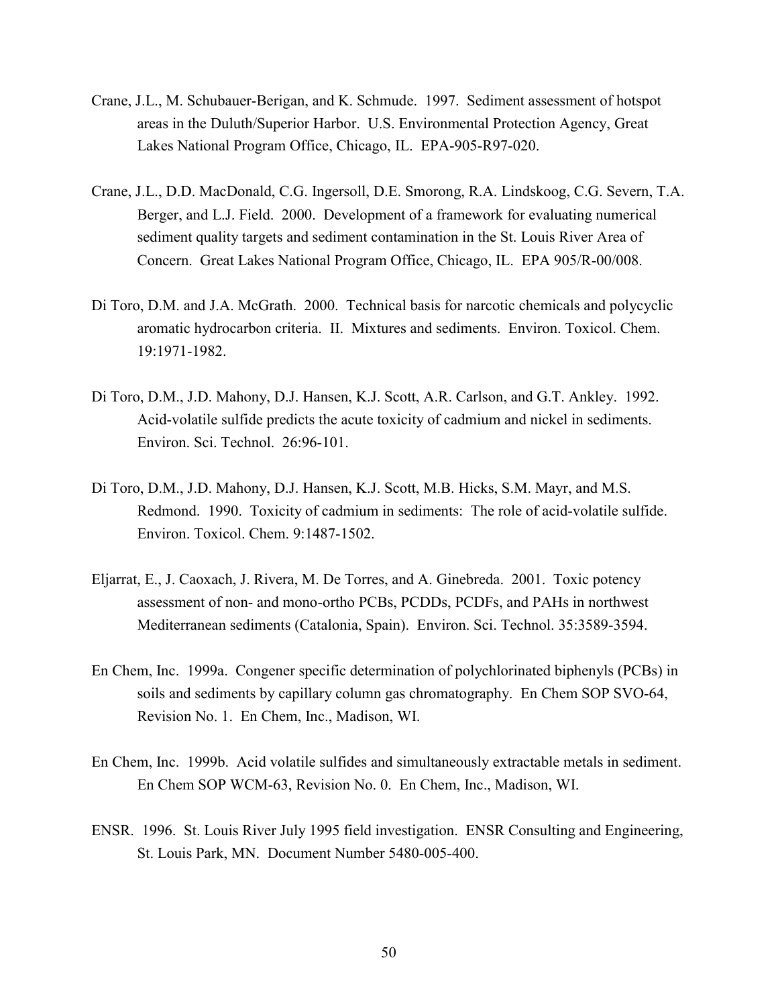- Crane, J.L., M. Schubauer-Berigan, and K. Schmude. 1997. Sediment assessment of hotspot areas in the Duluth/Superior Harbor. U.S. Environmental Protection Agency, Great Lakes National Program Office, Chicago, IL. EPA-905-R97-020.
- Crane, J.L., D.D. MacDonald, C.G. Ingersoll, D.E. Smorong, R.A. Lindskoog, C.G. Severn, T.A. Berger, and L.J. Field. 2000. Development of a framework for evaluating numerical sediment quality targets and sediment contamination in the St. Louis River Area of Concern. Great Lakes National Program Office, Chicago, IL. EPA 905/R-00/008.
- Di Toro, D.M. and J.A. McGrath. 2000. Technical basis for narcotic chemicals and polycyclic aromatic hydrocarbon criteria. II. Mixtures and sediments. Environ. Toxicol. Chem. 19:1971-1982.
- Di Toro, D.M., J.D. Mahony, D.J. Hansen, K.J. Scott, A.R. Carlson, and G.T. Ankley. 1992. Acid-volatile sulfide predicts the acute toxicity of cadmium and nickel in sediments. Environ. Sci. Technol. 26:96-101.
- Di Toro, D.M., J.D. Mahony, D.J. Hansen, K.J. Scott, M.B. Hicks, S.M. Mayr, and M.S. Redmond. 1990. Toxicity of cadmium in sediments: The role of acid-volatile sulfide. Environ. Toxicol. Chem. 9:1487-1502.
- Eljarrat, E., J. Caoxach, J. Rivera, M. De Torres, and A. Ginebreda. 2001. Toxic potency assessment of non- and mono-ortho PCBs, PCDDs, PCDFs, and PAHs in northwest Mediterranean sediments (Catalonia, Spain). Environ. Sci. Technol. 35:3589-3594.
- En Chem, Inc. 1999a. Congener specific determination of polychlorinated biphenyls (PCBs) in soils and sediments by capillary column gas chromatography. En Chem SOP SVO-64, Revision No. 1. En Chem, Inc., Madison, WI.
- En Chem, Inc. 1999b. Acid volatile sulfides and simultaneously extractable metals in sediment. En Chem SOP WCM-63, Revision No. 0. En Chem, Inc., Madison, WI.
- ENSR. 1996. St. Louis River July 1995 field investigation. ENSR Consulting and Engineering, St. Louis Park, MN. Document Number 5480-005-400.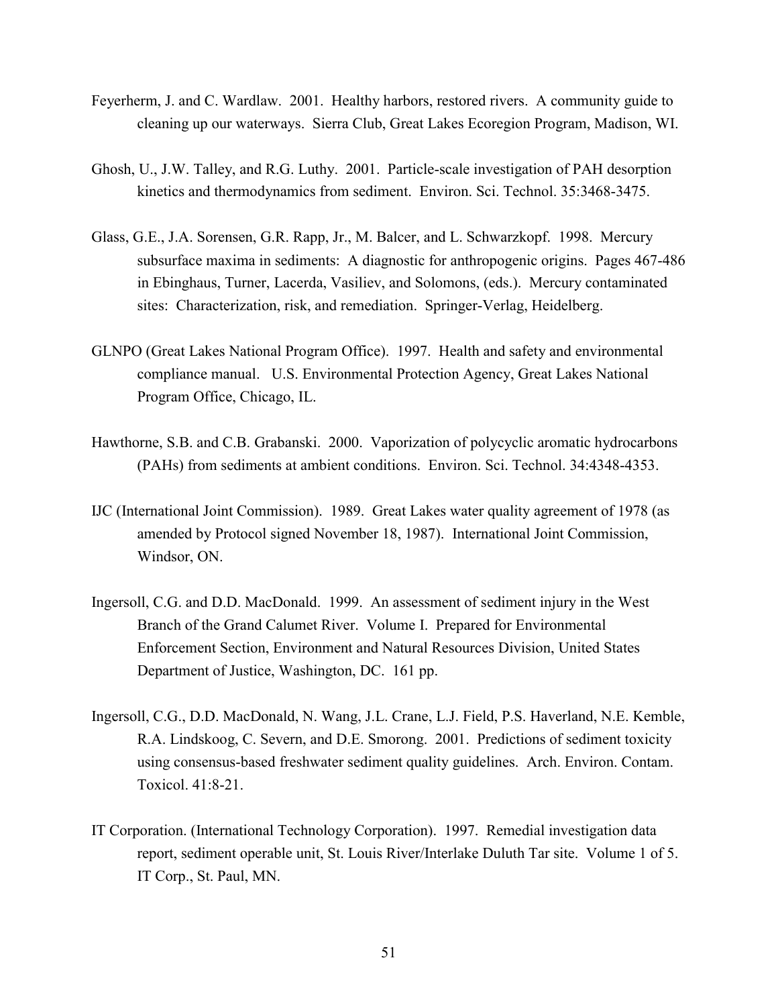- Feyerherm, J. and C. Wardlaw. 2001. Healthy harbors, restored rivers. A community guide to cleaning up our waterways. Sierra Club, Great Lakes Ecoregion Program, Madison, WI.
- Ghosh, U., J.W. Talley, and R.G. Luthy. 2001. Particle-scale investigation of PAH desorption kinetics and thermodynamics from sediment. Environ. Sci. Technol. 35:3468-3475.
- Glass, G.E., J.A. Sorensen, G.R. Rapp, Jr., M. Balcer, and L. Schwarzkopf. 1998. Mercury subsurface maxima in sediments: A diagnostic for anthropogenic origins. Pages 467-486 in Ebinghaus, Turner, Lacerda, Vasiliev, and Solomons, (eds.). Mercury contaminated sites: Characterization, risk, and remediation. Springer-Verlag, Heidelberg.
- GLNPO (Great Lakes National Program Office). 1997. Health and safety and environmental compliance manual. U.S. Environmental Protection Agency, Great Lakes National Program Office, Chicago, IL.
- Hawthorne, S.B. and C.B. Grabanski. 2000. Vaporization of polycyclic aromatic hydrocarbons (PAHs) from sediments at ambient conditions. Environ. Sci. Technol. 34:4348-4353.
- IJC (International Joint Commission). 1989. Great Lakes water quality agreement of 1978 (as amended by Protocol signed November 18, 1987). International Joint Commission, Windsor, ON.
- Ingersoll, C.G. and D.D. MacDonald. 1999. An assessment of sediment injury in the West Branch of the Grand Calumet River. Volume I. Prepared for Environmental Enforcement Section, Environment and Natural Resources Division, United States Department of Justice, Washington, DC. 161 pp.
- Ingersoll, C.G., D.D. MacDonald, N. Wang, J.L. Crane, L.J. Field, P.S. Haverland, N.E. Kemble, R.A. Lindskoog, C. Severn, and D.E. Smorong. 2001. Predictions of sediment toxicity using consensus-based freshwater sediment quality guidelines. Arch. Environ. Contam. Toxicol. 41:8-21.
- IT Corporation. (International Technology Corporation). 1997. Remedial investigation data report, sediment operable unit, St. Louis River/Interlake Duluth Tar site. Volume 1 of 5. IT Corp., St. Paul, MN.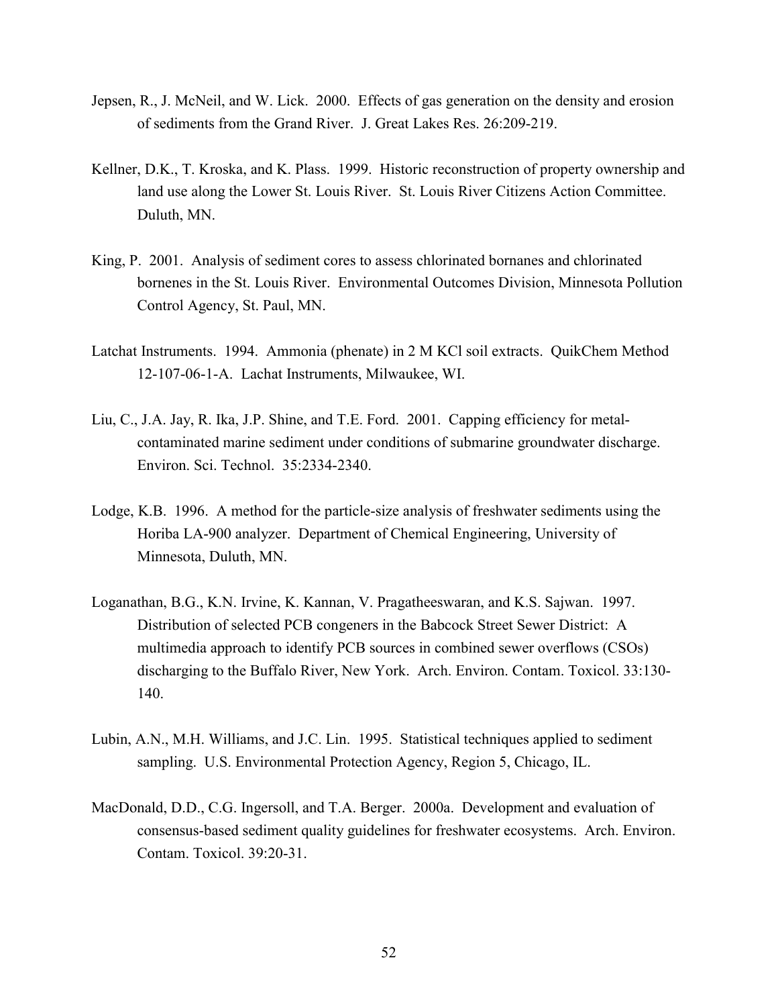- Jepsen, R., J. McNeil, and W. Lick. 2000. Effects of gas generation on the density and erosion of sediments from the Grand River. J. Great Lakes Res. 26:209-219.
- Kellner, D.K., T. Kroska, and K. Plass. 1999. Historic reconstruction of property ownership and land use along the Lower St. Louis River. St. Louis River Citizens Action Committee. Duluth, MN.
- King, P. 2001. Analysis of sediment cores to assess chlorinated bornanes and chlorinated bornenes in the St. Louis River. Environmental Outcomes Division, Minnesota Pollution Control Agency, St. Paul, MN.
- Latchat Instruments. 1994. Ammonia (phenate) in 2 M KCl soil extracts. QuikChem Method 12-107-06-1-A. Lachat Instruments, Milwaukee, WI.
- Liu, C., J.A. Jay, R. Ika, J.P. Shine, and T.E. Ford. 2001. Capping efficiency for metalcontaminated marine sediment under conditions of submarine groundwater discharge. Environ. Sci. Technol. 35:2334-2340.
- Lodge, K.B. 1996. A method for the particle-size analysis of freshwater sediments using the Horiba LA-900 analyzer. Department of Chemical Engineering, University of Minnesota, Duluth, MN.
- Loganathan, B.G., K.N. Irvine, K. Kannan, V. Pragatheeswaran, and K.S. Sajwan. 1997. Distribution of selected PCB congeners in the Babcock Street Sewer District: A multimedia approach to identify PCB sources in combined sewer overflows (CSOs) discharging to the Buffalo River, New York. Arch. Environ. Contam. Toxicol. 33:130- 140.
- Lubin, A.N., M.H. Williams, and J.C. Lin. 1995. Statistical techniques applied to sediment sampling. U.S. Environmental Protection Agency, Region 5, Chicago, IL.
- MacDonald, D.D., C.G. Ingersoll, and T.A. Berger. 2000a. Development and evaluation of consensus-based sediment quality guidelines for freshwater ecosystems. Arch. Environ. Contam. Toxicol. 39:20-31.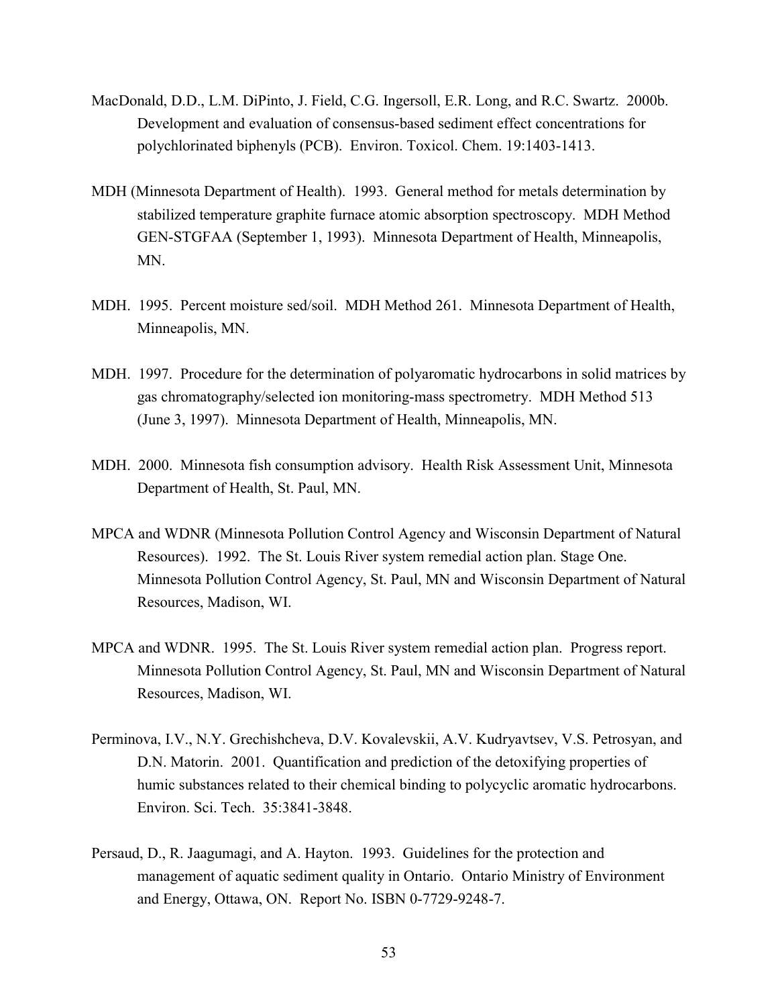- MacDonald, D.D., L.M. DiPinto, J. Field, C.G. Ingersoll, E.R. Long, and R.C. Swartz. 2000b. Development and evaluation of consensus-based sediment effect concentrations for polychlorinated biphenyls (PCB). Environ. Toxicol. Chem. 19:1403-1413.
- MDH (Minnesota Department of Health). 1993. General method for metals determination by stabilized temperature graphite furnace atomic absorption spectroscopy. MDH Method GEN-STGFAA (September 1, 1993). Minnesota Department of Health, Minneapolis, MN.
- MDH. 1995. Percent moisture sed/soil. MDH Method 261. Minnesota Department of Health, Minneapolis, MN.
- MDH. 1997. Procedure for the determination of polyaromatic hydrocarbons in solid matrices by gas chromatography/selected ion monitoring-mass spectrometry. MDH Method 513 (June 3, 1997). Minnesota Department of Health, Minneapolis, MN.
- MDH. 2000. Minnesota fish consumption advisory. Health Risk Assessment Unit, Minnesota Department of Health, St. Paul, MN.
- MPCA and WDNR (Minnesota Pollution Control Agency and Wisconsin Department of Natural Resources). 1992. The St. Louis River system remedial action plan. Stage One. Minnesota Pollution Control Agency, St. Paul, MN and Wisconsin Department of Natural Resources, Madison, WI.
- MPCA and WDNR. 1995. The St. Louis River system remedial action plan. Progress report. Minnesota Pollution Control Agency, St. Paul, MN and Wisconsin Department of Natural Resources, Madison, WI.
- Perminova, I.V., N.Y. Grechishcheva, D.V. Kovalevskii, A.V. Kudryavtsev, V.S. Petrosyan, and D.N. Matorin. 2001. Quantification and prediction of the detoxifying properties of humic substances related to their chemical binding to polycyclic aromatic hydrocarbons. Environ. Sci. Tech. 35:3841-3848.
- Persaud, D., R. Jaagumagi, and A. Hayton. 1993. Guidelines for the protection and management of aquatic sediment quality in Ontario. Ontario Ministry of Environment and Energy, Ottawa, ON. Report No. ISBN 0-7729-9248-7.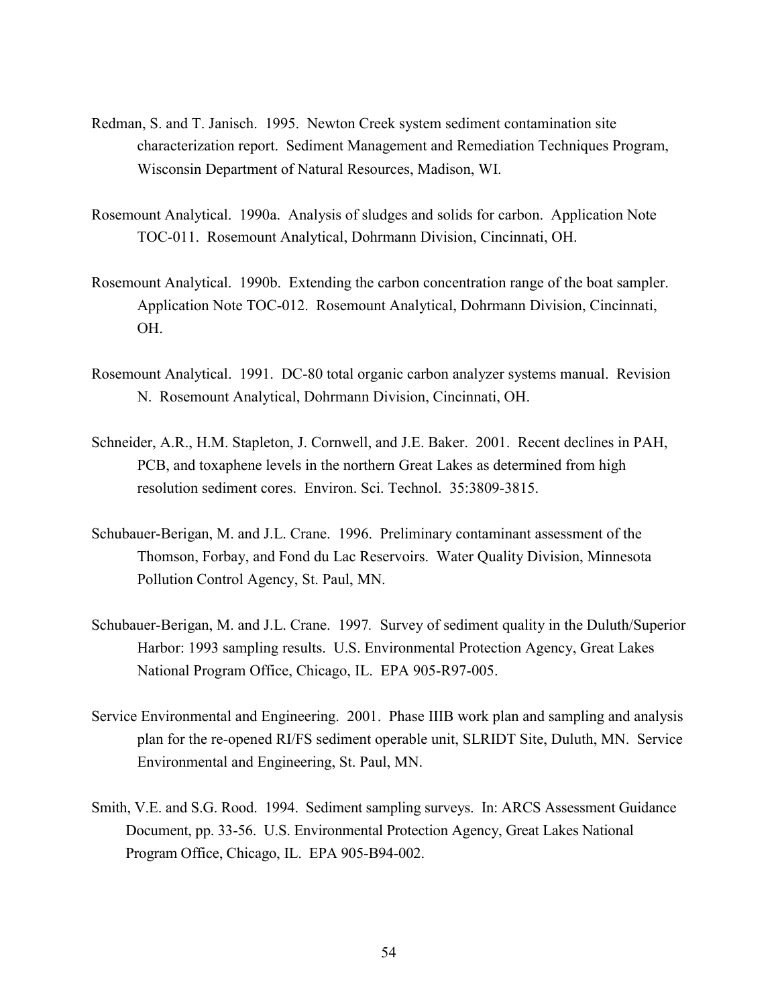- Redman, S. and T. Janisch. 1995. Newton Creek system sediment contamination site characterization report. Sediment Management and Remediation Techniques Program, Wisconsin Department of Natural Resources, Madison, WI.
- Rosemount Analytical. 1990a. Analysis of sludges and solids for carbon. Application Note TOC-011. Rosemount Analytical, Dohrmann Division, Cincinnati, OH.
- Rosemount Analytical. 1990b. Extending the carbon concentration range of the boat sampler. Application Note TOC-012. Rosemount Analytical, Dohrmann Division, Cincinnati, OH.
- Rosemount Analytical. 1991. DC-80 total organic carbon analyzer systems manual. Revision N. Rosemount Analytical, Dohrmann Division, Cincinnati, OH.
- Schneider, A.R., H.M. Stapleton, J. Cornwell, and J.E. Baker. 2001. Recent declines in PAH, PCB, and toxaphene levels in the northern Great Lakes as determined from high resolution sediment cores. Environ. Sci. Technol. 35:3809-3815.
- Schubauer-Berigan, M. and J.L. Crane. 1996. Preliminary contaminant assessment of the Thomson, Forbay, and Fond du Lac Reservoirs. Water Quality Division, Minnesota Pollution Control Agency, St. Paul, MN.
- Schubauer-Berigan, M. and J.L. Crane. 1997*.* Survey of sediment quality in the Duluth/Superior Harbor: 1993 sampling results. U.S. Environmental Protection Agency, Great Lakes National Program Office, Chicago, IL. EPA 905-R97-005.
- Service Environmental and Engineering. 2001. Phase IIIB work plan and sampling and analysis plan for the re-opened RI/FS sediment operable unit, SLRIDT Site, Duluth, MN. Service Environmental and Engineering, St. Paul, MN.
- Smith, V.E. and S.G. Rood. 1994. Sediment sampling surveys. In: ARCS Assessment Guidance Document, pp. 33-56. U.S. Environmental Protection Agency, Great Lakes National Program Office, Chicago, IL. EPA 905-B94-002.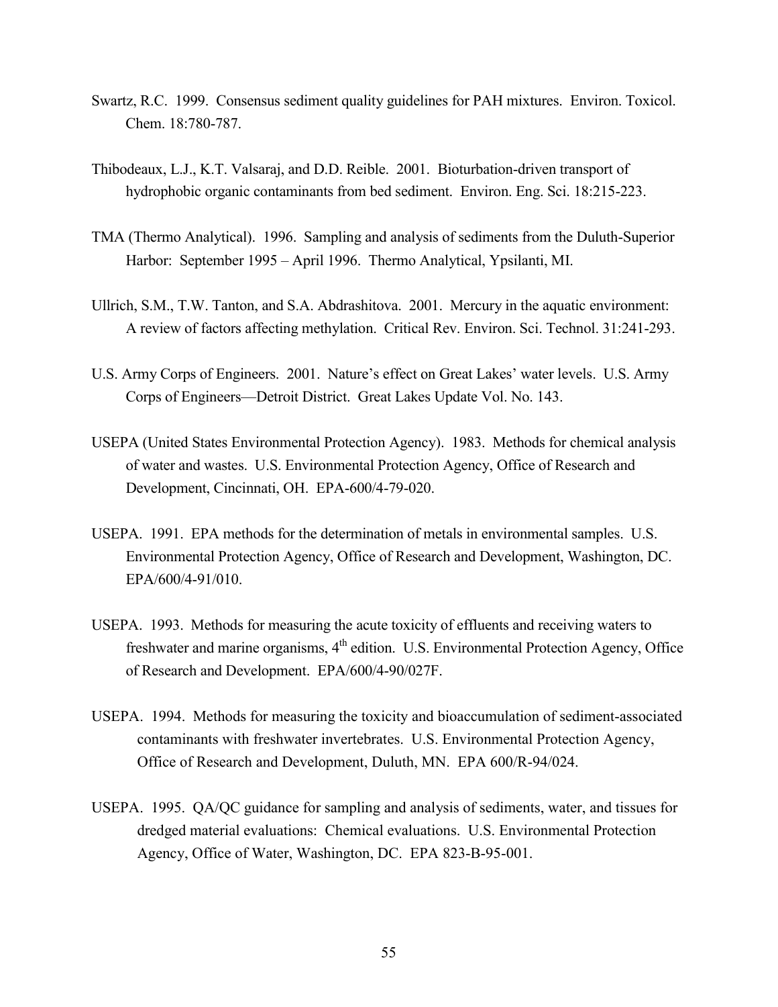- Swartz, R.C. 1999. Consensus sediment quality guidelines for PAH mixtures. Environ. Toxicol. Chem. 18:780-787.
- Thibodeaux, L.J., K.T. Valsaraj, and D.D. Reible. 2001. Bioturbation-driven transport of hydrophobic organic contaminants from bed sediment. Environ. Eng. Sci. 18:215-223.
- TMA (Thermo Analytical). 1996. Sampling and analysis of sediments from the Duluth-Superior Harbor: September 1995 – April 1996. Thermo Analytical, Ypsilanti, MI.
- Ullrich, S.M., T.W. Tanton, and S.A. Abdrashitova. 2001. Mercury in the aquatic environment: A review of factors affecting methylation. Critical Rev. Environ. Sci. Technol. 31:241-293.
- U.S. Army Corps of Engineers. 2001. Nature's effect on Great Lakes' water levels. U.S. Army Corps of Engineers—Detroit District. Great Lakes Update Vol. No. 143.
- USEPA (United States Environmental Protection Agency). 1983. Methods for chemical analysis of water and wastes. U.S. Environmental Protection Agency, Office of Research and Development, Cincinnati, OH. EPA-600/4-79-020.
- USEPA. 1991. EPA methods for the determination of metals in environmental samples. U.S. Environmental Protection Agency, Office of Research and Development, Washington, DC. EPA/600/4-91/010.
- USEPA. 1993. Methods for measuring the acute toxicity of effluents and receiving waters to freshwater and marine organisms, 4<sup>th</sup> edition. U.S. Environmental Protection Agency, Office of Research and Development. EPA/600/4-90/027F.
- USEPA. 1994. Methods for measuring the toxicity and bioaccumulation of sediment-associated contaminants with freshwater invertebrates. U.S. Environmental Protection Agency, Office of Research and Development, Duluth, MN. EPA 600/R-94/024.
- USEPA. 1995. QA/QC guidance for sampling and analysis of sediments, water, and tissues for dredged material evaluations: Chemical evaluations. U.S. Environmental Protection Agency, Office of Water, Washington, DC. EPA 823-B-95-001.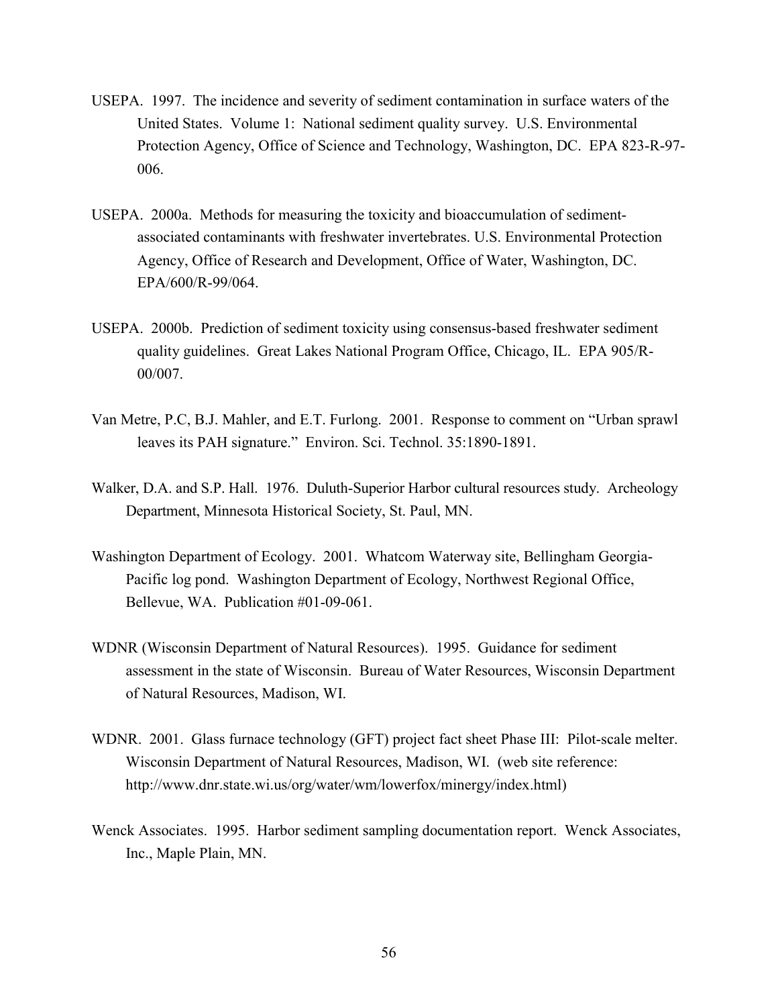- USEPA. 1997. The incidence and severity of sediment contamination in surface waters of the United States. Volume 1: National sediment quality survey. U.S. Environmental Protection Agency, Office of Science and Technology, Washington, DC. EPA 823-R-97- 006.
- USEPA. 2000a. Methods for measuring the toxicity and bioaccumulation of sedimentassociated contaminants with freshwater invertebrates. U.S. Environmental Protection Agency, Office of Research and Development, Office of Water, Washington, DC. EPA/600/R-99/064.
- USEPA. 2000b. Prediction of sediment toxicity using consensus-based freshwater sediment quality guidelines. Great Lakes National Program Office, Chicago, IL. EPA 905/R-00/007.
- Van Metre, P.C, B.J. Mahler, and E.T. Furlong. 2001. Response to comment on "Urban sprawl leaves its PAH signature." Environ. Sci. Technol. 35:1890-1891.
- Walker, D.A. and S.P. Hall. 1976. Duluth-Superior Harbor cultural resources study. Archeology Department, Minnesota Historical Society, St. Paul, MN.
- Washington Department of Ecology. 2001. Whatcom Waterway site, Bellingham Georgia-Pacific log pond. Washington Department of Ecology, Northwest Regional Office, Bellevue, WA. Publication #01-09-061.
- WDNR (Wisconsin Department of Natural Resources). 1995. Guidance for sediment assessment in the state of Wisconsin. Bureau of Water Resources, Wisconsin Department of Natural Resources, Madison, WI.
- WDNR. 2001. Glass furnace technology (GFT) project fact sheet Phase III: Pilot-scale melter. Wisconsin Department of Natural Resources, Madison, WI. (web site reference: http://www.dnr.state.wi.us/org/water/wm/lowerfox/minergy/index.html)
- Wenck Associates. 1995. Harbor sediment sampling documentation report. Wenck Associates, Inc., Maple Plain, MN.